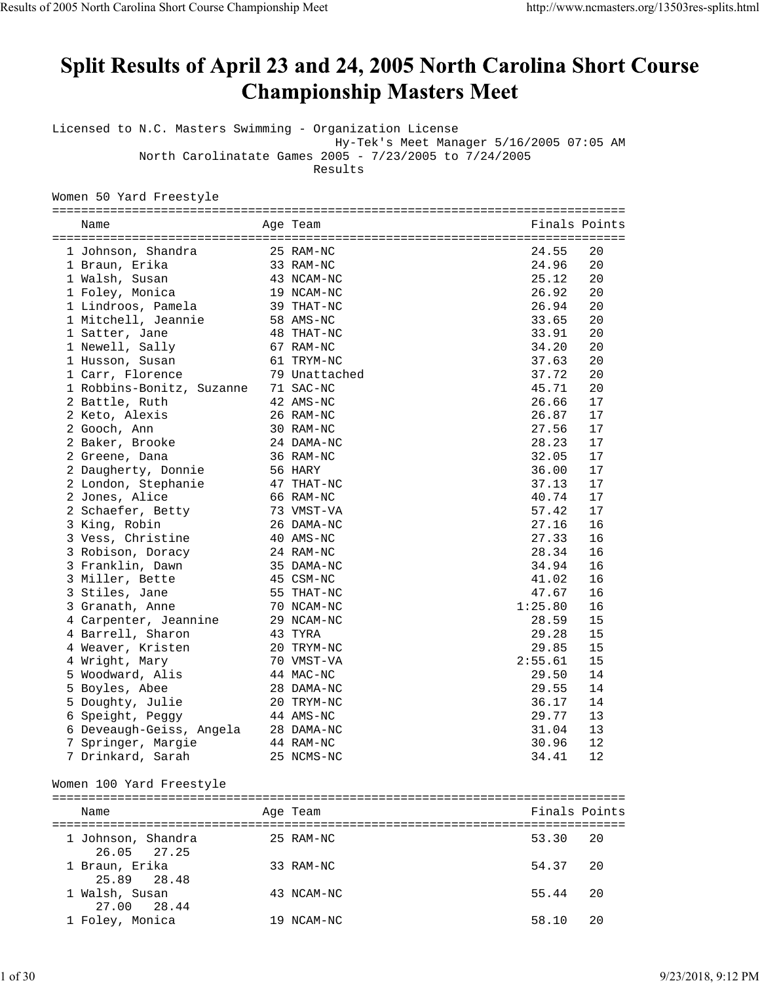# Split Results of April 23 and 24, 2005 North Carolina Short Course **Championship Masters Meet**

Licensed to N.C. Masters Swimming - Organization License

Hy-Tek's Meet Manager 5/16/2005 07:05 AM

North Carolinatate Games 2005 - 7/23/2005 to 7/24/2005

Results

Women 50 Yard Freestyle

| Name                      | Age Team      | Finals Points |    |
|---------------------------|---------------|---------------|----|
|                           |               |               |    |
| 1 Johnson, Shandra        | 25 RAM-NC     | 24.55         | 20 |
| 1 Braun, Erika            | 33 RAM-NC     | 24.96         | 20 |
| 1 Walsh, Susan            | 43 NCAM-NC    | 25.12         | 20 |
| 1 Foley, Monica           | 19 NCAM-NC    | 26.92         | 20 |
| 1 Lindroos, Pamela        | 39 THAT-NC    | 26.94         | 20 |
| 1 Mitchell, Jeannie       | 58 AMS-NC     | 33.65         | 20 |
| 1 Satter, Jane            | 48 THAT-NC    | 33.91         | 20 |
| 1 Newell, Sally           | 67 RAM-NC     | 34.20         | 20 |
| 1 Husson, Susan           | 61 TRYM-NC    | 37.63         | 20 |
| 1 Carr, Florence          | 79 Unattached | 37.72         | 20 |
| 1 Robbins-Bonitz, Suzanne | 71 SAC-NC     | 45.71         | 20 |
| 2 Battle, Ruth            | 42 AMS-NC     | 26.66         | 17 |
| 2 Keto, Alexis            | 26 RAM-NC     | 26.87         | 17 |
| 2 Gooch, Ann              | 30 RAM-NC     | 27.56         | 17 |
| 2 Baker, Brooke           | 24 DAMA-NC    | 28.23         | 17 |
| 2 Greene, Dana            | 36 RAM-NC     | 32.05         | 17 |
| 2 Daugherty, Donnie       | 56 HARY       | 36.00         | 17 |
| 2 London, Stephanie       | 47 THAT-NC    | 37.13         | 17 |
| 2 Jones, Alice            | 66 RAM-NC     | 40.74         | 17 |
| 2 Schaefer, Betty         | 73 VMST-VA    | 57.42         | 17 |
| 3 King, Robin             | 26 DAMA-NC    | 27.16         | 16 |
| 3 Vess, Christine         | 40 AMS-NC     | 27.33         | 16 |
| 3 Robison, Doracy         | 24 RAM-NC     | 28.34         | 16 |
| 3 Franklin, Dawn          | 35 DAMA-NC    | 34.94         | 16 |
| 3 Miller, Bette           | 45 CSM-NC     | 41.02         | 16 |
| 3 Stiles, Jane            | 55 THAT-NC    | 47.67         | 16 |
| 3 Granath, Anne           | 70 NCAM-NC    | 1:25.80       | 16 |
| 4 Carpenter, Jeannine     | 29 NCAM-NC    | 28.59         | 15 |
| 4 Barrell, Sharon         | 43 TYRA       | 29.28         | 15 |
| 4 Weaver, Kristen         | 20 TRYM-NC    | 29.85         | 15 |
| 4 Wright, Mary            | 70 VMST-VA    | 2:55.61       | 15 |
| 5 Woodward, Alis          | 44 MAC-NC     | 29.50         | 14 |
| 5 Boyles, Abee            | 28 DAMA-NC    | 29.55         | 14 |
| 5 Doughty, Julie          | 20 TRYM-NC    | 36.17         | 14 |
| 6 Speight, Peggy          | 44 AMS-NC     | 29.77         | 13 |
| 6 Deveaugh-Geiss, Angela  | 28 DAMA-NC    | 31.04         | 13 |
| 7 Springer, Margie        | 44 RAM-NC     | 30.96         | 12 |
| 7 Drinkard, Sarah         | 25 NCMS-NC    | 34.41         | 12 |

#### Women 100 Yard Freestyle

| Name                              |     | Age Team   | Finals Points |      |
|-----------------------------------|-----|------------|---------------|------|
| 1 Johnson, Shandra<br>26.05 27.25 |     | 25 RAM-NC  | 53.30 20      |      |
| 1 Braun, Erika<br>25.89 28.48     |     | 33 RAM-NC  | 54.37         | - 20 |
| 1 Walsh, Susan<br>27.00 28.44     |     | 43 NCAM-NC | 55.44         | 20   |
| 1 Foley, Monica                   | 19. | NCAM-NC    | 58.10         | 20   |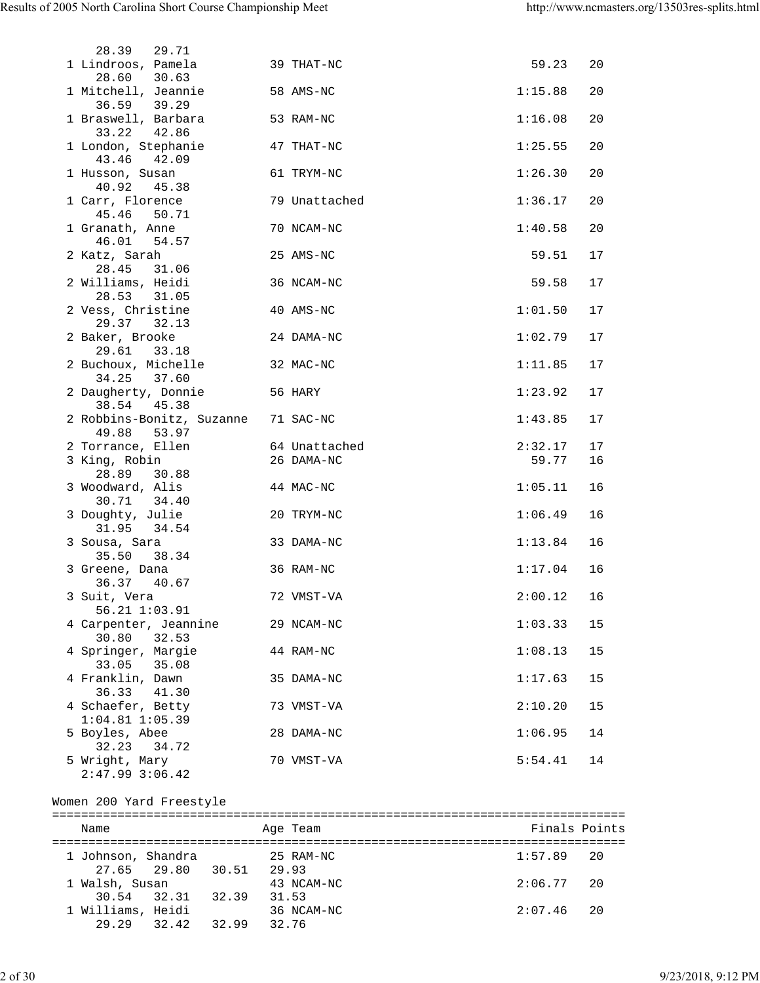| 29.71<br>28.39                                     |               |         |    |
|----------------------------------------------------|---------------|---------|----|
| 1 Lindroos, Pamela                                 | 39 THAT-NC    | 59.23   | 20 |
| 28.60 30.63<br>1 Mitchell, Jeannie                 | 58 AMS-NC     | 1:15.88 | 20 |
| 36.59 39.29<br>1 Braswell, Barbara<br>33.22 42.86  | 53 RAM-NC     | 1:16.08 | 20 |
| 1 London, Stephanie<br>43.46 42.09                 | 47 THAT-NC    | 1:25.55 | 20 |
| 1 Husson, Susan<br>40.92<br>45.38                  | 61 TRYM-NC    | 1:26.30 | 20 |
| 1 Carr, Florence<br>45.46<br>50.71                 | 79 Unattached | 1:36.17 | 20 |
| 1 Granath, Anne<br>46.01 54.57                     | 70 NCAM-NC    | 1:40.58 | 20 |
| 2 Katz, Sarah<br>28.45 31.06                       | 25 AMS-NC     | 59.51   | 17 |
| 2 Williams, Heidi<br>28.53 31.05                   | 36 NCAM-NC    | 59.58   | 17 |
| 2 Vess, Christine<br>29.37 32.13                   | 40 AMS-NC     | 1:01.50 | 17 |
| 2 Baker, Brooke<br>29.61 33.18                     | 24 DAMA-NC    | 1:02.79 | 17 |
| 2 Buchoux, Michelle<br>34.25<br>37.60              | 32 MAC-NC     | 1:11.85 | 17 |
| 2 Daugherty, Donnie<br>56 HARY<br>38.54 45.38      |               | 1:23.92 | 17 |
| 2 Robbins-Bonitz, Suzanne 71 SAC-NC<br>49.88 53.97 |               | 1:43.85 | 17 |
| 2 Torrance, Ellen                                  | 64 Unattached | 2:32.17 | 17 |
| 3 King, Robin<br>28.89 30.88                       | 26 DAMA-NC    | 59.77   | 16 |
| 3 Woodward, Alis<br>30.71 34.40                    | 44 MAC-NC     | 1:05.11 | 16 |
| 3 Doughty, Julie<br>31.95<br>34.54                 | 20 TRYM-NC    | 1:06.49 | 16 |
| 3 Sousa, Sara<br>35.50<br>38.34                    | 33 DAMA-NC    | 1:13.84 | 16 |
| 3 Greene, Dana<br>36.37 40.67                      | 36 RAM-NC     | 1:17.04 | 16 |
| 3 Suit, Vera<br>56.21 1:03.91                      | 72 VMST-VA    | 2:00.12 | 16 |
| 4 Carpenter, Jeannine<br>32.53<br>30.80            | 29 NCAM-NC    | 1:03.33 | 15 |
| 4 Springer, Margie<br>33.05<br>35.08               | 44 RAM-NC     | 1:08.13 | 15 |
| 4 Franklin, Dawn<br>41.30<br>36.33                 | 35 DAMA-NC    | 1:17.63 | 15 |
| 4 Schaefer, Betty<br>$1:04.81$ $1:05.39$           | 73 VMST-VA    | 2:10.20 | 15 |
| 5 Boyles, Abee<br>32.23<br>34.72                   | 28 DAMA-NC    | 1:06.95 | 14 |
| 5 Wright, Mary<br>$2:47.99$ $3:06.42$              | 70 VMST-VA    | 5:54.41 | 14 |
|                                                    |               |         |    |

## Women 200 Yard Freestyle

| Name                              |       |       |       | Age Team            | Finals Points |  |
|-----------------------------------|-------|-------|-------|---------------------|---------------|--|
| 1 Johnson, Shandra<br>27.65 29.80 |       | 30.51 | 29.93 | 25 RAM-NC           | $1:57.89$ 20  |  |
| 1 Walsh, Susan<br>30.54 32.31     |       | 32.39 |       | 43 NCAM-NC<br>31.53 | $2:06.77$ 20  |  |
| 1 Williams, Heidi<br>29.29        | 32.42 | 32.99 | 32.76 | 36 NCAM-NC          | $2:07.46$ 20  |  |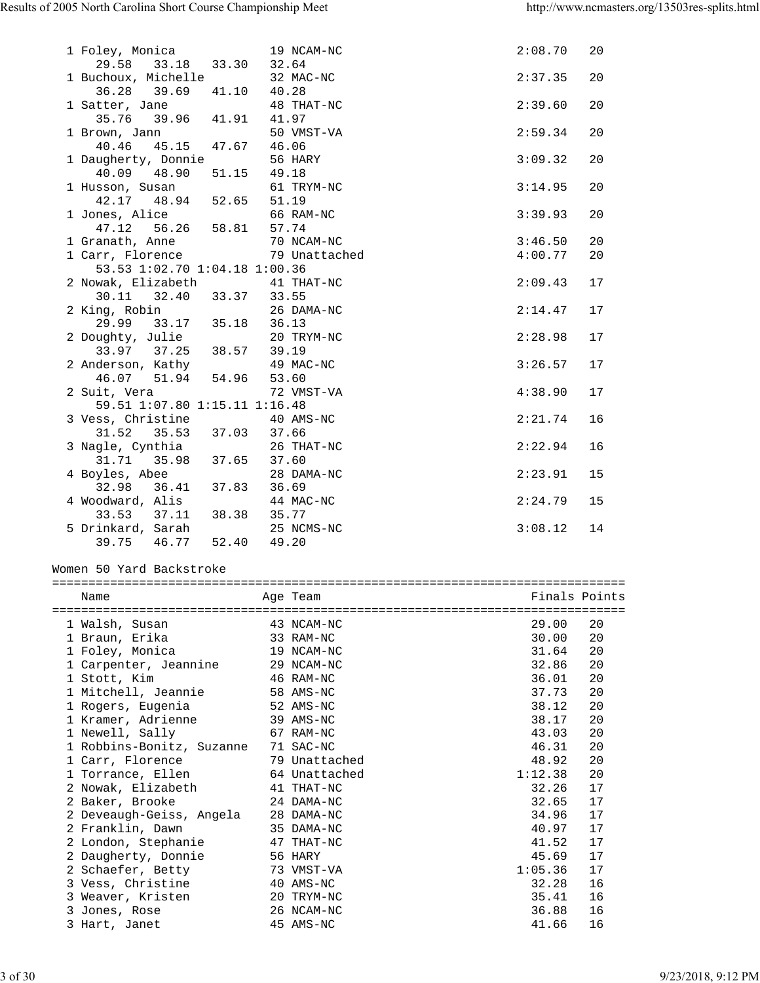| 29.58 33.18 33.30                                            | 32.64                          |                              |  |
|--------------------------------------------------------------|--------------------------------|------------------------------|--|
| 1 Buchoux, Michelle                                          | 32 MAC-NC                      | 2:37.35<br>20                |  |
| 36.28 39.69 41.10 40.28                                      |                                |                              |  |
| 1 Satter, Jane 48 TH <sub>1</sub><br>35.76 39.96 41.91 41.97 | 48 THAT-NC                     | 20<br>2:39.60                |  |
|                                                              |                                |                              |  |
| 1 Brown, Jann                                                | 50 VMST-VA                     | 2:59.34<br>20                |  |
| 40.46  45.15  47.67  46.06                                   |                                |                              |  |
| 1 Daugherty, Donnie                                          | 56 HARY                        | 20<br>3:09.32                |  |
| 40.09 48.90<br>51.15 49.18                                   |                                |                              |  |
| 1 Husson, Susan<br>42.17 48.94 52.65                         | 61 TRYM-NC<br>51.19            | 3:14.95<br>20                |  |
| 1 Jones, Alice                                               | 66 RAM-NC                      | 3:39.93<br>20                |  |
| 47.12 56.26 58.81 57.74                                      |                                |                              |  |
| 1 Granath, Anne                                              | 70 NCAM-NC                     | 3:46.50<br>20                |  |
| 1 Carr, Florence 79 Unattached                               |                                | 4:00.77<br>20                |  |
| 53.53 1:02.70 1:04.18 1:00.36                                |                                |                              |  |
| 2 Nowak, Elizabeth 41 THAT-NC                                |                                | 2:09.43<br>17                |  |
| 30.11 32.40 33.37 33.55                                      |                                |                              |  |
| 2 King, Robin                                                | 26 DAMA-NC                     | 2:14.47<br>17                |  |
| 29.99 33.17 35.18 36.13                                      |                                |                              |  |
| 2 Doughty, Julie                                             | 20 TRYM-NC                     | 2:28.98<br>17                |  |
| 33.97 37.25 38.57 39.19                                      |                                |                              |  |
| 2 Anderson, Kathy 19 MA<br>46.07 51.94 54.96 53.60           | 49 MAC-NC                      | 3:26.57<br>17                |  |
| 2 Suit, Vera                                                 | 72 VMST-VA                     | 4:38.90<br>17                |  |
| 59.51 1:07.80 1:15.11 1:16.48                                |                                |                              |  |
| 3 Vess, Christine 40 AMS-NC                                  |                                | 2:21.74<br>16                |  |
|                                                              |                                |                              |  |
|                                                              |                                | 2:22.94<br>16                |  |
| 3 Nagle, Cynthia<br>31.71 35.98 37.65 37.60                  |                                |                              |  |
|                                                              | 28 DAMA-NC                     | 2:23.91<br>15                |  |
| 4 Boyles, Abee 28 DAI<br>32.98 36.41 37.83 36.69             |                                |                              |  |
|                                                              |                                | 2:24.79<br>15                |  |
| 4 Woodward, Alis                                             | 44 MAC-NC                      |                              |  |
| 33.53 37.11 38.38 35.77                                      |                                |                              |  |
|                                                              | 25 NCMS-NC                     | 3:08.12<br>14                |  |
| 5 Drinkard, Sarah 25 NCI 39.75 46.77 52.40 49.20             |                                |                              |  |
|                                                              |                                |                              |  |
| Women 50 Yard Backstroke                                     |                                |                              |  |
| Name                                                         | Age Team                       | Finals Points                |  |
|                                                              |                                |                              |  |
| 1 Walsh, Susan                                               | 43 NCAM-NC                     | 29.00<br>20                  |  |
| 1 Braun, Erika                                               | 33 RAM-NC                      | 20<br>30.00                  |  |
| 1 Foley, Monica                                              | 19 NCAM-NC                     | 20<br>31.64                  |  |
| 1 Carpenter, Jeannine                                        | 29 NCAM-NC                     | 32.86<br>20                  |  |
| 1 Stott, Kim                                                 | 46 RAM-NC                      | 36.01<br>20                  |  |
| 1 Mitchell, Jeannie                                          | 58 AMS-NC                      | 20<br>37.73                  |  |
| 1 Rogers, Eugenia                                            | 52 AMS-NC                      | 38.12<br>20                  |  |
| 1 Kramer, Adrienne                                           | 39 AMS-NC                      | 20<br>38.17                  |  |
| 1 Newell, Sally                                              | 67 RAM-NC                      | 43.03<br>20                  |  |
| 1 Robbins-Bonitz, Suzanne                                    | 71 SAC-NC                      | 46.31<br>20                  |  |
| 1 Carr, Florence                                             | 79 Unattached<br>64 Unattached | 20<br>48.92                  |  |
| 1 Torrance, Ellen<br>2 Nowak, Elizabeth                      | 41 THAT-NC                     | 1:12.38<br>20<br>32.26<br>17 |  |
| 2 Baker, Brooke                                              | 24 DAMA-NC                     | 17<br>32.65                  |  |
| 2 Deveaugh-Geiss, Angela                                     | 28 DAMA-NC                     | 17<br>34.96                  |  |
| 2 Franklin, Dawn                                             | 35 DAMA-NC                     | 17<br>40.97                  |  |
| 2 London, Stephanie                                          | 47 THAT-NC                     | 17<br>41.52                  |  |
| 2 Daugherty, Donnie                                          | 56 HARY                        | 17<br>45.69                  |  |
| 2 Schaefer, Betty                                            | 73 VMST-VA                     | 1:05.36<br>17                |  |
| 3 Vess, Christine                                            | 40 AMS-NC                      | 16<br>32.28                  |  |
| 3 Weaver, Kristen                                            | 20 TRYM-NC                     | 35.41<br>16                  |  |
| 3 Jones, Rose<br>3 Hart, Janet                               | 26 NCAM-NC<br>45 AMS-NC        | 16<br>36.88<br>41.66<br>16   |  |

1 Foley, Monica 19 NCAM-NC 2:08.70 20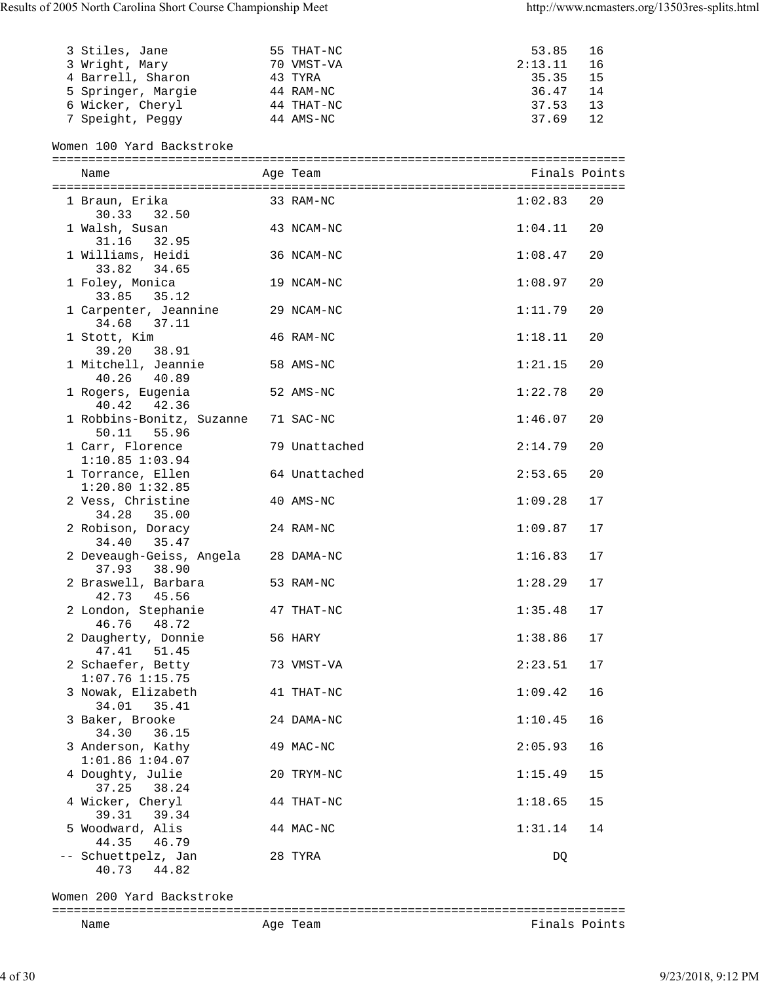| 3 Stiles, Jane     | 55 THAT-NC | 53.85<br>- 16  |  |
|--------------------|------------|----------------|--|
| 3 Wright, Mary     | 70 VMST-VA | 2:13.11<br>-16 |  |
| 4 Barrell, Sharon  | 43 TYRA    | 35.35<br>- 15  |  |
| 5 Springer, Margie | 44 RAM-NC  | 36.47<br>- 14  |  |
| 6 Wicker, Cheryl   | 44 THAT-NC | 37.53<br>13    |  |
| 7 Speight, Peggy   | 44 AMS-NC  | 37.69<br>12    |  |

## Women 100 Yard Backstroke

| Name                                        | Age Team      | Finals Points |    |
|---------------------------------------------|---------------|---------------|----|
| 1 Braun, Erika<br>30.33<br>32.50            | 33 RAM-NC     | 1:02.83       | 20 |
| 1 Walsh, Susan<br>31.16 32.95               | 43 NCAM-NC    | 1:04.11       | 20 |
| 1 Williams, Heidi<br>33.82 34.65            | 36 NCAM-NC    | 1:08.47       | 20 |
| 1 Foley, Monica<br>33.85 35.12              | 19 NCAM-NC    | 1:08.97       | 20 |
| 1 Carpenter, Jeannine<br>34.68 37.11        | 29 NCAM-NC    | 1:11.79       | 20 |
| 1 Stott, Kim<br>39.20 38.91                 | 46 RAM-NC     | 1:18.11       | 20 |
| 1 Mitchell, Jeannie<br>40.26 40.89          | 58 AMS-NC     | 1:21.15       | 20 |
| 1 Rogers, Eugenia<br>40.42 42.36            | 52 AMS-NC     | 1:22.78       | 20 |
| 1 Robbins-Bonitz, Suzanne<br>50.11<br>55.96 | 71 SAC-NC     | 1:46.07       | 20 |
| 1 Carr, Florence<br>$1:10.85$ $1:03.94$     | 79 Unattached | 2:14.79       | 20 |
| 1 Torrance, Ellen<br>$1:20.80$ $1:32.85$    | 64 Unattached | 2:53.65       | 20 |
| 2 Vess, Christine<br>34.28 35.00            | 40 AMS-NC     | 1:09.28       | 17 |
| 2 Robison, Doracy<br>34.40<br>35.47         | 24 RAM-NC     | 1:09.87       | 17 |
| 2 Deveaugh-Geiss, Angela<br>37.93 38.90     | 28 DAMA-NC    | 1:16.83       | 17 |
| 2 Braswell, Barbara<br>42.73<br>45.56       | 53 RAM-NC     | 1:28.29       | 17 |
| 2 London, Stephanie<br>46.76 48.72          | 47 THAT-NC    | 1:35.48       | 17 |
| 2 Daugherty, Donnie<br>47.41 51.45          | 56 HARY       | 1:38.86       | 17 |
| 2 Schaefer, Betty<br>$1:07.76$ $1:15.75$    | 73 VMST-VA    | 2:23.51       | 17 |
| 3 Nowak, Elizabeth<br>34.01 35.41           | 41 THAT-NC    | 1:09.42       | 16 |
| 3 Baker, Brooke<br>34.30<br>36.15           | 24 DAMA-NC    | 1:10.45       | 16 |
| 3 Anderson, Kathy<br>$1:01.86$ $1:04.07$    | 49 MAC-NC     | 2:05.93       | 16 |
| 4 Doughty, Julie<br>37.25<br>38.24          | 20 TRYM-NC    | 1:15.49       | 15 |
| 4 Wicker, Cheryl<br>39.31<br>39.34          | 44 THAT-NC    | 1:18.65       | 15 |
| 5 Woodward, Alis<br>44.35<br>46.79          | 44 MAC-NC     | 1:31.14       | 14 |
| -- Schuettpelz, Jan<br>44.82<br>40.73       | 28 TYRA       | DQ            |    |

Women 200 Yard Backstroke

## ===============================================================================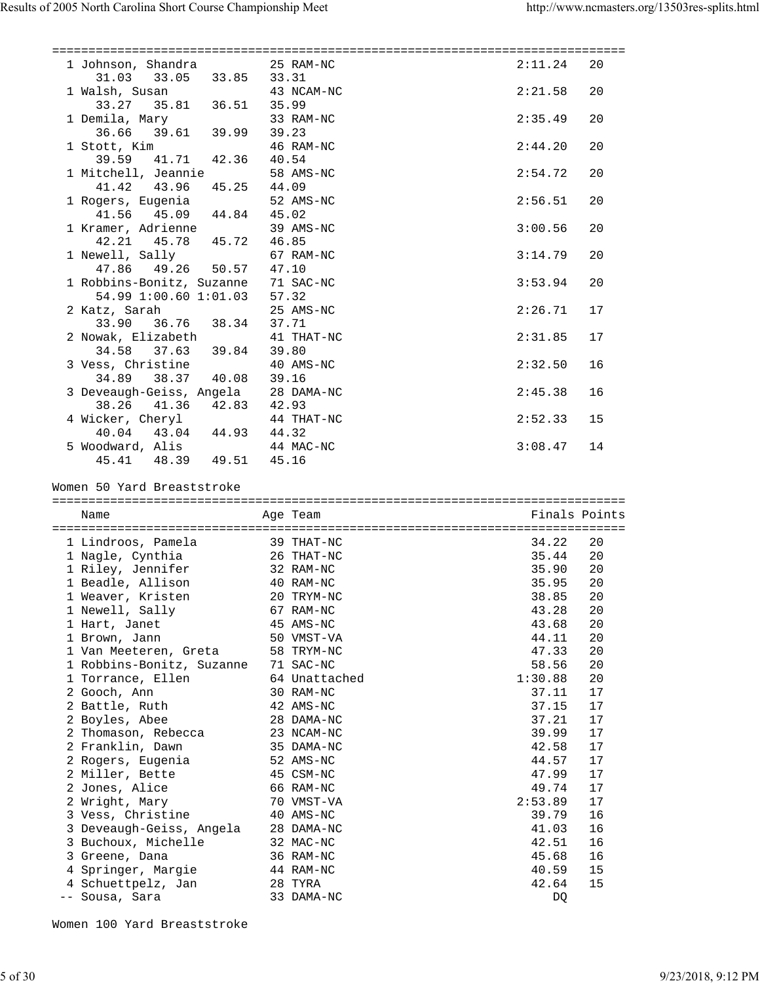| 1 Johnson, Shandra 25 RAM-NC<br>31.03 33.05 33.85 33.31            |       |                       | 2:11.24       | 20 |
|--------------------------------------------------------------------|-------|-----------------------|---------------|----|
| 1 Walsh, Susan 43 NCAM-NC<br>33.27 35.81 36.51 35.99               |       |                       | 2:21.58       | 20 |
| 1 Demila, Mary 39.61 39.99 39.23                                   |       | 33 RAM-NC             | 2:35.49       | 20 |
| 1 Stott, Kim                                                       |       | 46 RAM-NC             | 2:44.20       | 20 |
| 39.59 41.71 42.36 40.54<br>1 Mitchell, Jeannie                     |       | 58 AMS-NC             | 2:54.72       | 20 |
| 41.42 43.96 45.25 44.09                                            |       |                       |               |    |
| 1 Rogers, Eugenia<br>41.56  45.09  44.84  45.02                    |       | 52 AMS-NC             | 2:56.51       | 20 |
| 1 Kramer, Adrienne<br>42.21 45.78 45.72 46.85                      |       | 39 AMS-NC             | 3:00.56       | 20 |
| 1 Newell, Sally<br>47.86  49.26  50.57  47.10                      |       | 67 RAM-NC             | 3:14.79       | 20 |
| 1 Robbins-Bonitz, Suzanne 71 SAC-NC<br>54.99 1:00.60 1:01.03 57.32 |       |                       | 3:53.94       | 20 |
| 2 Katz, Sarah                                                      |       | 25 AMS-NC             | 2:26.71       | 17 |
| 33.90 36.76 38.34 37.71<br>2 Nowak, Elizabeth                      |       | 41 THAT-NC            | 2:31.85       | 17 |
| 34.58 37.63 39.84<br>3 Vess, Christine                             | 39.80 | 40 AMS-NC             | 2:32.50       | 16 |
| 34.89 38.37 40.08 39.16<br>3 Deveaugh-Geiss, Angela 28 DAMA-NC     |       |                       | 2:45.38       | 16 |
| 38.26 41.36 42.83 42.93                                            |       |                       | 2:52.33       | 15 |
| 4 Wicker, Cheryl 44 THAT-NC<br>40.04 43.04 44.93 44.32             |       |                       | 3:08.47       | 14 |
| 5 Woodward, Alis 44 MAC-NC<br>$45.41$ $48.39$ $49.51$ $45.16$      |       |                       |               |    |
|                                                                    |       |                       |               |    |
|                                                                    |       |                       |               |    |
| Women 50 Yard Breaststroke                                         |       |                       |               |    |
|                                                                    |       |                       |               |    |
| Name                                                               |       | Age Team              | Finals Points |    |
|                                                                    |       |                       |               |    |
| 1 Lindroos, Pamela 39 THAT-NC                                      |       |                       | 34.22         | 20 |
| 1 Nagle, Cynthia 26 THAT-NC                                        |       |                       | 35.44         | 20 |
| 1 Riley, Jennifer 32 RAM-NC                                        |       |                       | 35.90         | 20 |
| 1 Beadle, Allison 40 RAM-NC                                        |       |                       | 35.95         | 20 |
| 1 Weaver, Kristen                                                  |       | 20 TRYM-NC            | 38.85         | 20 |
| 1 Newell, Sally                                                    |       | 67 RAM-NC             | 43.28         | 20 |
| 1 Hart, Janet                                                      |       | 45 AMS-NC             | 43.68         | 20 |
| 1 Brown, Jann                                                      |       | 50 VMST-VA            | 44.11         | 20 |
| 1 Van Meeteren, Greta                                              |       | 58 TRYM-NC            | 47.33         | 20 |
| 1 Robbins-Bonitz, Suzanne                                          |       | 71 SAC-NC             | 58.56         | 20 |
| 1 Torrance, Ellen                                                  |       | 64 Unattached         | 1:30.88       | 20 |
| 2 Gooch, Ann                                                       |       | 30 RAM-NC             | 37.11         | 17 |
| 2 Battle, Ruth                                                     |       | 42 AMS-NC             | 37.15         | 17 |
| 2 Boyles, Abee                                                     |       | 28 DAMA-NC            | 37.21         | 17 |
| 2 Thomason, Rebecca                                                |       | 23 NCAM-NC            | 39.99         | 17 |
| 2 Franklin, Dawn                                                   |       | 35 DAMA-NC            | 42.58         | 17 |
| 2 Rogers, Eugenia                                                  |       | 52 AMS-NC             | 44.57         | 17 |
| 2 Miller, Bette                                                    |       | 45 CSM-NC             | 47.99         | 17 |
| 2 Jones, Alice                                                     |       | 66 RAM-NC             | 49.74         | 17 |
| 2 Wright, Mary                                                     |       | 70 VMST-VA            | 2:53.89       | 17 |
| 3 Vess, Christine                                                  |       | 40 AMS-NC             | 39.79         | 16 |
| 3 Deveaugh-Geiss, Angela                                           |       | 28 DAMA-NC            | 41.03         | 16 |
| 3 Buchoux, Michelle                                                |       | 32 MAC-NC             | 42.51         | 16 |
| 3 Greene, Dana                                                     |       | 36 RAM-NC             | 45.68         | 16 |
| 4 Springer, Margie                                                 |       | 44 RAM-NC             | 40.59         | 15 |
| 4 Schuettpelz, Jan<br>-- Sousa, Sara                               |       | 28 TYRA<br>33 DAMA-NC | 42.64<br>DQ   | 15 |

Women 100 Yard Breaststroke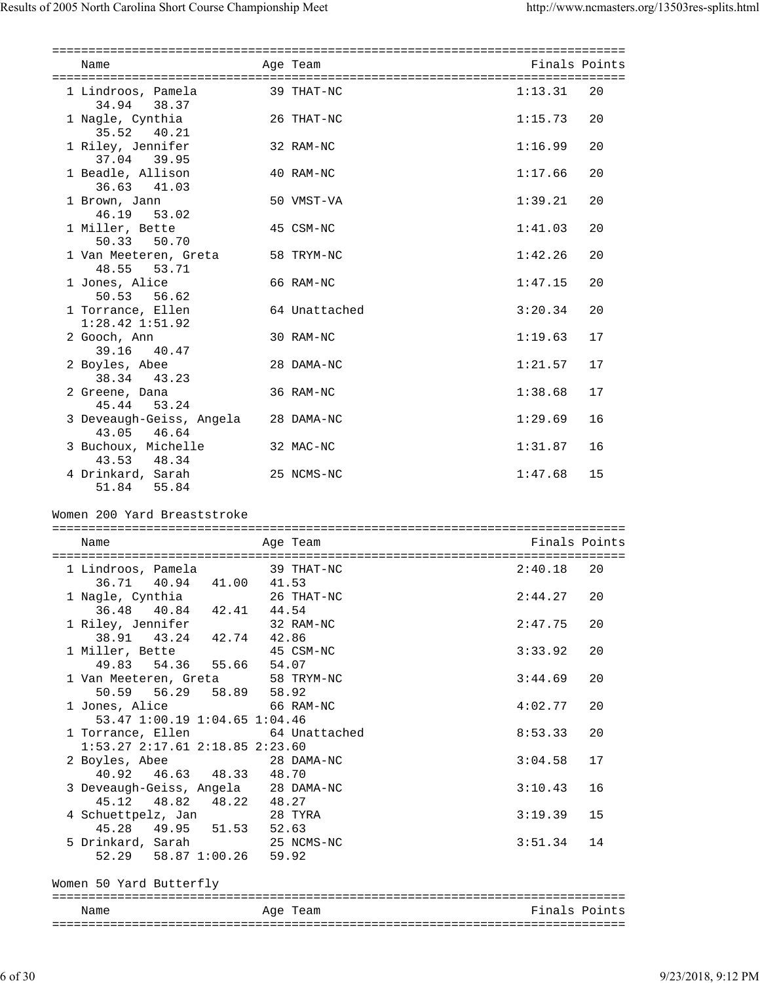| Name                                                              | Age Team      | Finals Points |    |
|-------------------------------------------------------------------|---------------|---------------|----|
| 1 Lindroos, Pamela                                                | 39 THAT-NC    | 1:13.31       | 20 |
| 34.94 38.37<br>1 Nagle, Cynthia                                   | 26 THAT-NC    | 1:15.73       | 20 |
| 35.52 40.21                                                       |               |               |    |
| 1 Riley, Jennifer<br>37.04 39.95                                  | 32 RAM-NC     | 1:16.99       | 20 |
| 1 Beadle, Allison<br>36.63 41.03                                  | 40 RAM-NC     | 1:17.66       | 20 |
| 1 Brown, Jann                                                     | 50 VMST-VA    | 1:39.21       | 20 |
| 46.19<br>53.02<br>1 Miller, Bette                                 | 45 CSM-NC     | 1:41.03       | 20 |
| 50.33<br>50.70<br>1 Van Meeteren, Greta                           | 58 TRYM-NC    | 1:42.26       | 20 |
| 48.55 53.71<br>1 Jones, Alice                                     | 66 RAM-NC     | 1:47.15       | 20 |
| 50.53 56.62                                                       |               |               |    |
| 1 Torrance, Ellen<br>$1:28.42$ $1:51.92$                          | 64 Unattached | 3:20.34       | 20 |
| 2 Gooch, Ann<br>39.16<br>40.47                                    | 30 RAM-NC     | 1:19.63       | 17 |
| 2 Boyles, Abee<br>43.23<br>38.34                                  | 28 DAMA-NC    | 1:21.57       | 17 |
| 2 Greene, Dana<br>53.24                                           | 36 RAM-NC     | 1:38.68       | 17 |
| 45.44<br>3 Deveaugh-Geiss, Angela                                 | 28 DAMA-NC    | 1:29.69       | 16 |
| 43.05 46.64<br>3 Buchoux, Michelle                                | 32 MAC-NC     | 1:31.87       | 16 |
| 43.53 48.34                                                       |               |               |    |
| 4 Drinkard, Sarah<br>51.84 55.84                                  | 25 NCMS-NC    | 1:47.68       | 15 |
| Women 200 Yard Breaststroke<br>Name                               | Age Team      | Finals Points |    |
| 1 Lindroos, Pamela                                                | 39 THAT-NC    | 2:40.18       | 20 |
| 36.71 40.94 41.00 41.53<br>1 Nagle, Cynthia                       | 26 THAT-NC    | 2:44.27       | 20 |
| 36.48 40.84 42.41 44.54                                           |               |               |    |
| 1 Riley, Jennifer<br>38.91 43.24 42.74 42.86                      | 32 RAM-NC     | 2:47.75       | 20 |
| 1 Miller, Bette 45 CSM-NC<br>49.83 54.36 55.66 54.07              |               | 3:33.92       | 20 |
| 1 Van Meeteren, Greta<br>50.59 56.29 58.89 58.92                  | 58 TRYM-NC    | 3:44.69       | 20 |
| 1 Jones, Alice                                                    | 66 RAM-NC     | 4:02.77       | 20 |
| 53.47 1:00.19 1:04.65 1:04.46<br>1 Torrance, Ellen                | 64 Unattached | 8:53.33       | 20 |
| 1:53.27 2:17.61 2:18.85 2:23.60<br>2 Boyles, Abee                 | 28 DAMA-NC    | 3:04.58       | 17 |
| 40.92  46.63  48.33  48.70<br>3 Deveaugh-Geiss, Angela 28 DAMA-NC |               | 3:10.43       | 16 |
| 45.12  48.82  48.22  48.27                                        |               | 3:19.39       | 15 |
| 4 Schuettpelz, Jan 28 TYRA<br>45.28  49.95  51.53  52.63          |               |               |    |
| 5 Drinkard, Sarah 25 NCMS-NC<br>52.29 58.87 1:00.26 59.92         |               | $3:51.34$ 14  |    |
| Women 50 Yard Butterfly                                           |               |               |    |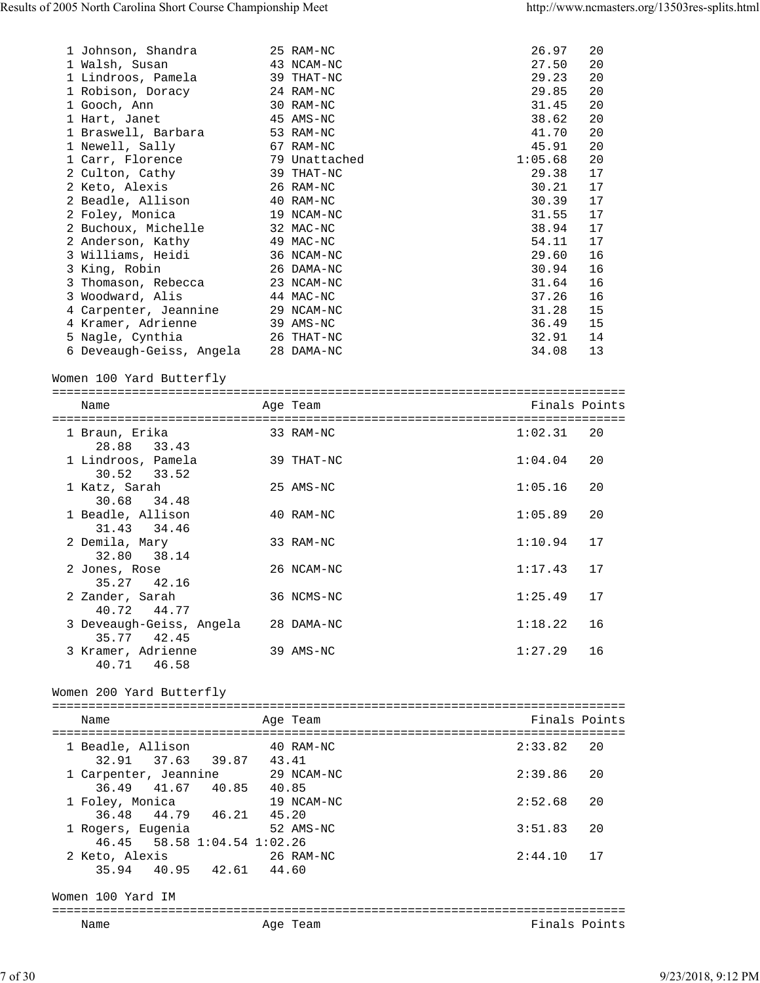| 1 Johnson, Shandra<br>1 Walsh, Susan<br>1 Lindroos, Pamela<br>1 Robison, Doracy<br>1 Gooch, Ann<br>1 Hart, Janet<br>1 Braswell, Barbara<br>1 Newell, Sally<br>1 Carr, Florence<br>2 Culton, Cathy<br>2 Keto, Alexis<br>2 Beadle, Allison<br>2 Foley, Monica<br>2 Buchoux, Michelle<br>2 Anderson, Kathy<br>3 Williams, Heidi<br>3 King, Robin<br>3 Thomason, Rebecca<br>3 Woodward, Alis<br>4 Carpenter, Jeannine<br>4 Kramer, Adrienne<br>5 Nagle, Cynthia |       | 25 RAM-NC<br>43 NCAM-NC<br>39 THAT-NC<br>24 RAM-NC<br>30 RAM-NC<br>45 AMS-NC<br>53 RAM-NC<br>67 RAM-NC<br>79 Unattached<br>39 THAT-NC<br>26 RAM-NC<br>40 RAM-NC<br>19 NCAM-NC<br>32 MAC-NC<br>49 MAC-NC<br>36 NCAM-NC<br>26 DAMA-NC<br>23 NCAM-NC<br>44 MAC-NC<br>29 NCAM-NC<br>39 AMS-NC<br>26 THAT-NC | 26.97<br>27.50<br>29.23<br>29.85<br>31.45<br>38.62<br>41.70<br>45.91<br>1:05.68<br>29.38<br>30.21<br>30.39<br>31.55<br>38.94<br>54.11<br>29.60<br>30.94<br>31.64<br>37.26<br>31.28<br>36.49<br>32.91 | 20<br>20<br>20<br>20<br>20<br>20<br>20<br>20<br>20<br>17<br>17<br>17<br>17<br>17<br>17<br>16<br>16<br>16<br>16<br>15<br>15<br>14 |
|-------------------------------------------------------------------------------------------------------------------------------------------------------------------------------------------------------------------------------------------------------------------------------------------------------------------------------------------------------------------------------------------------------------------------------------------------------------|-------|---------------------------------------------------------------------------------------------------------------------------------------------------------------------------------------------------------------------------------------------------------------------------------------------------------|------------------------------------------------------------------------------------------------------------------------------------------------------------------------------------------------------|----------------------------------------------------------------------------------------------------------------------------------|
| 6 Deveaugh-Geiss, Angela                                                                                                                                                                                                                                                                                                                                                                                                                                    |       | 28 DAMA-NC                                                                                                                                                                                                                                                                                              | 34.08                                                                                                                                                                                                | 13                                                                                                                               |
| Women 100 Yard Butterfly                                                                                                                                                                                                                                                                                                                                                                                                                                    |       |                                                                                                                                                                                                                                                                                                         |                                                                                                                                                                                                      |                                                                                                                                  |
| Name                                                                                                                                                                                                                                                                                                                                                                                                                                                        |       | Age Team                                                                                                                                                                                                                                                                                                | Finals Points                                                                                                                                                                                        |                                                                                                                                  |
|                                                                                                                                                                                                                                                                                                                                                                                                                                                             |       |                                                                                                                                                                                                                                                                                                         |                                                                                                                                                                                                      |                                                                                                                                  |
| 1 Braun, Erika<br>28.88 33.43                                                                                                                                                                                                                                                                                                                                                                                                                               |       | 33 RAM-NC                                                                                                                                                                                                                                                                                               | 1:02.31                                                                                                                                                                                              | 20                                                                                                                               |
| 1 Lindroos, Pamela<br>30.52 33.52                                                                                                                                                                                                                                                                                                                                                                                                                           |       | 39 THAT-NC                                                                                                                                                                                                                                                                                              | 1:04.04                                                                                                                                                                                              | 20                                                                                                                               |
| 1 Katz, Sarah<br>30.68 34.48                                                                                                                                                                                                                                                                                                                                                                                                                                |       | 25 AMS-NC                                                                                                                                                                                                                                                                                               | 1:05.16                                                                                                                                                                                              | 20                                                                                                                               |
| 1 Beadle, Allison<br>31.43 34.46                                                                                                                                                                                                                                                                                                                                                                                                                            |       | 40 RAM-NC                                                                                                                                                                                                                                                                                               | 1:05.89                                                                                                                                                                                              | 20                                                                                                                               |
| 2 Demila, Mary<br>32.80 38.14                                                                                                                                                                                                                                                                                                                                                                                                                               |       | 33 RAM-NC                                                                                                                                                                                                                                                                                               | 1:10.94                                                                                                                                                                                              | 17                                                                                                                               |
| 2 Jones, Rose<br>35.27 42.16                                                                                                                                                                                                                                                                                                                                                                                                                                |       | 26 NCAM-NC                                                                                                                                                                                                                                                                                              | 1:17.43                                                                                                                                                                                              | 17                                                                                                                               |
| 2 Zander, Sarah<br>40.72 44.77                                                                                                                                                                                                                                                                                                                                                                                                                              |       | 36 NCMS-NC                                                                                                                                                                                                                                                                                              | $1:25.49$ 17                                                                                                                                                                                         |                                                                                                                                  |
| 3 Deveaugh-Geiss, Angela 28 DAMA-NC<br>35.77 42.45                                                                                                                                                                                                                                                                                                                                                                                                          |       |                                                                                                                                                                                                                                                                                                         | 1:18.22                                                                                                                                                                                              | 16                                                                                                                               |
| 3 Kramer, Adrienne<br>40.71 46.58                                                                                                                                                                                                                                                                                                                                                                                                                           |       | 39 AMS-NC                                                                                                                                                                                                                                                                                               | 1:27.29                                                                                                                                                                                              | 16                                                                                                                               |
| Women 200 Yard Butterfly                                                                                                                                                                                                                                                                                                                                                                                                                                    |       |                                                                                                                                                                                                                                                                                                         |                                                                                                                                                                                                      |                                                                                                                                  |
| Name                                                                                                                                                                                                                                                                                                                                                                                                                                                        |       | Age Team                                                                                                                                                                                                                                                                                                | Finals Points                                                                                                                                                                                        |                                                                                                                                  |
|                                                                                                                                                                                                                                                                                                                                                                                                                                                             |       |                                                                                                                                                                                                                                                                                                         |                                                                                                                                                                                                      |                                                                                                                                  |
| 1 Beadle, Allison                                                                                                                                                                                                                                                                                                                                                                                                                                           |       | 40 RAM-NC                                                                                                                                                                                                                                                                                               | 2:33.82                                                                                                                                                                                              | 20                                                                                                                               |
| 32.91 37.63 39.87 43.41<br>1 Carpenter, Jeannine                                                                                                                                                                                                                                                                                                                                                                                                            |       | 29 NCAM-NC                                                                                                                                                                                                                                                                                              | 2:39.86                                                                                                                                                                                              | 20                                                                                                                               |
| 40.85 40.85<br>36.49 41.67                                                                                                                                                                                                                                                                                                                                                                                                                                  |       |                                                                                                                                                                                                                                                                                                         |                                                                                                                                                                                                      |                                                                                                                                  |
| 1 Foley, Monica<br>36.48 44.79 46.21 45.20                                                                                                                                                                                                                                                                                                                                                                                                                  |       | 19 NCAM-NC                                                                                                                                                                                                                                                                                              | 2:52.68                                                                                                                                                                                              | 20                                                                                                                               |
| 1 Rogers, Eugenia<br>46.45 58.58 1:04.54 1:02.26                                                                                                                                                                                                                                                                                                                                                                                                            |       | 52 AMS-NC                                                                                                                                                                                                                                                                                               | 3:51.83                                                                                                                                                                                              | 20                                                                                                                               |
| 2 Keto, Alexis<br>35.94 40.95 42.61                                                                                                                                                                                                                                                                                                                                                                                                                         | 44.60 | 26 RAM-NC                                                                                                                                                                                                                                                                                               | 2:44.10                                                                                                                                                                                              | 17                                                                                                                               |
|                                                                                                                                                                                                                                                                                                                                                                                                                                                             |       |                                                                                                                                                                                                                                                                                                         |                                                                                                                                                                                                      |                                                                                                                                  |
| Women 100 Yard IM                                                                                                                                                                                                                                                                                                                                                                                                                                           |       |                                                                                                                                                                                                                                                                                                         |                                                                                                                                                                                                      |                                                                                                                                  |
| Name                                                                                                                                                                                                                                                                                                                                                                                                                                                        |       | Age Team                                                                                                                                                                                                                                                                                                | Finals Points                                                                                                                                                                                        |                                                                                                                                  |
|                                                                                                                                                                                                                                                                                                                                                                                                                                                             |       |                                                                                                                                                                                                                                                                                                         |                                                                                                                                                                                                      |                                                                                                                                  |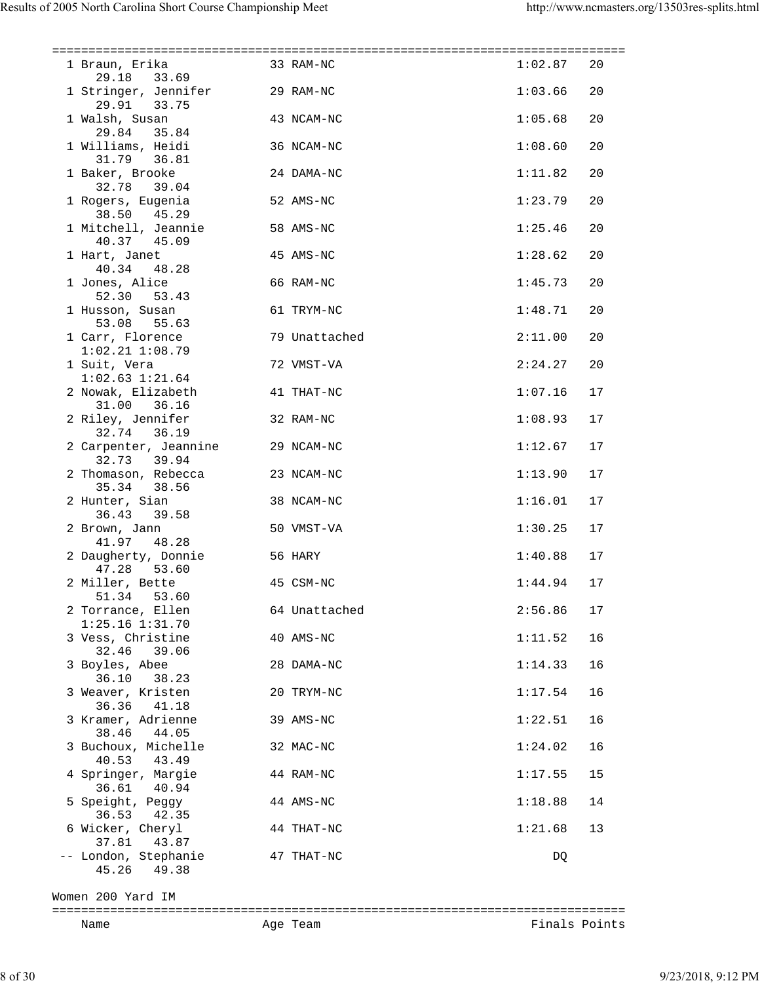| 1 Braun, Erika 33 RAM-NC<br>29.18 33.69         |            |               | 1:02.87 | 20 |
|-------------------------------------------------|------------|---------------|---------|----|
| 1 Stringer, Jennifer 29 RAM-NC<br>29.91 33.75   |            |               | 1:03.66 | 20 |
| 1 Walsh, Susan<br>$29.84$ $35.84$               | 43 NCAM-NC |               | 1:05.68 | 20 |
| 1 Williams, Heidi<br>31.79 36.81                | 36 NCAM-NC |               | 1:08.60 | 20 |
| 1 Baker, Brooke<br>32.78 39.04                  | 24 DAMA-NC |               | 1:11.82 | 20 |
| 1 Rogers, Eugenia<br>38.50 45.29                | 52 AMS-NC  |               | 1:23.79 | 20 |
| 1 Mitchell, Jeannie<br>40.37 45.09              | 58 AMS-NC  |               | 1:25.46 | 20 |
| 1 Hart, Janet<br>40.34 48.28                    | 45 AMS-NC  |               | 1:28.62 | 20 |
| 1 Jones, Alice<br>52.30 53.43                   | 66 RAM-NC  |               | 1:45.73 | 20 |
| 1 Husson, Susan<br>53.08 55.63                  | 61 TRYM-NC |               | 1:48.71 | 20 |
| 1 Carr, Florence<br>$1:02.21$ $1:08.79$         |            | 79 Unattached | 2:11.00 | 20 |
| 1 Suit, Vera<br>$1:02.63$ $1:21.64$             | 72 VMST-VA |               | 2:24.27 | 20 |
| 2 Nowak, Elizabeth<br>31.00 36.16               | 41 THAT-NC |               | 1:07.16 | 17 |
| 2 Riley, Jennifer<br>32.74 36.19                | 32 RAM-NC  |               | 1:08.93 | 17 |
| 2 Carpenter, Jeannine 29 NCAM-NC<br>32.73 39.94 |            |               | 1:12.67 | 17 |
| 2 Thomason, Rebecca 23 NCAM-NC<br>35.34 38.56   |            |               | 1:13.90 | 17 |
| 2 Hunter, Sian<br>36.43 39.58                   | 38 NCAM-NC |               | 1:16.01 | 17 |
| 2 Brown, Jann<br>41.97 48.28                    | 50 VMST-VA |               | 1:30.25 | 17 |
| 2 Daugherty, Donnie<br>47.28 53.60              | 56 HARY    |               | 1:40.88 | 17 |
| 2 Miller, Bette<br>51.34 53.60                  | 45 CSM-NC  |               | 1:44.94 | 17 |
| 2 Torrance, Ellen<br>1:25.16 1:31.70            |            | 64 Unattached | 2:56.86 | 17 |
| 3 Vess, Christine<br>32.46<br>39.06             | 40 AMS-NC  |               | 1:11.52 | 16 |
| 3 Boyles, Abee<br>36.10<br>38.23                | 28 DAMA-NC |               | 1:14.33 | 16 |
| 3 Weaver, Kristen<br>36.36 41.18                | 20 TRYM-NC |               | 1:17.54 | 16 |
| 3 Kramer, Adrienne<br>38.46<br>44.05            | 39 AMS-NC  |               | 1:22.51 | 16 |
| 3 Buchoux, Michelle<br>40.53<br>43.49           | 32 MAC-NC  |               | 1:24.02 | 16 |
| 4 Springer, Margie<br>36.61 40.94               | 44 RAM-NC  |               | 1:17.55 | 15 |
| 5 Speight, Peggy<br>36.53 42.35                 | 44 AMS-NC  |               | 1:18.88 | 14 |
| 6 Wicker, Cheryl<br>37.81 43.87                 | 44 THAT-NC |               | 1:21.68 | 13 |
| -- London, Stephanie<br>49.38<br>45.26          | 47 THAT-NC |               | DQ      |    |

Women 200 Yard IM

=============================================================================== Finals Points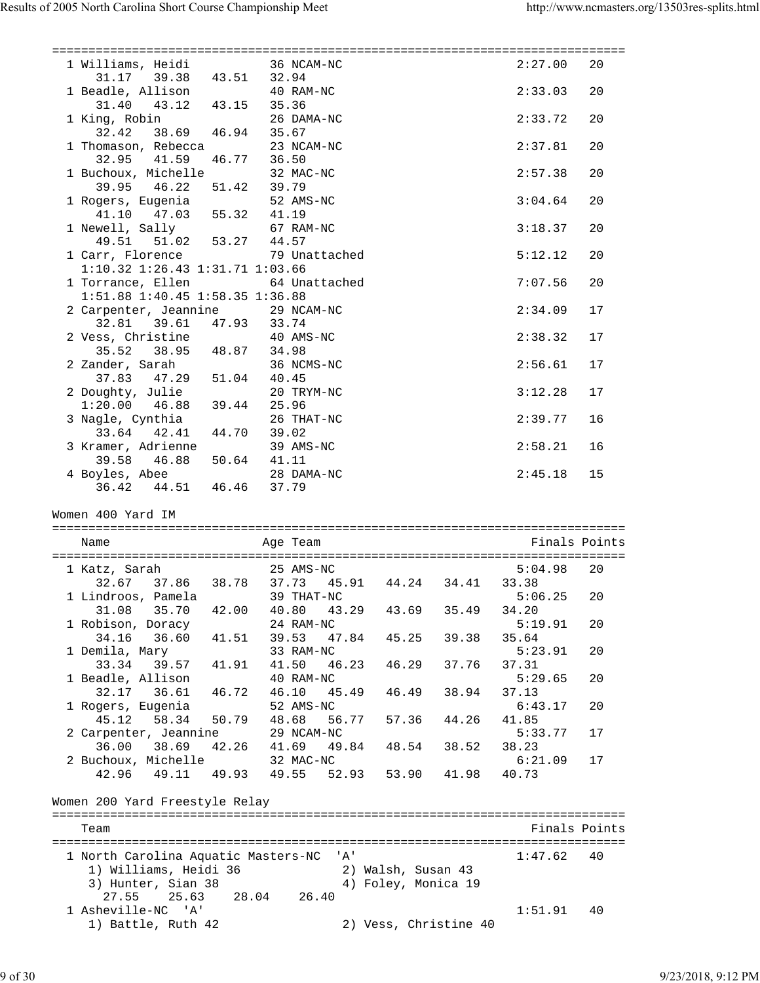| 1 Williams, Heidi 36 NCAM-NC                                        |             |                             |                       |       | 2:27.00          | 20 |
|---------------------------------------------------------------------|-------------|-----------------------------|-----------------------|-------|------------------|----|
| 31.17 39.38 43.51 32.94<br>1 Beadle, Allison 40 RAM-NC              |             |                             |                       |       | 2:33.03          | 20 |
| 31.40  43.12  43.15  35.36                                          |             | 26 DAMA-NC                  |                       |       | 2:33.72          | 20 |
| 1 King, Robin 26 DAM<br>32.42 38.69 46.94 35.67                     |             |                             |                       |       |                  |    |
| 1 Thomason, Rebecca<br>32.95 41.59                                  | 46.77 36.50 | 23 NCAM-NC                  |                       |       | 2:37.81          | 20 |
| 1 Buchoux, Michelle<br>39.95 46.22 51.42 39.79                      |             | 32 MAC-NC                   |                       |       | 2:57.38          | 20 |
| 1 Rogers, Eugenia 52 AM.<br>41.10 47.03 55.32 41.19                 |             | 52 AMS-NC                   |                       |       | 3:04.64          | 20 |
| 1 Newell, Sally 67 RAM-NC<br>49.51 51.02 53.27 44.57                |             |                             |                       |       | 3:18.37          | 20 |
| 1 Carr, Florence 79 Unattached                                      |             |                             |                       |       | 5:12.12          | 20 |
| 1:10.32 1:26.43 1:31.71 1:03.66<br>1 Torrance, Ellen 64 Unattached  |             |                             |                       |       | 7:07.56          | 20 |
| 1:51.88 1:40.45 1:58.35 1:36.88<br>2 Carpenter, Jeannine 29 NCAM-NC |             |                             |                       |       | 2:34.09          | 17 |
| 32.81 39.61 47.93 33.74<br>2 Vess, Christine 40 AMS-NC              |             |                             |                       |       | 2:38.32          | 17 |
| 35.52 38.95 48.87 34.98                                             |             |                             |                       |       |                  |    |
| 2 Zander, Sarah 36 NCI<br>37.83 47.29 51.04 40.45                   |             | 36 NCMS-NC                  |                       |       | 2:56.61          | 17 |
| 2 Doughty, Julie<br>1:20.00  46.88  39.44  25.96                    |             | 20 TRYM-NC                  |                       |       | 3:12.28          | 17 |
| 3 Nagle, Cynthia<br>33.64 42.41 44.70 39.02                         |             | 26 THAT-NC                  |                       |       | 2:39.77          | 16 |
| 3 Kramer, Adrienne 39 AMS-NC<br>39.58 46.88 50.64 41.11             |             |                             |                       |       | 2:58.21          | 16 |
| 4 Boyles, Abee 28 DAMA-NC<br>36.42 44.51 46.46 37.79                |             |                             |                       |       | 2:45.18          | 15 |
|                                                                     |             |                             |                       |       |                  |    |
|                                                                     |             |                             |                       |       |                  |    |
| Women 400 Yard IM                                                   |             |                             |                       |       |                  |    |
| Name                                                                |             | Age Team                    |                       |       | Finals Points    |    |
|                                                                     |             |                             |                       |       |                  |    |
| 1 Katz, Sarah                                                       |             | $25$ AMS-NC                 |                       |       | 5:04.98          | 20 |
| 32.67 37.86 38.78 37.73 45.91 44.24 34.41 33.38                     |             |                             |                       |       |                  |    |
| 1 Lindroos, Pamela 39 THAT-NC                                       |             |                             |                       |       | 5:06.25          | 20 |
| 31.08 35.70<br>1 Robison, Doracy                                    | 42.00       | 40.80<br>43.29<br>24 RAM-NC | 43.69                 | 35.49 | 34.20<br>5:19.91 | 20 |
| 34.16<br>36.60                                                      | 41.51       | 47.84<br>39.53              | 45.25                 | 39.38 | 35.64            |    |
| 1 Demila, Mary                                                      |             | 33 RAM-NC                   |                       |       | 5:23.91          | 20 |
| 39.57<br>33.34                                                      | 41.91       | 41.50<br>46.23              | 46.29                 | 37.76 | 37.31            |    |
| 1 Beadle, Allison                                                   |             | 40 RAM-NC                   |                       |       | 5:29.65          | 20 |
| 36.61<br>32.17                                                      | 46.72       | 46.10<br>45.49              | 46.49                 | 38.94 | 37.13            |    |
| 1 Rogers, Eugenia                                                   |             | 52 AMS-NC                   |                       |       | 6:43.17          | 20 |
| 45.12<br>58.34                                                      | 50.79       | 48.68<br>56.77              | 57.36                 | 44.26 | 41.85            |    |
| 2 Carpenter, Jeannine                                               |             | 29 NCAM-NC                  |                       |       | 5:33.77          | 17 |
| 36.00<br>38.69                                                      | 42.26       | 41.69<br>49.84              | 48.54                 | 38.52 | 38.23            |    |
| 2 Buchoux, Michelle                                                 |             | 32 MAC-NC                   |                       |       | 6:21.09          | 17 |
| 42.96<br>49.11                                                      | 49.93       | 49.55<br>52.93              | 53.90                 | 41.98 | 40.73            |    |
|                                                                     |             |                             |                       |       |                  |    |
| Women 200 Yard Freestyle Relay                                      |             |                             |                       |       |                  |    |
|                                                                     |             |                             |                       |       |                  |    |
| Team                                                                |             |                             |                       |       | Finals Points    |    |
|                                                                     |             |                             |                       |       |                  |    |
| 1 North Carolina Aquatic Masters-NC                                 |             | $^{\prime}$ A $^{\prime}$   |                       |       | 1:47.62          | 40 |
| 1) Williams, Heidi 36                                               |             |                             | 2) Walsh, Susan 43    |       |                  |    |
| 3) Hunter, Sian 38                                                  |             |                             | 4) Foley, Monica 19   |       |                  |    |
| 27.55<br>25.63                                                      | 28.04       | 26.40                       |                       |       |                  |    |
| 1 Asheville-NC 'A'                                                  |             |                             |                       |       | 1:51.91          | 40 |
| 1) Battle, Ruth 42                                                  |             |                             | 2) Vess, Christine 40 |       |                  |    |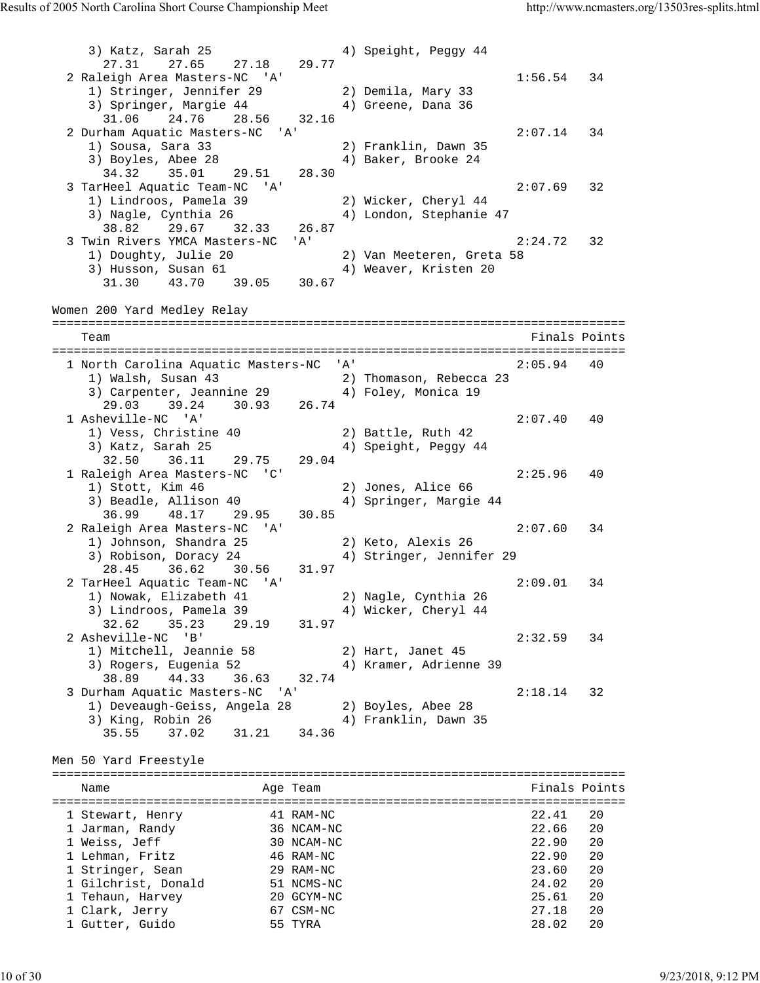3) Katz, Sarah 25 4) Speight, Peggy 44 27.31 27.65 27.18 29.77 2 Raleigh Area Masters-NC 'A' 1:56.54 34 1) Stringer, Jennifer 29 2) Demila, Mary 33 3) Springer, Margie 44  $\hskip 4cm 4$ ) Greene, Dana 36 31.06 24.76 28.56 32.16 2 Durham Aquatic Masters-NC 'A' 2:07.14 34<br>1) Sousa, Sara 33 2) Franklin, Dawn 35 1) Sousa, Sara 33 2) Franklin, Dawn 35 3) Boyles, Abee 28 4) Baker, Brooke 24 34.32 35.01 29.51 28.30 3 TarHeel Aquatic Team-NC 'A' 2:07.69 32 1) Lindroos, Pamela 39 2) Wicker, Cheryl 44 3) Nagle, Cynthia 26 4) London, Stephanie 47 38.82 29.67 32.33 26.87 3 Twin Rivers YMCA Masters-NC 'A' 2:24.72 32 1) Doughty, Julie 20 2) Van Meeteren, Greta 58 3) Husson, Susan 61 4) Weaver, Kristen 20 31.30 43.70 39.05 30.67 Women 200 Yard Medley Relay =============================================================================== Team Finals Points =============================================================================== 1 North Carolina Aquatic Masters-NC 'A' 2:05.94 40 1) Walsh, Susan 43 2) Thomason, Rebecca 23 3) Carpenter, Jeannine 29  $\hskip1cm$  4) Foley, Monica 19 29.03 39.24 30.93 26.74 1 Asheville-NC 'A' 2:07.40 40 1) Vess, Christine 40 2) Battle, Ruth 42 3) Katz, Sarah 25 4) Speight, Peggy 44 32.50 36.11 29.75 29.04 1 Raleigh Area Masters-NC 'C' 2:25.96 40 1) Stott, Kim 46 2) Jones, Alice 66 3) Beadle, Allison 40 4) Springer, Margie 44 36.99 48.17 29.95 30.85 2 Raleigh Area Masters-NC 'A' 2:07.60 34 1) Johnson, Shandra 25 2) Keto, Alexis 26 3) Robison, Doracy 24 4) Stringer, Jennifer 29 28.45 36.62 30.56 31.97 2 TarHeel Aquatic Team-NC 'A' 2:09.01 34 1) Nowak, Elizabeth 41 2) Nagle, Cynthia 26 3) Lindroos, Pamela 39 4) Wicker, Cheryl 44 32.62 35.23 29.19 31.97 2 Asheville-NC 'B' 2:32.59 34 1) Mitchell, Jeannie 58 2) Hart, Janet 45 3) Rogers, Eugenia 52 4) Kramer, Adrienne 39 38.89 44.33 36.63 32.74 3 Durham Aquatic Masters-NC 'A' 2:18.14 32 1) Deveaugh-Geiss, Angela 28 2) Boyles, Abee 28 3) King, Robin 26 4) Franklin, Dawn 35 35.55 37.02 31.21 34.36 Men 50 Yard Freestyle =============================================================================== Name **Age Team** Age Team Finals Points =============================================================================== 1 Stewart, Henry 41 RAM-NC 22.41 20 1 Jarman, Randy 36 NCAM-NC 22.66 20 1 Weiss, Jeff 30 NCAM-NC 22.90 20 1 Lehman, Fritz 46 RAM-NC 22.90 20 1 Stringer, Sean 29 RAM-NC 23.60 20 1 Gilchrist, Donald 51 NCMS-NC 24.02 20 1 Tehaun, Harvey 20 GCYM-NC 25.61 20 1 Clark, Jerry 67 CSM-NC 27.18 20 1 Gutter, Guido 55 TYRA 28.02 20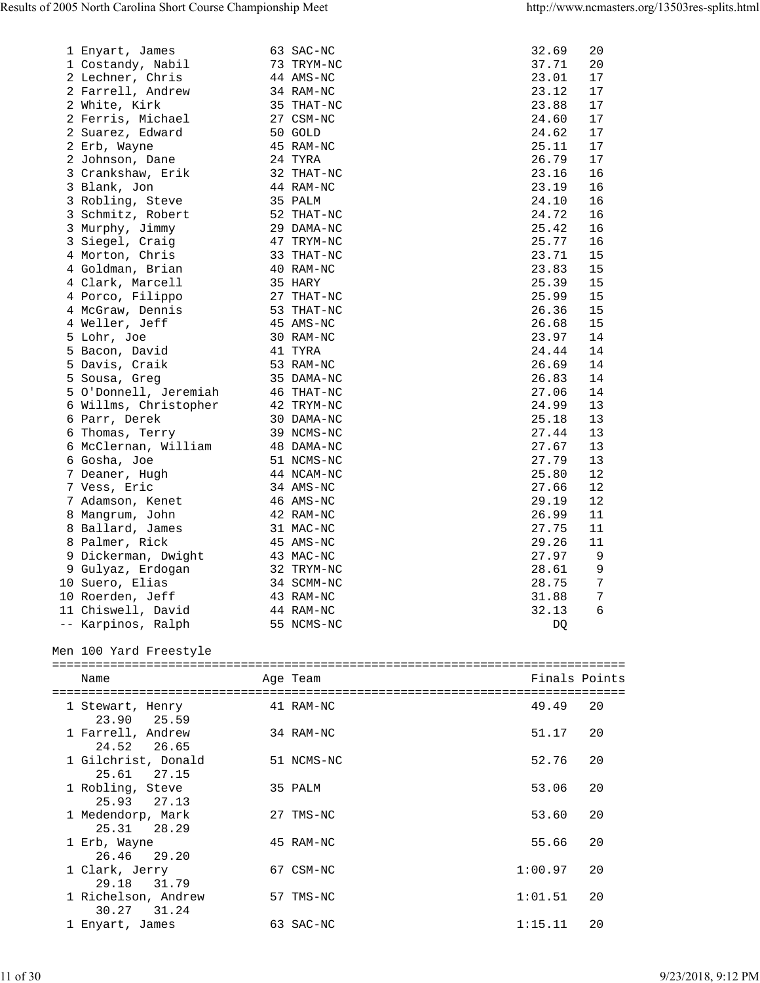| 1 Enyart, James       | 63 SAC-NC               | 32.69 | 20                |
|-----------------------|-------------------------|-------|-------------------|
| 1 Costandy, Nabil     | 73 TRYM-NC              | 37.71 | 20                |
| 2 Lechner, Chris      | 44 AMS-NC               | 23.01 | 17                |
| 2 Farrell, Andrew     | 34 RAM-NC               | 23.12 | 17                |
| 2 White, Kirk         | 35 THAT-NC              | 23.88 | 17                |
| 2 Ferris, Michael     | 27 CSM-NC               | 24.60 | 17                |
| 2 Suarez, Edward      | 50 GOLD                 | 24.62 | 17                |
| 2 Erb, Wayne          | 45 RAM-NC               | 25.11 | 17                |
| 2 Johnson, Dane       | 24 TYRA                 | 26.79 | 17                |
| 3 Crankshaw, Erik     | 32 THAT-NC              | 23.16 | 16                |
| 3 Blank, Jon          | 44 RAM-NC               | 23.19 | 16                |
| 3 Robling, Steve      | 35 PALM                 | 24.10 | 16                |
| 3 Schmitz, Robert     | 52 THAT-NC              | 24.72 | 16                |
| 3 Murphy, Jimmy       | 29 DAMA-NC              | 25.42 | 16                |
| 3 Siegel, Craig       | 47 TRYM-NC              | 25.77 | 16                |
| 4 Morton, Chris       | 33 THAT-NC              | 23.71 | 15                |
| 4 Goldman, Brian      | 40 RAM-NC               | 23.83 | 15                |
| 4 Clark, Marcell      | 35 HARY                 | 25.39 | 15                |
| 4 Porco, Filippo      | 27 THAT-NC              | 25.99 | 15                |
| 4 McGraw, Dennis      | 53 THAT-NC              | 26.36 | 15                |
| 4 Weller, Jeff        | 45 AMS-NC               | 26.68 | 15                |
| 5 Lohr, Joe           | 30 RAM-NC               | 23.97 | 14                |
| 5 Bacon, David        | 41 TYRA                 | 24.44 | 14                |
| 5 Davis, Craik        | 53 RAM-NC               | 26.69 | 14                |
| 5 Sousa, Greg         | 35 DAMA-NC              | 26.83 | 14                |
| 5 O'Donnell, Jeremiah | 46 THAT-NC              | 27.06 | 14                |
| 6 Willms, Christopher | 42 TRYM-NC              | 24.99 | 13                |
| 6 Parr, Derek         | 30 DAMA-NC              | 25.18 | 13                |
| 6 Thomas, Terry       | 39 NCMS-NC              | 27.44 | 13                |
| 6 McClernan, William  | 48 DAMA-NC              | 27.67 | 13                |
| 6 Gosha, Joe          | 51 NCMS-NC              | 27.79 | 13                |
| 7 Deaner, Hugh        | 44 NCAM-NC              | 25.80 | $12 \overline{ }$ |
| 7 Vess, Eric          | 34 AMS-NC               | 27.66 | 12                |
| 7 Adamson, Kenet      | 46 AMS-NC               | 29.19 | 12                |
| 8 Mangrum, John       | 42 RAM-NC               | 26.99 | 11                |
| 8 Ballard, James      | 31 MAC-NC               | 27.75 | 11                |
| 8 Palmer, Rick        | 45 AMS-NC               | 29.26 | 11                |
| 9 Dickerman, Dwight   | 43 MAC-NC               | 27.97 | 9                 |
| 9 Gulyaz, Erdogan     | 32 TRYM-NC              | 28.61 | 9                 |
| 10 Suero, Elias       | 34 SCMM-NC              | 28.75 | $7\phantom{.0}$   |
| 10 Roerden, Jeff      | 43 RAM-NC               | 31.88 | 7                 |
| 11 Chiswell, David    | 44 RAM-NC<br>55 NCMS-NC | 32.13 | 6                 |
| -- Karpinos, Ralph    |                         | DQ    |                   |

Men 100 Yard Freestyle

| Name                                  | Age Team   | Finals Points |    |
|---------------------------------------|------------|---------------|----|
| 1 Stewart, Henry<br>23.90<br>25.59    | 41 RAM-NC  | 49.49         | 20 |
| 1 Farrell, Andrew<br>24.52 26.65      | 34 RAM-NC  | 51.17         | 20 |
| 1 Gilchrist, Donald<br>25.61<br>27.15 | 51 NCMS-NC | 52.76         | 20 |
| 1 Robling, Steve<br>25.93 27.13       | 35 PALM    | 53.06         | 20 |
| 1 Medendorp, Mark<br>25.31 28.29      | 27 TMS-NC  | 53.60         | 20 |
| 1 Erb, Wayne<br>26.46<br>29.20        | 45 RAM-NC  | 55.66         | 20 |
| 1 Clark, Jerry<br>29.18 31.79         | 67 CSM-NC  | 1:00.97       | 20 |
| 1 Richelson, Andrew<br>30.27 31.24    | 57 TMS-NC  | 1:01.51       | 20 |
| 1 Enyart, James                       | 63 SAC-NC  | 1:15.11       | 20 |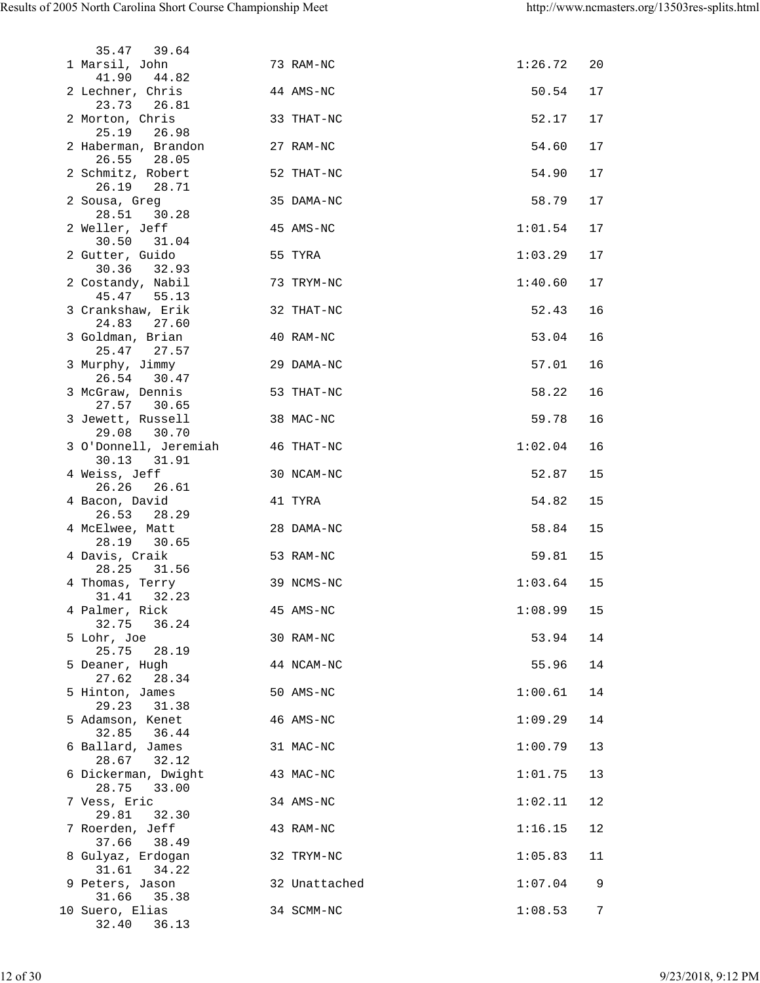| 35.47 39.64                           |           |               |         |    |
|---------------------------------------|-----------|---------------|---------|----|
| 1 Marsil, John<br>41.90 44.82         |           | 73 RAM-NC     | 1:26.72 | 20 |
| 2 Lechner, Chris<br>23.73 26.81       |           | 44 AMS-NC     | 50.54   | 17 |
| 2 Morton, Chris<br>25.19 26.98        |           | 33 THAT-NC    | 52.17   | 17 |
| 2 Haberman, Brandon<br>26.55<br>28.05 | 27 RAM-NC |               | 54.60   | 17 |
| 2 Schmitz, Robert<br>26.19 28.71      |           | 52 THAT-NC    | 54.90   | 17 |
| 2 Sousa, Greg<br>28.51<br>30.28       |           | 35 DAMA-NC    | 58.79   | 17 |
| 2 Weller, Jeff<br>30.50 31.04         |           | 45 AMS-NC     | 1:01.54 | 17 |
| 2 Gutter, Guido<br>30.36 32.93        |           | 55 TYRA       | 1:03.29 | 17 |
| 2 Costandy, Nabil<br>45.47 55.13      |           | 73 TRYM-NC    | 1:40.60 | 17 |
| 3 Crankshaw, Erik<br>24.83<br>27.60   |           | 32 THAT-NC    | 52.43   | 16 |
| 3 Goldman, Brian<br>25.47 27.57       |           | 40 RAM-NC     | 53.04   | 16 |
| 3 Murphy, Jimmy<br>26.54 30.47        |           | 29 DAMA-NC    | 57.01   | 16 |
| 3 McGraw, Dennis<br>27.57 30.65       |           | 53 THAT-NC    | 58.22   | 16 |
| 3 Jewett, Russell<br>29.08 30.70      |           | 38 MAC-NC     | 59.78   | 16 |
| 3 O'Donnell, Jeremiah<br>30.13 31.91  |           | 46 THAT-NC    | 1:02.04 | 16 |
| 4 Weiss, Jeff<br>26.26 26.61          |           | 30 NCAM-NC    | 52.87   | 15 |
| 4 Bacon, David<br>26.53 28.29         |           | 41 TYRA       | 54.82   | 15 |
| 4 McElwee, Matt<br>28.19 30.65        |           | 28 DAMA-NC    | 58.84   | 15 |
| 4 Davis, Craik<br>28.25 31.56         |           | 53 RAM-NC     | 59.81   | 15 |
| 4 Thomas, Terry<br>31.41<br>32.23     |           | 39 NCMS-NC    | 1:03.64 | 15 |
| 4 Palmer, Rick<br>32.75<br>36.24      |           | 45 AMS-NC     | 1:08.99 | 15 |
| 5 Lohr, Joe<br>25.75<br>28.19         |           | 30 RAM-NC     | 53.94   | 14 |
| 5 Deaner, Hugh<br>27.62<br>28.34      |           | 44 NCAM-NC    | 55.96   | 14 |
| 5 Hinton, James<br>29.23<br>31.38     |           | 50 AMS-NC     | 1:00.61 | 14 |
| 5 Adamson, Kenet<br>32.85<br>36.44    |           | 46 AMS-NC     | 1:09.29 | 14 |
| 6 Ballard, James<br>28.67<br>32.12    |           | 31 MAC-NC     | 1:00.79 | 13 |
| 6 Dickerman, Dwight<br>28.75<br>33.00 |           | 43 MAC-NC     | 1:01.75 | 13 |
| 7 Vess, Eric<br>29.81<br>32.30        |           | 34 AMS-NC     | 1:02.11 | 12 |
| 7 Roerden, Jeff<br>37.66<br>38.49     |           | 43 RAM-NC     | 1:16.15 | 12 |
| 8 Gulyaz, Erdogan<br>31.61<br>34.22   |           | 32 TRYM-NC    | 1:05.83 | 11 |
| 9 Peters, Jason<br>31.66<br>35.38     |           | 32 Unattached | 1:07.04 | 9  |
| 10 Suero, Elias<br>32.40<br>36.13     |           | 34 SCMM-NC    | 1:08.53 | 7  |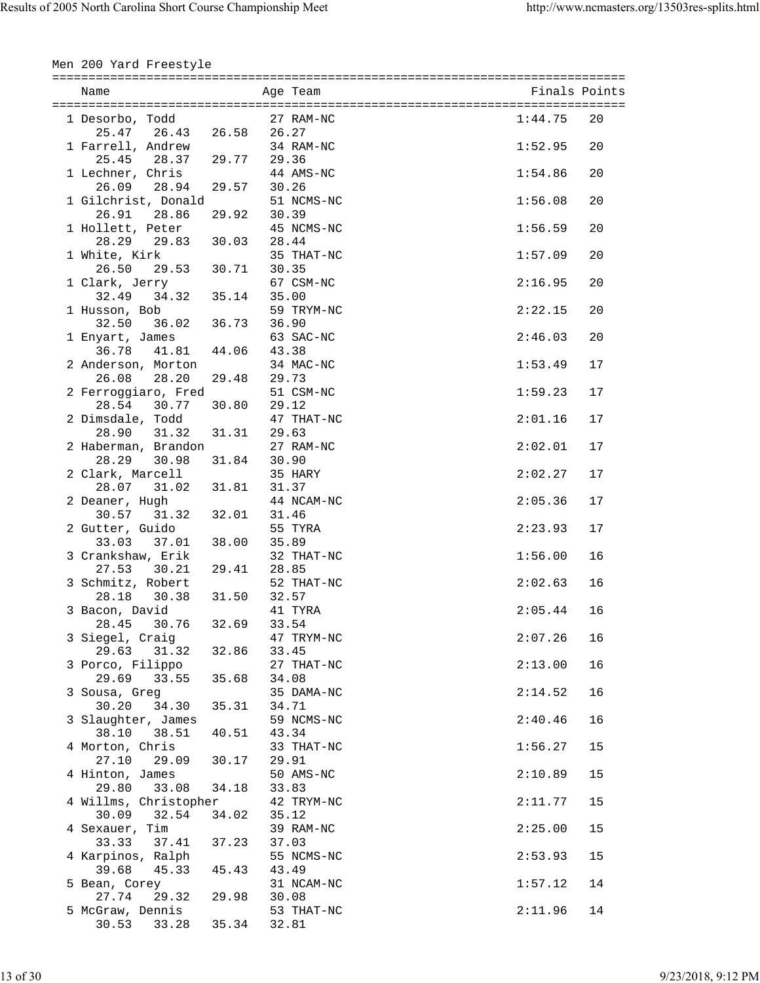| Men 200 Yard Freestyle                                               |                  |       |                                  |                    |          |
|----------------------------------------------------------------------|------------------|-------|----------------------------------|--------------------|----------|
| Name                                                                 |                  |       | Age Team                         | Finals Points      |          |
| 1 Desorbo, Todd<br>25.47 26.43 26.58 26.27                           |                  |       | 27 RAM-NC                        | 1:44.75            | 20       |
| 1 Farrell, Andrew<br>25.45 28.37 29.77 29.36                         |                  |       | 34 RAM-NC                        | 1:52.95            | 20       |
| 1 Lechner, Chris<br>26.09 28.94 29.57 30.26                          |                  |       | 44 AMS-NC                        | 1:54.86            | 20       |
| 1 Gilchrist, Donald<br>26.91 28.86 29.92                             |                  | 30.39 | 51 NCMS-NC                       | 1:56.08            | 20       |
| 1 Hollett, Peter<br>28.29 29.83 30.03 28.44                          |                  |       | 45 NCMS-NC                       | 1:56.59            | 20       |
| 1 White, Kirk<br>26.50 29.53 30.71 30.35                             |                  |       | 35 THAT-NC                       | 1:57.09            | 20       |
| 1 Clark, Jerry<br>32.49 34.32 35.14 35.00                            |                  |       | 67 CSM-NC                        | 2:16.95            | 20       |
| 1 Husson, Bob                                                        |                  |       | 59 TRYM-NC                       | 2:22.15            | 20       |
| 1 Enyart, James<br>36.78 41.81 44.06 43.38                           |                  |       | 63 SAC-NC                        | 2:46.03            | 20       |
| 2 Anderson, Morton<br>26.08 28.20<br>2 Ferroggiaro, Fred             | 29.48            | 29.73 | 34 MAC-NC<br>51 CSM-NC           | 1:53.49<br>1:59.23 | 17<br>17 |
| 28.54 30.77<br>2 Dimsdale, Todd                                      | 30.80 29.12      |       | 47 THAT-NC                       | 2:01.16            | 17       |
| 28.90 31.32 31.31 29.63<br>2 Haberman, Brandon                       |                  |       | 27 RAM-NC                        | 2:02.01            | 17       |
| 28.29 30.98 31.84 30.90<br>2 Clark, Marcell                          |                  |       | 35 HARY                          | 2:02.27            | 17       |
| 28.07 31.02 31.81 31.37<br>2 Deaner, Hugh                            |                  |       | 44 NCAM-NC                       | 2:05.36            | 17       |
| 30.57 31.32<br>2 Gutter, Guido                                       | 32.01 31.46      |       | 55 TYRA                          | 2:23.93            | 17       |
| 33.03 37.01 38.00<br>3 Crankshaw, Erik                               |                  | 35.89 | 32 THAT-NC                       | 1:56.00            | 16       |
| 30.21 29.41 28.85<br>27.53<br>3 Schmitz, Robert<br>28.18 30.38 31.50 |                  | 32.57 | 52 THAT-NC                       | 2:02.63            | 16       |
| 3 Bacon, David<br>28.45<br>30.76                                     | 41 TYRA<br>32.69 |       | 33.54                            | $2:05.44$ 16       |          |
| 3 Siegel, Craig<br>29.63 31.32                                       | 32.86            |       | 47 TRYM-NC<br>33.45              | 2:07.26            | 16       |
| 3 Porco, Filippo<br>29.69<br>33.55 35.68                             |                  |       | 27 THAT-NC<br>34.08              | 2:13.00            | 16       |
| 3 Sousa, Greg<br>30.20<br>34.30                                      | 35.31            |       | 35 DAMA-NC<br>34.71              | 2:14.52            | 16       |
| 3 Slaughter, James<br>38.10 38.51                                    | 40.51            |       | 59 NCMS-NC<br>43.34              | 2:40.46            | 16       |
| 4 Morton, Chris<br>27.10 29.09 30.17                                 |                  |       | 33 THAT-NC<br>29.91              | 1:56.27            | 15       |
| 4 Hinton, James<br>29.80 33.08                                       | 34.18            | 33.83 | 50 AMS-NC                        | 2:10.89            | 15       |
| 4 Willms, Christopher<br>32.54<br>30.09<br>4 Sexauer, Tim            | 34.02            |       | 42 TRYM-NC<br>35.12<br>39 RAM-NC | 2:11.77<br>2:25.00 | 15<br>15 |
| 33.33<br>37.41 37.23<br>4 Karpinos, Ralph                            |                  |       | 37.03<br>55 NCMS-NC              | 2:53.93            | 15       |
| 39.68<br>45.33<br>5 Bean, Corey                                      | 45.43            |       | 43.49<br>31 NCAM-NC              | 1:57.12            | 14       |
| 27.74<br>29.32 29.98<br>5 McGraw, Dennis                             |                  |       | 30.08<br>53 THAT-NC              | 2:11.96            | 14       |
| 30.53<br>33.28 35.34                                                 |                  |       | 32.81                            |                    |          |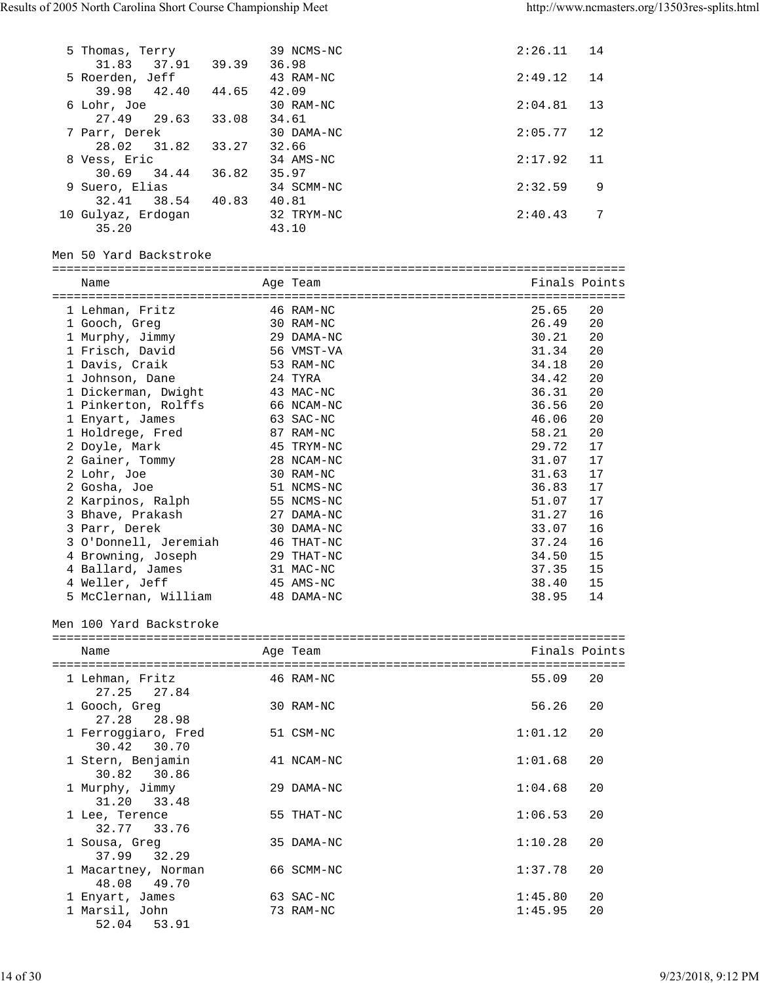| 5 Thomas, Terry         | 39 NCMS-NC | 2:26.11 | 14 |
|-------------------------|------------|---------|----|
| 31.83<br>37.91<br>39.39 | 36.98      |         |    |
| 5 Roerden, Jeff         | 43 RAM-NC  | 2:49.12 | 14 |
| 39.98<br>42.40<br>44.65 | 42.09      |         |    |
| 6 Lohr, Joe             | 30 RAM-NC  | 2:04.81 | 13 |
| 27.49 29.63<br>33.08    | 34.61      |         |    |
| 7 Parr, Derek           | 30 DAMA-NC | 2:05.77 | 12 |
| 28.02<br>31.82<br>33.27 | 32.66      |         |    |
| 8 Vess, Eric            | 34 AMS-NC  | 2:17.92 | 11 |
| 34.44<br>30.69<br>36.82 | 35.97      |         |    |
| 9 Suero, Elias          | 34 SCMM-NC | 2:32.59 | 9  |
| 38.54<br>40.83<br>32.41 | 40.81      |         |    |
| 10 Gulyaz, Erdogan      | 32 TRYM-NC | 2:40.43 | 7  |
| 35.20                   | 43.10      |         |    |

Men 50 Yard Backstroke

| =============         |            |               |    |
|-----------------------|------------|---------------|----|
| Name                  | Age Team   | Finals Points |    |
|                       |            |               |    |
| 1 Lehman, Fritz       | 46 RAM-NC  | 25.65         | 20 |
| 1 Gooch, Greg         | 30 RAM-NC  | 26.49         | 20 |
| 1 Murphy, Jimmy       | 29 DAMA-NC | 30.21         | 20 |
| 1 Frisch, David       | 56 VMST-VA | 31.34         | 20 |
| 1 Davis, Craik        | 53 RAM-NC  | 34.18         | 20 |
| 1 Johnson, Dane       | 24 TYRA    | 34.42         | 20 |
| 1 Dickerman, Dwight   | 43 MAC-NC  | 36.31         | 20 |
| 1 Pinkerton, Rolffs   | 66 NCAM-NC | 36.56         | 20 |
| 1 Enyart, James       | 63 SAC-NC  | 46.06         | 20 |
| 1 Holdrege, Fred      | 87 RAM-NC  | 58.21         | 20 |
| 2 Doyle, Mark         | 45 TRYM-NC | 29.72         | 17 |
| 2 Gainer, Tommy       | 28 NCAM-NC | 31.07         | 17 |
| 2 Lohr, Joe           | 30 RAM-NC  | 31.63         | 17 |
| 2 Gosha, Joe          | 51 NCMS-NC | 36.83         | 17 |
| 2 Karpinos, Ralph     | 55 NCMS-NC | 51.07         | 17 |
| 3 Bhave, Prakash      | 27 DAMA-NC | 31.27         | 16 |
| 3 Parr, Derek         | 30 DAMA-NC | 33.07         | 16 |
| 3 O'Donnell, Jeremiah | 46 THAT-NC | 37.24         | 16 |
| 4 Browning, Joseph    | 29 THAT-NC | 34.50         | 15 |
| 4 Ballard, James      | 31 MAC-NC  | 37.35         | 15 |
| 4 Weller, Jeff        | 45 AMS-NC  | 38.40         | 15 |
| 5 McClernan, William  | 48 DAMA-NC | 38.95         | 14 |

Men 100 Yard Backstroke

=============================================================================== Name Age Team Age Team Finals Points ===============================================================================

| 1 Lehman, Fritz     | 46 RAM-NC  | 55.09<br>20   |
|---------------------|------------|---------------|
| 27.25 27.84         |            |               |
| 1 Gooch, Greg       | 30 RAM-NC  | 20<br>56.26   |
| 27.28 28.98         |            |               |
| 1 Ferroggiaro, Fred | 51 CSM-NC  | 1:01.12<br>20 |
| 30.42 30.70         |            |               |
| 1 Stern, Benjamin   | 41 NCAM-NC | 20<br>1:01.68 |
| 30.82 30.86         |            |               |
| 1 Murphy, Jimmy     | 29 DAMA-NC | 1:04.68<br>20 |
| 31.20 33.48         |            |               |
| 1 Lee, Terence      | 55 THAT-NC | 1:06.53<br>20 |
| 32.77 33.76         |            |               |
| 1 Sousa, Greg       | 35 DAMA-NC | 1:10.28<br>20 |
| 37.99 32.29         |            |               |
| 1 Macartney, Norman | 66 SCMM-NC | 1:37.78<br>20 |
| 49.70<br>48.08      |            |               |
| 1 Enyart, James     | 63 SAC-NC  | 1:45.80<br>20 |
| 1 Marsil, John      | 73 RAM-NC  | 1:45.95<br>20 |
| 53.91<br>52.04      |            |               |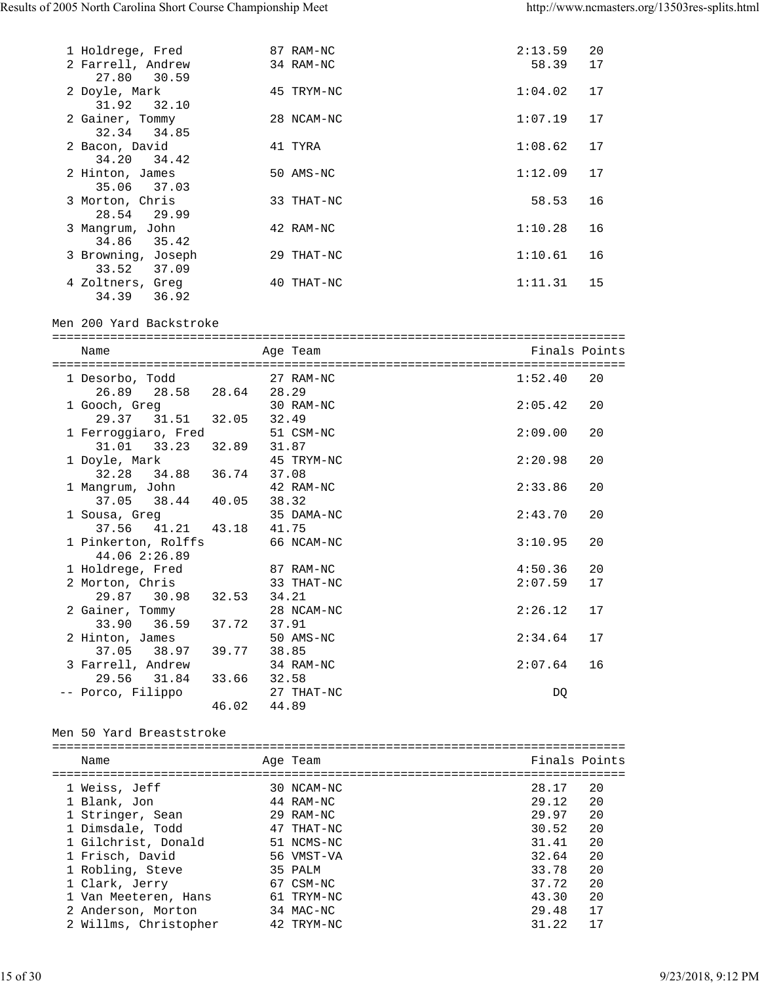| 1 Holdrege, Fred                  | 87 RAM-NC  | 2:13.59 | 20 |
|-----------------------------------|------------|---------|----|
| 2 Farrell, Andrew                 | 34 RAM-NC  | 58.39   | 17 |
| 27.80<br>30.59<br>2 Doyle, Mark   | 45 TRYM-NC | 1:04.02 | 17 |
| 31.92 32.10                       |            |         |    |
| 2 Gainer, Tommy<br>32.34<br>34.85 | 28 NCAM-NC | 1:07.19 | 17 |
| 2 Bacon, David                    | 41 TYRA    | 1:08.62 | 17 |
| 34.20 34.42                       |            |         |    |
| 2 Hinton, James                   | 50 AMS-NC  | 1:12.09 | 17 |
| 35.06<br>37.03                    |            |         |    |
| 3 Morton, Chris                   | 33 THAT-NC | 58.53   | 16 |
| 29.99<br>28.54                    |            |         |    |
| 3 Mangrum, John<br>35.42<br>34.86 | 42 RAM-NC  | 1:10.28 | 16 |
| 3 Browning, Joseph                | 29 THAT-NC | 1:10.61 | 16 |
| 33.52<br>37.09                    |            |         |    |
| 4 Zoltners, Greg                  | 40 THAT-NC | 1:11.31 | 15 |
| 34.39<br>36.92                    |            |         |    |
|                                   |            |         |    |

Men 200 Yard Backstroke

| Name                      |       | Age Team   | Finals Points |    |
|---------------------------|-------|------------|---------------|----|
|                           |       |            |               |    |
| 1 Desorbo, Todd 27 RAM-NC |       |            | 1:52.40       | 20 |
| 26.89 28.58 28.64 28.29   |       |            |               |    |
| 1 Gooch, Greq             |       | 30 RAM-NC  | 2:05.42       | 20 |
| 29.37 31.51 32.05         |       | 32.49      |               |    |
| 1 Ferroggiaro, Fred       |       | 51 CSM-NC  | 2:09.00       | 20 |
| 31.01 33.23 32.89         |       | 31.87      |               |    |
| 1 Doyle, Mark             |       | 45 TRYM-NC | 2:20.98       | 20 |
| 32.28 34.88 36.74         |       | 37.08      |               |    |
| 1 Mangrum, John           |       | 42 RAM-NC  | 2:33.86       | 20 |
| 37.05 38.44 40.05         |       | 38.32      |               |    |
| 1 Sousa, Greg             |       | 35 DAMA-NC | 2:43.70       | 20 |
| 37.56 41.21 43.18 41.75   |       |            |               |    |
| 1 Pinkerton, Rolffs       |       | 66 NCAM-NC | 3:10.95       | 20 |
| 44.06 2:26.89             |       |            |               |    |
| 1 Holdrege, Fred          |       | 87 RAM-NC  | 4:50.36       | 20 |
| 2 Morton, Chris           |       | 33 THAT-NC | 2:07.59       | 17 |
| 29.87 30.98 32.53         |       | 34.21      |               |    |
| 2 Gainer, Tommy           |       | 28 NCAM-NC | 2:26.12       | 17 |
| 33.90 36.59 37.72         |       | 37.91      |               |    |
| 2 Hinton, James           |       | 50 AMS-NC  | 2:34.64       | 17 |
| 37.05 38.97 39.77         |       | 38.85      |               |    |
| 3 Farrell, Andrew         |       | 34 RAM-NC  | 2:07.64       | 16 |
| 29.56 31.84               | 33.66 | 32.58      |               |    |
| -- Porco, Filippo         |       | 27 THAT-NC | DO            |    |
|                           | 46.02 | 44.89      |               |    |

#### Men 50 Yard Breaststroke

| Name                  | Age Team   | Finals Points |    |
|-----------------------|------------|---------------|----|
| 1 Weiss, Jeff         | 30 NCAM-NC | 28.17         | 20 |
| 1 Blank, Jon          | 44 RAM-NC  | 29.12         | 20 |
| 1 Stringer, Sean      | 29 RAM-NC  | 29.97         | 20 |
| 1 Dimsdale, Todd      | 47 THAT-NC | 30.52         | 20 |
| 1 Gilchrist, Donald   | 51 NCMS-NC | 31.41         | 20 |
| 1 Frisch, David       | 56 VMST-VA | 32.64         | 20 |
| 1 Robling, Steve      | 35 PALM    | 33.78         | 20 |
| 1 Clark, Jerry        | 67 CSM-NC  | 37.72         | 20 |
| 1 Van Meeteren, Hans  | 61 TRYM-NC | 43.30         | 20 |
| 2 Anderson, Morton    | 34 MAC-NC  | 29.48         | 17 |
| 2 Willms, Christopher | 42 TRYM-NC | 31.22         | 17 |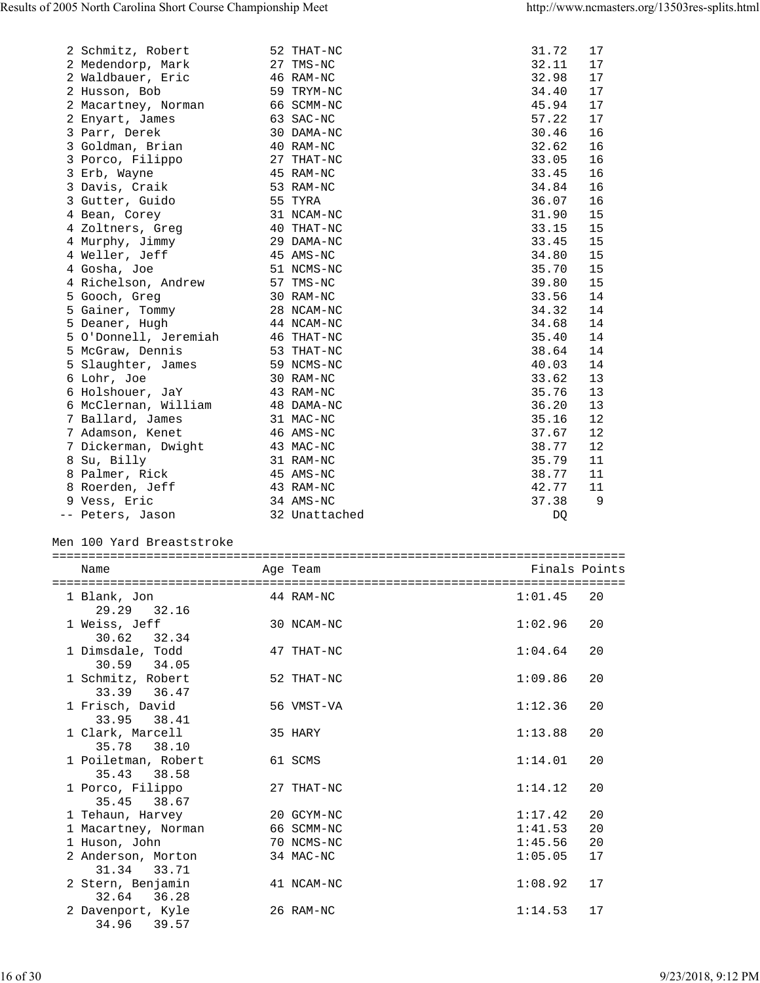| 2 Schmitz, Robert                     | 52 THAT-NC    | 31.72         | 17 |
|---------------------------------------|---------------|---------------|----|
| 2 Medendorp, Mark                     | 27 TMS-NC     | 32.11         | 17 |
| 2 Waldbauer, Eric                     | 46 RAM-NC     | 32.98         | 17 |
| 2 Husson, Bob                         | 59 TRYM-NC    | 34.40         | 17 |
| 2 Macartney, Norman                   | 66 SCMM-NC    | 45.94         | 17 |
|                                       | 63 SAC-NC     | 57.22         | 17 |
| 2 Enyart, James                       |               |               |    |
| 3 Parr, Derek                         | 30 DAMA-NC    | 30.46         | 16 |
| 3 Goldman, Brian                      | 40 RAM-NC     | 32.62         | 16 |
| 3 Porco, Filippo                      | 27 THAT-NC    | 33.05         | 16 |
| 3 Erb, Wayne                          | 45 RAM-NC     | 33.45         | 16 |
| 3 Davis, Craik                        | 53 RAM-NC     | 34.84         | 16 |
| 3 Gutter, Guido                       | 55 TYRA       | 36.07         | 16 |
| 4 Bean, Corey                         | 31 NCAM-NC    | 31.90         | 15 |
| 4 Zoltners, Greg                      | 40 THAT-NC    | 33.15         | 15 |
| 4 Murphy, Jimmy                       | 29 DAMA-NC    | 33.45         | 15 |
| 4 Weller, Jeff                        | 45 AMS-NC     | 34.80         | 15 |
|                                       |               |               |    |
| 4 Gosha, Joe                          | 51 NCMS-NC    | 35.70         | 15 |
| 4 Richelson, Andrew                   | 57 TMS-NC     | 39.80         | 15 |
| 5 Gooch, Greg                         | 30 RAM-NC     | 33.56         | 14 |
| 5 Gainer, Tommy                       | 28 NCAM-NC    | 34.32         | 14 |
| 5 Deaner, Hugh                        | 44 NCAM-NC    | 34.68         | 14 |
| 5 O'Donnell, Jeremiah                 | 46 THAT-NC    | 35.40         | 14 |
| 5 McGraw, Dennis                      | 53 THAT-NC    | 38.64         | 14 |
| 5 Slaughter, James                    | 59 NCMS-NC    | 40.03         | 14 |
| 6 Lohr, Joe                           | 30 RAM-NC     | 33.62         | 13 |
| 6 Holshouer, JaY                      | 43 RAM-NC     | 35.76         | 13 |
| 6 McClernan, William                  |               |               | 13 |
|                                       | 48 DAMA-NC    | 36.20         |    |
| 7 Ballard, James                      | 31 MAC-NC     | 35.16         | 12 |
| 7 Adamson, Kenet                      | 46 AMS-NC     | 37.67         | 12 |
| 7 Dickerman, Dwight                   | 43 MAC-NC     | 38.77         | 12 |
| 8 Su, Billy                           | 31 RAM-NC     | 35.79         | 11 |
| 8 Palmer, Rick                        | 45 AMS-NC     | 38.77         | 11 |
| 8 Roerden, Jeff                       | 43 RAM-NC     | 42.77         | 11 |
| 9 Vess, Eric                          | 34 AMS-NC     | 37.38         | 9  |
| -- Peters, Jason                      | 32 Unattached | DQ            |    |
| Men 100 Yard Breaststroke<br>Name     | Age Team      | Finals Points |    |
|                                       |               |               |    |
| 1 Blank, Jon                          | 44 RAM-NC     | 1:01.45       | 20 |
| 32.16<br>29.29                        |               |               |    |
| 1 Weiss, Jeff                         | 30 NCAM-NC    | 1:02.96       | 20 |
| 30.62<br>32.34                        |               |               |    |
| 1 Dimsdale, Todd                      | 47 THAT-NC    | 1:04.64       | 20 |
| 30.59 34.05                           |               |               |    |
| 1 Schmitz, Robert                     | 52 THAT-NC    | 1:09.86       | 20 |
|                                       |               |               |    |
|                                       |               |               |    |
| 33.39<br>36.47                        |               |               |    |
| 1 Frisch, David                       | 56 VMST-VA    | 1:12.36       | 20 |
| 33.95<br>38.41                        |               |               |    |
| 1 Clark, Marcell                      | 35 HARY       | 1:13.88       | 20 |
| 35.78<br>38.10                        |               |               |    |
|                                       | 61 SCMS       | 1:14.01       | 20 |
| 1 Poiletman, Robert<br>35.43<br>38.58 |               |               |    |
|                                       |               |               |    |
| 1 Porco, Filippo                      | 27 THAT-NC    | 1:14.12       | 20 |
| 35.45<br>38.67                        |               |               |    |
| 1 Tehaun, Harvey                      | 20 GCYM-NC    | 1:17.42       | 20 |
| 1 Macartney, Norman                   | 66 SCMM-NC    | 1:41.53       | 20 |
| 1 Huson, John                         | 70 NCMS-NC    | 1:45.56       | 20 |
| 2 Anderson, Morton                    | 34 MAC-NC     | 1:05.05       | 17 |
| 31.34 33.71                           |               |               |    |
| 2 Stern, Benjamin                     | 41 NCAM-NC    | 1:08.92       | 17 |
| 32.64 36.28                           |               |               |    |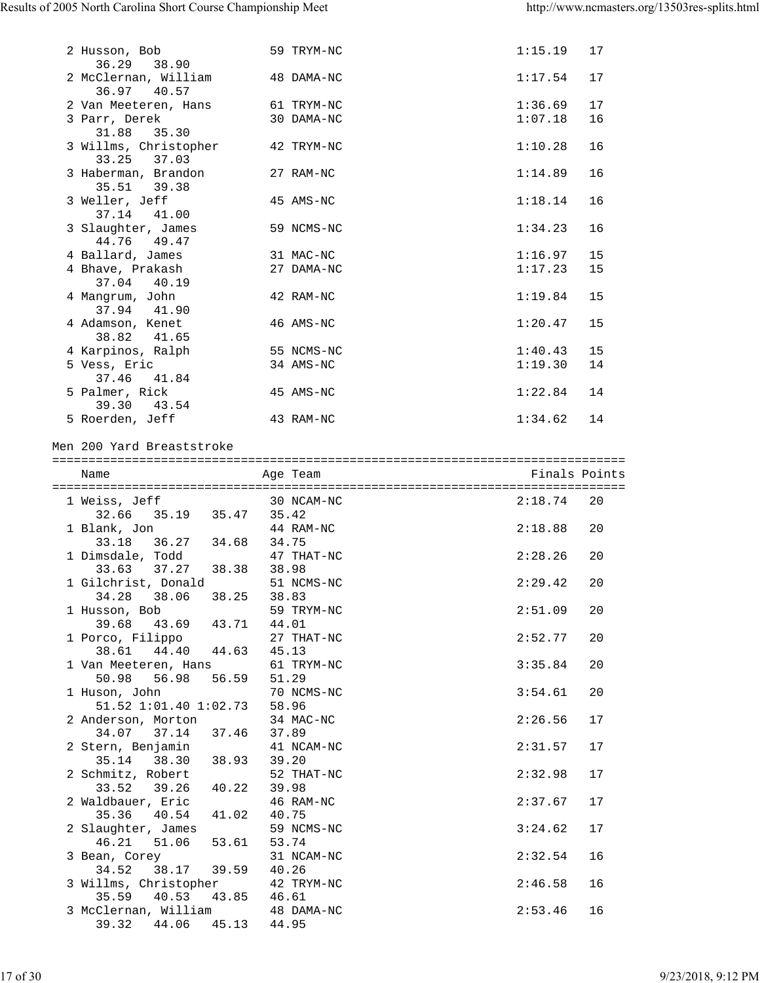| 2 Husson, Bob<br>36.29<br>38.90                                                 | 59 TRYM-NC               | 1:15.19<br>17                  |
|---------------------------------------------------------------------------------|--------------------------|--------------------------------|
| 2 McClernan, William<br>36.97 40.57                                             | 48 DAMA-NC               | 17<br>1:17.54                  |
| 2 Van Meeteren, Hans<br>3 Parr, Derek                                           | 61 TRYM-NC<br>30 DAMA-NC | 1:36.69<br>17<br>1:07.18<br>16 |
| 35.30<br>31.88<br>3 Willms, Christopher<br>33.25 37.03                          | 42 TRYM-NC               | 1:10.28<br>16                  |
| 3 Haberman, Brandon<br>35.51 39.38                                              | 27 RAM-NC                | 1:14.89<br>16                  |
| 3 Weller, Jeff<br>37.14 41.00                                                   | 45 AMS-NC                | 1:18.14<br>16                  |
| 3 Slaughter, James<br>44.76 49.47                                               | 59 NCMS-NC               | 1:34.23<br>16                  |
| 4 Ballard, James                                                                | 31 MAC-NC                | 1:16.97<br>15                  |
| 4 Bhave, Prakash<br>37.04 40.19                                                 | 27 DAMA-NC               | 1:17.23<br>15                  |
| 4 Mangrum, John<br>37.94 41.90                                                  | 42 RAM-NC                | 1:19.84<br>15                  |
| 4 Adamson, Kenet<br>38.82 41.65                                                 | 46 AMS-NC                | 1:20.47<br>15                  |
| 4 Karpinos, Ralph                                                               | 55 NCMS-NC               | 1:40.43<br>15                  |
| 5 Vess, Eric                                                                    | 34 AMS-NC                | 1:19.30<br>14                  |
| 37.46 41.84<br>5 Palmer, Rick<br>39.30 43.54                                    | 45 AMS-NC                | 1:22.84<br>14                  |
| 5 Roerden, Jeff                                                                 | 43 RAM-NC                | 1:34.62<br>14                  |
| Men 200 Yard Breaststroke                                                       |                          |                                |
| Name                                                                            | Age Team                 | Finals Points                  |
|                                                                                 |                          |                                |
|                                                                                 |                          |                                |
|                                                                                 | 30 NCAM-NC               | 2:18.74<br>20                  |
| 1 Weiss, Jeff 30 NC <sub>2</sub><br>32.66 35.19 35.47 35.42                     |                          |                                |
| 1 Blank, Jon                                                                    | 44 RAM-NC                | 2:18.88<br>20                  |
| 33.18 36.27 34.68 34.75<br>1 Dimsdale, Todd                                     | 47 THAT-NC               | 2:28.26<br>20                  |
| 33.63 37.27 38.38 38.98                                                         |                          |                                |
| 1 Gilchrist, Donald                                                             | 51 NCMS-NC               | 2:29.42<br>20                  |
| 34.28 38.06 38.25 38.83                                                         |                          |                                |
| 1 Husson, Bob                                                                   | 59 TRYM-NC               | 2:51.09<br>20                  |
| 39.68 43.69 43.71 44.01<br>1 Porco, Filippo                                     | 27 THAT-NC               | 2:52.77<br>20                  |
| 38.61 44.40 44.63                                                               | 45.13                    |                                |
| 1 Van Meeteren, Hans                                                            | 61 TRYM-NC               | 3:35.84<br>20                  |
| 50.98 56.98 56.59                                                               | 51.29<br>70 NCMS-NC      | 20<br>3:54.61                  |
| 1 Huson, John<br>51.52 1:01.40 1:02.73                                          | 58.96                    |                                |
| 2 Anderson, Morton                                                              | 34 MAC-NC                | 2:26.56<br>17                  |
| 37.14 37.46<br>34.07<br>2 Stern, Benjamin                                       | 37.89<br>41 NCAM-NC      | 2:31.57<br>17                  |
| $35.14$ $38.30$ $38.93$                                                         | 39.20                    |                                |
| 2 Schmitz, Robert                                                               | 52 THAT-NC               | 2:32.98<br>17                  |
| 33.52 39.26 40.22<br>2 Waldbauer, Eric                                          | 39.98<br>46 RAM-NC       | 2:37.67<br>17                  |
| 35.36 40.54 41.02<br>2 Slaughter, James                                         | 40.75<br>59 NCMS-NC      | 3:24.62<br>17                  |
| 46.21 51.06 53.61<br>3 Bean, Corey                                              | 53.74<br>31 NCAM-NC      | 2:32.54<br>16                  |
| 38.17 39.59<br>34.52                                                            | 40.26                    |                                |
| 3 Willms, Christopher                                                           | 42 TRYM-NC<br>46.61      | 2:46.58<br>16                  |
| 35.59 40.53 43.85<br>3 McClernan, William 48 DAMA-NC<br>39.32 44.06 45.13 44.95 |                          | 2:53.46<br>16                  |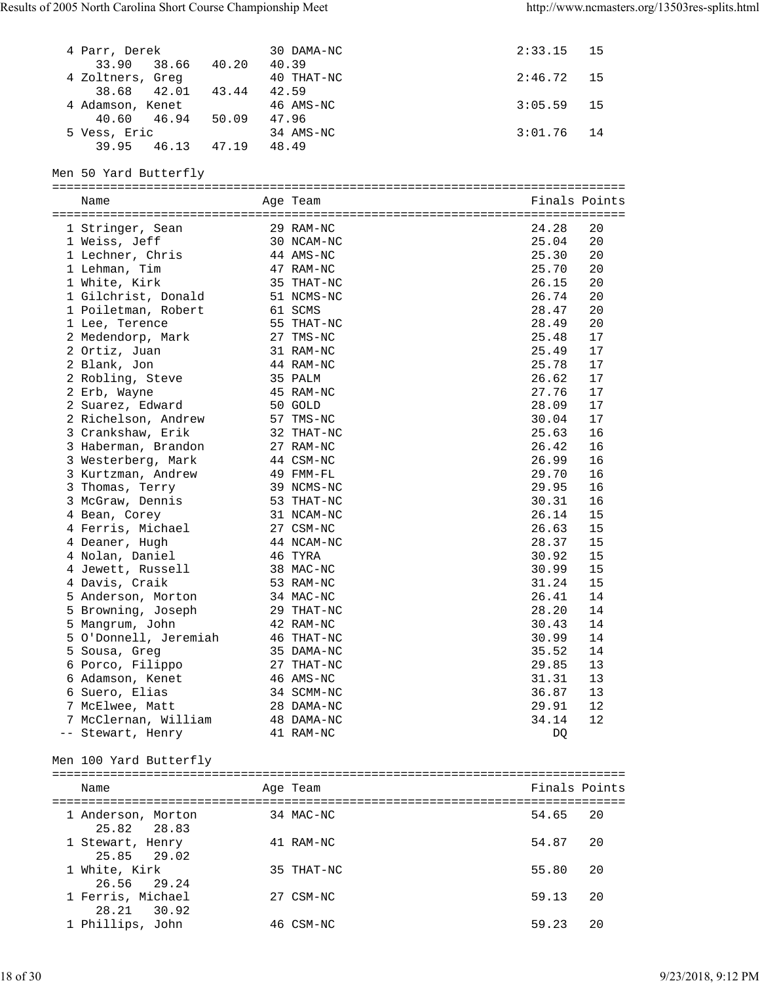| 4 Parr, Derek              |       | 30 DAMA-NC | 2:33.15       | 15 |
|----------------------------|-------|------------|---------------|----|
| 33.90<br>38.66 40.20       | 40.39 |            |               |    |
| 4 Zoltners, Greg           |       | 40 THAT-NC | 2:46.72       | 15 |
| 42.01 43.44 42.59<br>38.68 |       |            |               |    |
| 4 Adamson, Kenet           |       | 46 AMS-NC  | 3:05.59       | 15 |
| 46.94 50.09<br>40.60       | 47.96 |            |               |    |
| 5 Vess, Eric               |       | 34 AMS-NC  | 3:01.76       | 14 |
| 39.95<br>46.13 47.19       | 48.49 |            |               |    |
|                            |       |            |               |    |
| Men 50 Yard Butterfly      |       |            |               |    |
|                            |       |            |               |    |
| Name                       |       | Age Team   | Finals Points |    |
|                            |       |            |               |    |
| 1 Stringer, Sean           |       | 29 RAM-NC  | 24.28         | 20 |
| 1 Weiss, Jeff              |       | 30 NCAM-NC | 25.04         | 20 |
| 1 Lechner, Chris           |       | 44 AMS-NC  | 25.30         | 20 |
| 1 Lehman, Tim              |       | 47 RAM-NC  | 25.70         | 20 |
| 1 White, Kirk              |       | 35 THAT-NC | 26.15         | 20 |
| 1 Gilchrist, Donald        |       | 51 NCMS-NC | 26.74         | 20 |
| 1 Poiletman, Robert        |       | 61 SCMS    | 28.47         | 20 |
| 1 Lee, Terence             |       | 55 THAT-NC | 28.49         | 20 |
| 2 Medendorp, Mark          |       | 27 TMS-NC  | 25.48         | 17 |
| 2 Ortiz, Juan              |       | 31 RAM-NC  | 25.49         | 17 |
| 2 Blank, Jon               |       | 44 RAM-NC  | 25.78         | 17 |
| 2 Robling, Steve           |       | 35 PALM    | 26.62         | 17 |
| 2 Erb, Wayne               |       | 45 RAM-NC  | 27.76         | 17 |
| 2 Suarez, Edward           |       | 50 GOLD    | 28.09         | 17 |
| 2 Richelson, Andrew        |       | 57 TMS-NC  | 30.04         | 17 |
| 3 Crankshaw, Erik          |       | 32 THAT-NC | 25.63         | 16 |
| 3 Haberman, Brandon        |       | 27 RAM-NC  | 26.42         | 16 |
| 3 Westerberg, Mark         |       | 44 CSM-NC  | 26.99         | 16 |
| 3 Kurtzman, Andrew         |       | 49 FMM-FL  | 29.70         | 16 |
| 3 Thomas, Terry            |       | 39 NCMS-NC | 29.95         | 16 |
| 3 McGraw, Dennis           |       | 53 THAT-NC | 30.31         | 16 |
| 4 Bean, Corey              |       | 31 NCAM-NC | 26.14         | 15 |
| 4 Ferris, Michael          |       | 27 CSM-NC  | 26.63         | 15 |
| 4 Deaner, Hugh             |       | 44 NCAM-NC | 28.37         | 15 |
| 4 Nolan, Daniel            |       | 46 TYRA    | 30.92         | 15 |
| 4 Jewett, Russell          |       | 38 MAC-NC  | 30.99         | 15 |
| 4 Davis, Craik             |       | 53 RAM-NC  | 31.24         | 15 |
| 5 Anderson, Morton         |       | 34 MAC-NC  | 26.41         | 14 |
| 5 Browning, Joseph         |       | 29 THAT-NC | 28.20         | 14 |
| 5 Mangrum, John            |       | 42 RAM-NC  | 30.43         | 14 |
| 5 O'Donnell, Jeremiah      |       | 46 THAT-NC | 30.99         | 14 |
| 5 Sousa, Greg              |       | 35 DAMA-NC | 35.52         | 14 |
| 6 Porco, Filippo           |       | 27 THAT-NC | 29.85         | 13 |
| 6 Adamson, Kenet           |       | 46 AMS-NC  | 31.31         | 13 |
| 6 Suero, Elias             |       | 34 SCMM-NC | 36.87         | 13 |
| 7 McElwee, Matt            |       | 28 DAMA-NC | 29.91         | 12 |
| 7 McClernan, William       |       | 48 DAMA-NC | 34.14         | 12 |
| -- Stewart, Henry          |       | 41 RAM-NC  | DQ            |    |
|                            |       |            |               |    |
| Men 100 Yard Butterfly     |       |            |               |    |
|                            |       |            |               |    |
| Name                       |       | Age Team   | Finals Points |    |
|                            |       |            |               |    |
| 1 Anderson, Morton         |       | 34 MAC-NC  | 54.65         | 20 |
| 25.82<br>28.83             |       |            |               |    |
| 1 Stewart, Henry<br>25.85  |       | 41 RAM-NC  | 54.87         | 20 |
| 29.02                      |       | 35 THAT-NC | 55.80         | 20 |
| 1 White, Kirk<br>26.56     |       |            |               |    |
| 29.24                      |       | 27 CSM-NC  |               | 20 |
| 1 Ferris, Michael          |       |            | 59.13         |    |

1 Phillips, John 46 CSM-NC 59.23 20

28.21 30.92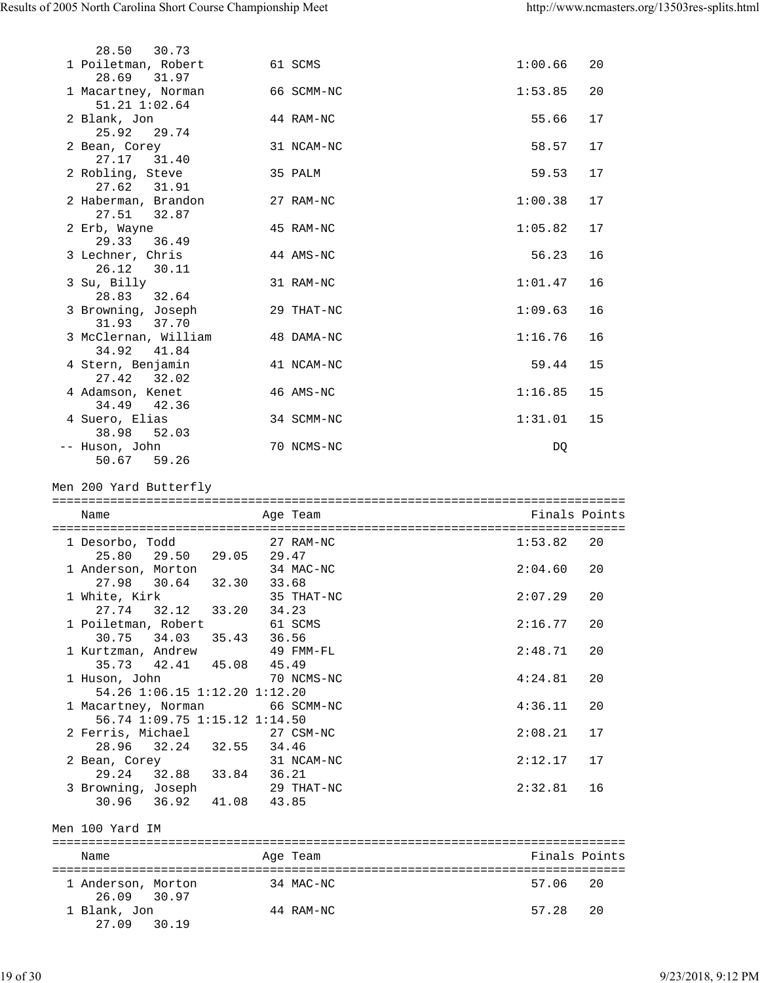| 28.50 30.73                                  |            |         |    |
|----------------------------------------------|------------|---------|----|
| 1 Poiletman, Robert 61 SCMS<br>28.69 31.97   |            | 1:00.66 | 20 |
| 1 Macartney, Norman<br>$51.21$ $1:02.64$     | 66 SCMM-NC | 1:53.85 | 20 |
| 2 Blank, Jon<br>25.92 29.74                  | 44 RAM-NC  | 55.66   | 17 |
| 2 Bean, Corey<br>27.17 31.40                 | 31 NCAM-NC | 58.57   | 17 |
| 2 Robling, Steve<br>27.62 31.91              | 35 PALM    | 59.53   | 17 |
| 2 Haberman, Brandon<br>27.51 32.87           | 27 RAM-NC  | 1:00.38 | 17 |
| 2 Erb, Wayne<br>29.33 36.49                  | 45 RAM-NC  | 1:05.82 | 17 |
| 3 Lechner, Chris<br>26.12 30.11              | 44 AMS-NC  | 56.23   | 16 |
| 3 Su, Billy<br>28.83 32.64                   | 31 RAM-NC  | 1:01.47 | 16 |
| 3 Browning, Joseph<br>31.93 37.70            | 29 THAT-NC | 1:09.63 | 16 |
| 3 McClernan, William<br>34.92 41.84          | 48 DAMA-NC | 1:16.76 | 16 |
| 4 Stern, Benjamin<br>27.42 32.02             | 41 NCAM-NC | 59.44   | 15 |
| 4 Adamson, Kenet<br>34.49 42.36              | 46 AMS-NC  | 1:16.85 | 15 |
| 4 Suero, Elias                               | 34 SCMM-NC | 1:31.01 | 15 |
| 38.98 52.03<br>-- Huson, John<br>50.67 59.26 | 70 NCMS-NC | DQ.     |    |
| Men 200 Yard Butterfly                       |            |         |    |
|                                              |            |         |    |

| Name                                                            | Age Team            | Finals Points |    |
|-----------------------------------------------------------------|---------------------|---------------|----|
| 1 Desorbo, Todd<br>25.80 29.50 29.05 29.47                      | 27 RAM-NC           | 1:53.82       | 20 |
| 1 Anderson, Morton<br>27.98 30.64 32.30                         | 34 MAC-NC<br>33.68  | 2:04.60       | 20 |
| 1 White, Kirk<br>27.74 32.12 33.20                              | 35 THAT-NC<br>34.23 | 2:07.29       | 20 |
| 1 Poiletman, Robert<br>30.75 34.03 35.43                        | 61 SCMS<br>36.56    | 2:16.77       | 20 |
| 1 Kurtzman, Andrew 49 FMM-FL<br>35.73 42.41 45.08 45.49         |                     | 2:48.71       | 20 |
| 1 Huson, John 70 NCMS-NC<br>54.26 1:06.15 1:12.20 1:12.20       |                     | 4:24.81       | 20 |
| 1 Macartney, Norman 66 SCMM-NC<br>56.74 1:09.75 1:15.12 1:14.50 |                     | 4:36.11       | 20 |
| 2 Ferris, Michael 27 CSM-NC<br>28.96 32.24 32.55 34.46          |                     | 2:08.21       | 17 |
| 2 Bean, Corey<br>29.24 32.88 33.84                              | 31 NCAM-NC<br>36.21 | 2:12.17       | 17 |
| 3 Browning, Joseph<br>30.96 36.92 41.08 43.85                   | 29 THAT-NC          | 2:32.81       | 16 |
| Men 100 Yard IM                                                 |                     |               |    |
| Name                                                            | Age Team            | Finals Points |    |

| - India                     | $119C + C$ |          |
|-----------------------------|------------|----------|
| 1 Anderson, Morton          | 34 MAC-NC  | 57.06 20 |
| 26.09 30.97<br>1 Blank, Jon | 44 RAM-NC  | 57.28 20 |
| 27.09 30.19                 |            |          |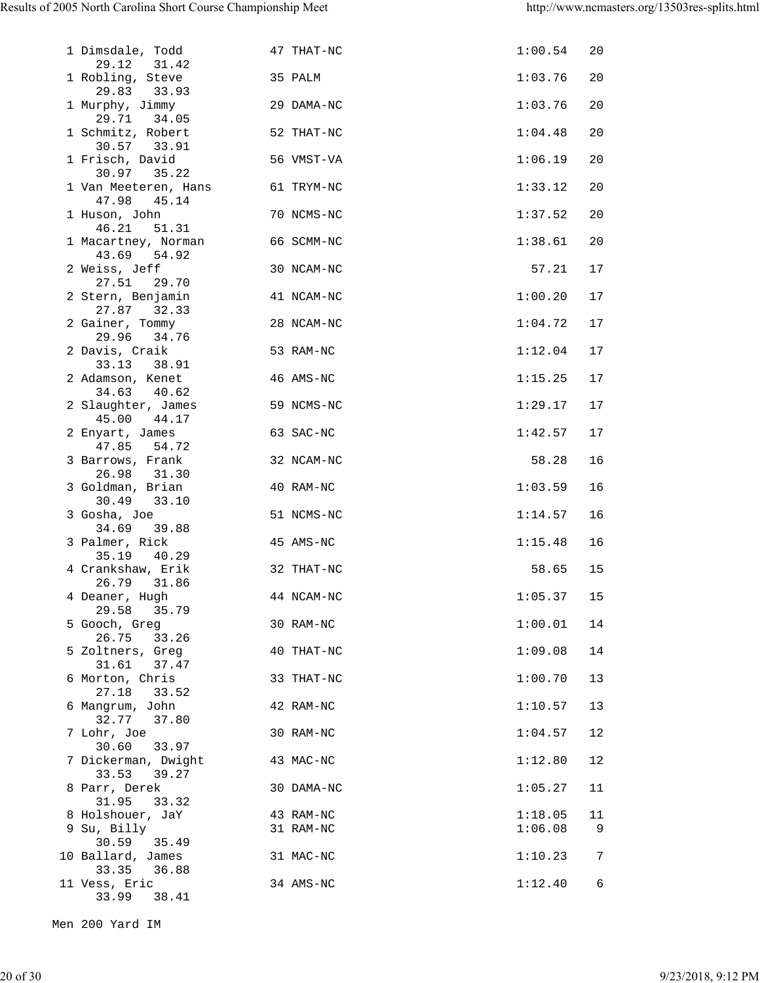| 1 Dimsdale, Todd<br>29.12<br>31.42            | 47 THAT-NC             | 1:00.54            | 20             |
|-----------------------------------------------|------------------------|--------------------|----------------|
| 1 Robling, Steve                              | 35 PALM                | 1:03.76            | 20             |
| 29.83 33.93<br>1 Murphy, Jimmy<br>29.71 34.05 | 29 DAMA-NC             | 1:03.76            | 20             |
| 1 Schmitz, Robert<br>30.57 33.91              | 52 THAT-NC             | 1:04.48            | 20             |
| 1 Frisch, David<br>30.97 35.22                | 56 VMST-VA             | 1:06.19            | 20             |
| 1 Van Meeteren, Hans<br>47.98 45.14           | 61 TRYM-NC             | 1:33.12            | 20             |
| 1 Huson, John<br>46.21 51.31                  | 70 NCMS-NC             | 1:37.52            | 20             |
| 1 Macartney, Norman<br>43.69 54.92            | 66 SCMM-NC             | 1:38.61            | 20             |
| 2 Weiss, Jeff<br>27.51<br>29.70               | 30 NCAM-NC             | 57.21              | 17             |
| 2 Stern, Benjamin<br>27.87 32.33              | 41 NCAM-NC             | 1:00.20            | 17             |
| 2 Gainer, Tommy<br>29.96 34.76                | 28 NCAM-NC             | 1:04.72            | 17             |
| 2 Davis, Craik<br>33.13<br>38.91              | 53 RAM-NC              | 1:12.04            | 17             |
| 2 Adamson, Kenet<br>34.63<br>40.62            | 46 AMS-NC              | 1:15.25            | 17             |
| 2 Slaughter, James<br>45.00 44.17             | 59 NCMS-NC             | 1:29.17            | 17             |
| 2 Enyart, James<br>47.85<br>54.72             | 63 SAC-NC              | 1:42.57            | 17             |
| 3 Barrows, Frank<br>26.98<br>31.30            | 32 NCAM-NC             | 58.28              | 16             |
| 3 Goldman, Brian<br>30.49 33.10               | 40 RAM-NC              | 1:03.59            | 16             |
| 3 Gosha, Joe<br>34.69 39.88                   | 51 NCMS-NC             | 1:14.57            | 16             |
| 3 Palmer, Rick<br>35.19 40.29                 | 45 AMS-NC              | 1:15.48            | 16             |
| 4 Crankshaw, Erik<br>26.79 31.86              | 32 THAT-NC             | 58.65              | 15             |
| 4 Deaner, Hugh<br>29.58<br>35.79              | 44 NCAM-NC             | $1:05.37$ 15       |                |
| 5 Gooch, Greg<br>26.75<br>33.26               | 30 RAM-NC              | 1:00.01            | 14             |
| 5 Zoltners, Greg<br>31.61<br>37.47            | 40 THAT-NC             | 1:09.08            | 14             |
| 6 Morton, Chris<br>27.18<br>33.52             | 33 THAT-NC             | 1:00.70            | 13             |
| 6 Mangrum, John<br>32.77<br>37.80             | 42 RAM-NC              | 1:10.57            | 13             |
| 7 Lohr, Joe<br>30.60<br>33.97                 | 30 RAM-NC              | 1:04.57            | 12             |
| 7 Dickerman, Dwight<br>39.27<br>33.53         | 43 MAC-NC              | 1:12.80            | 12             |
| 8 Parr, Derek<br>31.95<br>33.32               | 30 DAMA-NC             | 1:05.27            | 11             |
| 8 Holshouer, JaY<br>9 Su, Billy               | 43 RAM-NC<br>31 RAM-NC | 1:18.05<br>1:06.08 | 11<br>9        |
| 30.59<br>35.49<br>10 Ballard, James           | 31 MAC-NC              | 1:10.23            | $\overline{7}$ |
| 33.35<br>36.88<br>11 Vess, Eric               | 34 AMS-NC              | 1:12.40            | 6              |
| 33.99<br>38.41                                |                        |                    |                |

Men 200 Yard IM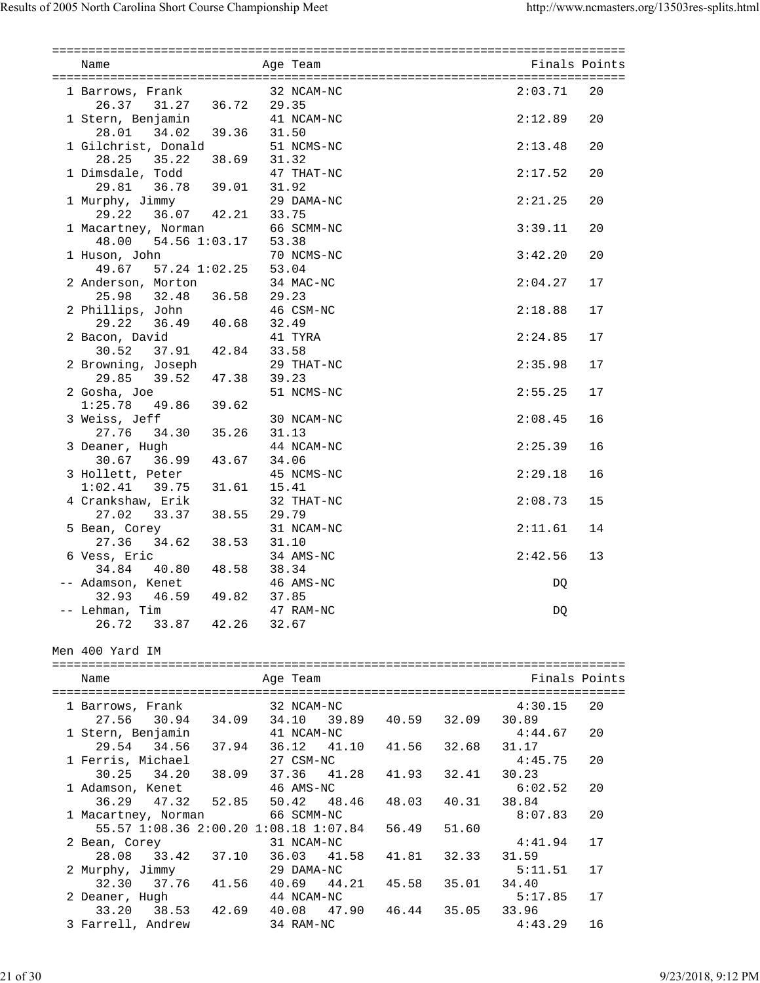| Name                                                        | Aqe Team |                |       |       | Finals Points    |    |
|-------------------------------------------------------------|----------|----------------|-------|-------|------------------|----|
| 1 Barrows, Frank                                            |          | 32 NCAM-NC     |       |       | 2:03.71          | 20 |
| 26.37 31.27 36.72 29.35                                     |          |                |       |       |                  |    |
| 1 Stern, Benjamin                                           |          | 41 NCAM-NC     |       |       | 2:12.89          | 20 |
| 28.01 34.02 39.36 31.50                                     |          |                |       |       |                  |    |
| 1 Gilchrist, Donald                                         |          | 51 NCMS-NC     |       |       | 2:13.48          | 20 |
| 28.25 35.22 38.69 31.32                                     |          |                |       |       |                  |    |
|                                                             |          | 47 THAT-NC     |       |       | 2:17.52          | 20 |
| 1 Dimsdale, Todd 47 TH<br>29.81 36.78 39.01 31.92<br>29 DAI |          |                |       |       |                  |    |
| 1 Murphy, Jimmy                                             |          | 29 DAMA-NC     |       |       | 2:21.25          | 20 |
| 29.22 36.07 42.21 33.75                                     |          |                |       |       |                  |    |
| 1 Macartney, Norman 66 SCMM-NC                              |          |                |       |       | 3:39.11          | 20 |
| 48.00 54.56 1:03.17 53.38                                   |          |                |       |       |                  |    |
| 1 Huson, John 70 NCN<br>49.67 57.24 1:02.25 53.04           |          | 70 NCMS-NC     |       |       | 3:42.20          | 20 |
|                                                             |          |                |       |       |                  |    |
| 2 Anderson, Morton                                          |          | 34 MAC-NC      |       |       | 2:04.27          | 17 |
| 25.98 32.48 36.58 29.23                                     |          |                |       |       |                  |    |
| 2 Phillips, John                                            |          | 46 CSM-NC      |       |       | 2:18.88          | 17 |
| 29.22 36.49 40.68 32.49                                     |          |                |       |       |                  |    |
| 2 Bacon, David                                              |          | 41 TYRA        |       |       | 2:24.85          | 17 |
| 30.52 37.91 42.84                                           | 33.58    |                |       |       |                  |    |
| 2 Browning, Joseph                                          |          | 29 THAT-NC     |       |       | 2:35.98          | 17 |
| 29.85 39.52 47.38                                           | 39.23    |                |       |       |                  |    |
| 2 Gosha, Joe                                                |          | 51 NCMS-NC     |       |       | 2:55.25          | 17 |
| $1:25.78$ 49.86 39.62                                       |          |                |       |       |                  |    |
| 3 Weiss, Jeff<br>27.76 34.30 35.26                          |          | 30 NCAM-NC     |       |       | 2:08.45          | 16 |
|                                                             | 31.13    |                |       |       |                  |    |
| 3 Deaner, Hugh                                              |          | 44 NCAM-NC     |       |       | 2:25.39          | 16 |
| 30.67 36.99 43.67 34.06                                     |          |                |       |       |                  |    |
| 3 Hollett, Peter                                            |          | 45 NCMS-NC     |       |       | 2:29.18          | 16 |
| $1:02.41$ 39.75 31.61                                       | 15.41    |                |       |       |                  |    |
| 4 Crankshaw, Erik                                           |          | 32 THAT-NC     |       |       | 2:08.73          | 15 |
| 27.02<br>33.37 38.55                                        | 29.79    |                |       |       |                  |    |
| 5 Bean, Corey                                               |          | 31 NCAM-NC     |       |       | 2:11.61          | 14 |
| 27.36 34.62 38.53 31.10                                     |          |                |       |       |                  |    |
| 6 Vess, Eric<br>34.84                                       |          | 34 AMS-NC      |       |       | 2:42.56          | 13 |
| 40.80  48.58  38.34                                         |          | 46 AMS-NC      |       |       |                  |    |
| -- Adamson, Kenet<br>49.82<br>32.93 46.59                   | 37.85    |                |       |       | DQ               |    |
| -- Lehman, Tim                                              |          | 47 RAM-NC      |       |       |                  |    |
| 26.72<br>33.87 42.26                                        | 32.67    |                |       |       | DQ               |    |
|                                                             |          |                |       |       |                  |    |
| Men 400 Yard IM                                             |          |                |       |       |                  |    |
|                                                             |          |                |       |       |                  |    |
| Name                                                        |          | Age Team       |       |       | Finals Points    |    |
|                                                             |          |                |       |       |                  |    |
| 1 Barrows, Frank                                            |          | 32 NCAM-NC     |       |       | 4:30.15          | 20 |
| 27.56<br>30.94 34.09                                        | 34.10    | 39.89          | 40.59 | 32.09 | 30.89            |    |
| 1 Stern, Benjamin                                           |          | 41 NCAM-NC     |       |       | 4:44.67          | 20 |
| 29.54<br>34.56<br>37.94                                     |          | 36.12<br>41.10 | 41.56 | 32.68 | 31.17            |    |
| 1 Ferris, Michael                                           |          | 27 CSM-NC      |       |       | 4:45.75          | 20 |
| 30.25<br>34.20<br>38.09                                     |          | 37.36<br>41.28 | 41.93 | 32.41 | 30.23            |    |
| 1 Adamson, Kenet                                            |          | 46 AMS-NC      |       |       | 6:02.52          | 20 |
| 36.29<br>47.32<br>52.85                                     |          | 50.42<br>48.46 | 48.03 | 40.31 | 38.84            |    |
| 1 Macartney, Norman                                         |          | 66 SCMM-NC     |       |       | 8:07.83          | 20 |
| 55.57 1:08.36 2:00.20 1:08.18 1:07.84                       |          |                | 56.49 | 51.60 |                  |    |
| 2 Bean, Corey                                               |          | 31 NCAM-NC     |       |       | 4:41.94          | 17 |
| 33.42<br>28.08<br>37.10                                     |          | 36.03<br>41.58 | 41.81 | 32.33 | 31.59            |    |
| 2 Murphy, Jimmy                                             |          | 29 DAMA-NC     |       |       | 5:11.51          | 17 |
| 32.30<br>37.76<br>41.56                                     |          | 40.69<br>44.21 | 45.58 | 35.01 | 34.40            |    |
| 2 Deaner, Hugh                                              |          | 44 NCAM-NC     |       |       | 5:17.85          | 17 |
| 33.20<br>38.53<br>42.69                                     |          | 40.08<br>47.90 | 46.44 | 35.05 | 33.96<br>4:43.29 |    |
| 3 Farrell, Andrew                                           |          | 34 RAM-NC      |       |       |                  | 16 |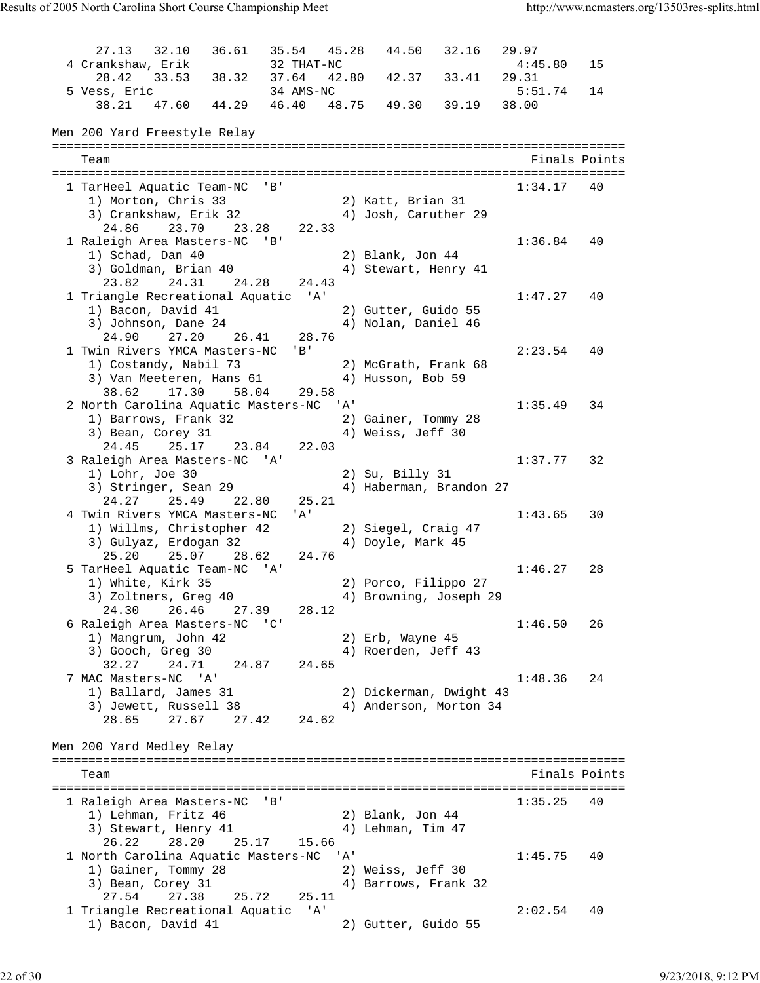27.13 32.10 36.61 35.54 45.28 44.50 32.16 29.97 4 Crankshaw, Erik 32 THAT-NC 4:45.80 15 28.42 33.53 38.32 37.64 42.80 42.37 33.41 29.31 5 Vess, Eric 34 AMS-NC 5:51.74 14 38.21 47.60 44.29 46.40 48.75 49.30 39.19 38.00 Men 200 Yard Freestyle Relay =============================================================================== Team Finals Points =============================================================================== 1 TarHeel Aquatic Team-NC 'B' 1) Morton, Chris 33 2) Katt, Brian 31 3) Crankshaw, Erik 32 4) Josh, Caruther 29 24.86 23.70 23.28 22.33 1 Raleigh Area Masters-NC 'B' 1:36.84 40 1) Schad, Dan 40 2) Blank, Jon 44 3) Goldman, Brian 40 4) Stewart, Henry 41 23.82 24.31 24.28 24.43 1 Triangle Recreational Aquatic 'A' 1:47.27 40 1) Bacon, David 41 2) Gutter, Guido 55 3) Johnson, Dane 24 4) Nolan, Daniel 46 24.90 27.20 26.41 28.76 1 Twin Rivers YMCA Masters-NC 'B' 2:23.54 40 1) Costandy, Nabil 73 2) McGrath, Frank 68 3) Van Meeteren, Hans 61  $\hspace{1cm}$  4) Husson, Bob 59 38.62 17.30 58.04 29.58 2 North Carolina Aquatic Masters-NC 'A' 1:35.49 34 1) Barrows, Frank 32 2) Gainer, Tommy 28 3) Bean, Corey 31 4) Weiss, Jeff 30 24.45 25.17 23.84 22.03 3 Raleigh Area Masters-NC 'A' 1:37.77 32 1) Lohr, Joe 30 2) Su, Billy 31 3) Stringer, Sean 29 4) Haberman, Brandon 27 24.27 25.49 22.80 25.21 4 Twin Rivers YMCA Masters-NC 'A' 1:43.65 30 1) Willms, Christopher 42 2) Siegel, Craig 47 3) Gulyaz, Erdogan 32 4) Doyle, Mark 45 25.20 25.07 28.62 24.76 5 TarHeel Aquatic Team-NC 'A' 1:46.27 28 1) White, Kirk 35 2) Porco, Filippo 27 3) Zoltners, Greg 40 4) Browning, Joseph 29 24.30 26.46 27.39 28.12 6 Raleigh Area Masters-NC 'C' 1:46.50 26<br>1:46.50 26<br>1) Mangrum, John 42 2) Erb, Wayne 45 1) Mangrum, John 42 2) Erb, Wayne 45 3) Gooch, Greg 30 4) Roerden, Jeff 43 32.27 24.71 24.87 24.65 7 MAC Masters-NC 'A' 1:48.36 24 1) Ballard, James 31 2) Dickerman, Dwight 43 3) Jewett, Russell 38 4) Anderson, Morton 34 28.65 27.67 27.42 24.62 Men 200 Yard Medley Relay =============================================================================== Team Finals Points Points Points Points Points Points Points Points Points Points Points Points Points Points Points Points Points Points Points Points Points Points Points Points Points Points Points Points Points Points =============================================================================== 1 Raleigh Area Masters-NC 'B' 1:35.25 40 1) Lehman, Fritz 46 2) Blank, Jon 44 3) Stewart, Henry 41 4) Lehman, Tim 47 26.22 28.20 25.17 15.66 1 North Carolina Aquatic Masters-NC 'A' 1:45.75 40 1) Gainer, Tommy 28 2) Weiss, Jeff 30 3) Bean, Corey 31 4) Barrows, Frank 32 27.54 27.38 25.72 25.11 1 Triangle Recreational Aquatic 'A' 2:02.54 40 1) Bacon, David 41 2) Gutter, Guido 55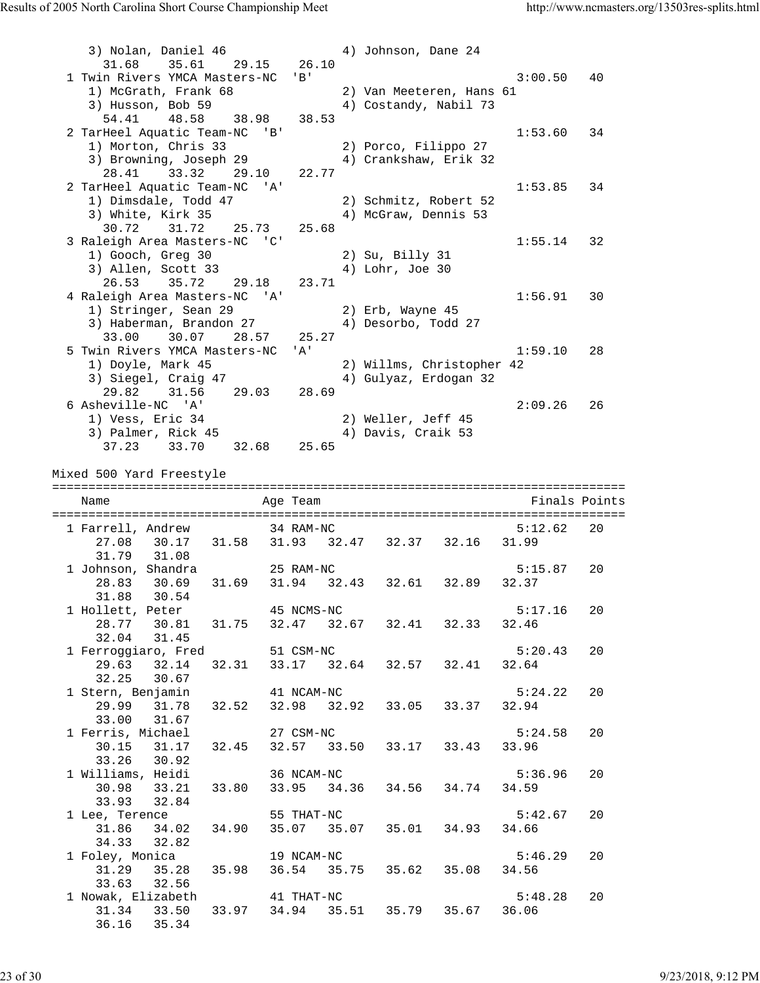3) Nolan, Daniel 46 4) Johnson, Dane 24 31.68 35.61 29.15 26.10 1 Twin Rivers YMCA Masters-NC 'B' 3:00.50 40 1) McGrath, Frank 68 2) Van Meeteren, Hans 61 3) Husson, Bob 59 4) Costandy, Nabil 73 54.41 48.58 38.98 38.53 2 TarHeel Aquatic Team-NC 'B' 1:53.60 34 1) Morton, Chris 33 2) Porco, Filippo 27 3) Browning, Joseph 29 4) Crankshaw, Erik 32 28.41 33.32 29.10 22.77 2 TarHeel Aquatic Team-NC 'A' 1:53.85 34 1) Dimsdale, Todd 47 2) Schmitz, Robert 52 3) White, Kirk 35 4) McGraw, Dennis 53 30.72 31.72 25.73 25.68 3 Raleigh Area Masters-NC 'C' 1:55.14 32 1) Gooch, Greg 30 2) Su, Billy 31 3) Allen, Scott 33 4) Lohr, Joe 30 26.53 35.72 29.18 23.71 4 Raleigh Area Masters-NC 'A' 1:56.91 30 1) Stringer, Sean 29 2) Erb, Wayne 45 3) Haberman, Brandon 27 (4) Desorbo, Todd 27 33.00 30.07 28.57 25.27 5 Twin Rivers YMCA Masters-NC 'A' 1:59.10 28 1) Doyle, Mark 45 2) Willms, Christopher 42 3) Siegel, Craig 47 4) Gulyaz, Erdogan 32 29.82 31.56 29.03 28.69 6 Asheville-NC 'A' 2:09.26 26 1) Vess, Eric 34 2) Weller, Jeff 45 3) Palmer, Rick 45 4) Davis, Craik 53 37.23 33.70 32.68 25.65 Mixed 500 Yard Freestyle =============================================================================== Name Age Team Finals Points =============================================================================== 1 Farrell, Andrew 34 RAM-NC 5:12.62 20 27.08 30.17 31.58 31.93 32.47 32.37 32.16 31.99 31.79 31.08 1 Johnson, Shandra 25 RAM-NC 5:15.87 20 28.83 30.69 31.69 31.94 32.43 32.61 32.89 32.37 31.88 30.54 1 Hollett, Peter 45 NCMS-NC 65:17.16 20 28.77 30.81 31.75 32.47 32.67 32.41 32.33 32.46 32.04 31.45 1 Ferroggiaro, Fred 51 CSM-NC 5:20.43 20 29.63 32.14 32.31 33.17 32.64 32.57 32.41 32.64 32.25 30.67 1 Stern, Benjamin 41 NCAM-NC 5:24.22 20 29.99 31.78 32.52 32.98 32.92 33.05 33.37 32.94 33.00 31.67 1 Ferris, Michael 27 CSM-NC 5:24.58 20 30.15 31.17 32.45 32.57 33.50 33.17 33.43 33.96 33.26 30.92 1 Williams, Heidi 36 NCAM-NC 5:36.96 20 30.98 33.21 33.80 33.95 34.36 34.56 34.74 34.59 33.93 32.84 1 Lee, Terence 55 THAT-NC 5:42.67 20 31.86 34.02 34.90 35.07 35.07 35.01 34.93 34.66 34.33 32.82 1 Foley, Monica 19 NCAM-NC 5:46.29 20 31.29 35.28 35.98 36.54 35.75 35.62 35.08 34.56 33.63 32.56 1 Nowak, Elizabeth 41 THAT-NC 5:48.28 20 31.34 33.50 33.97 34.94 35.51 35.79 35.67 36.06 36.16 35.34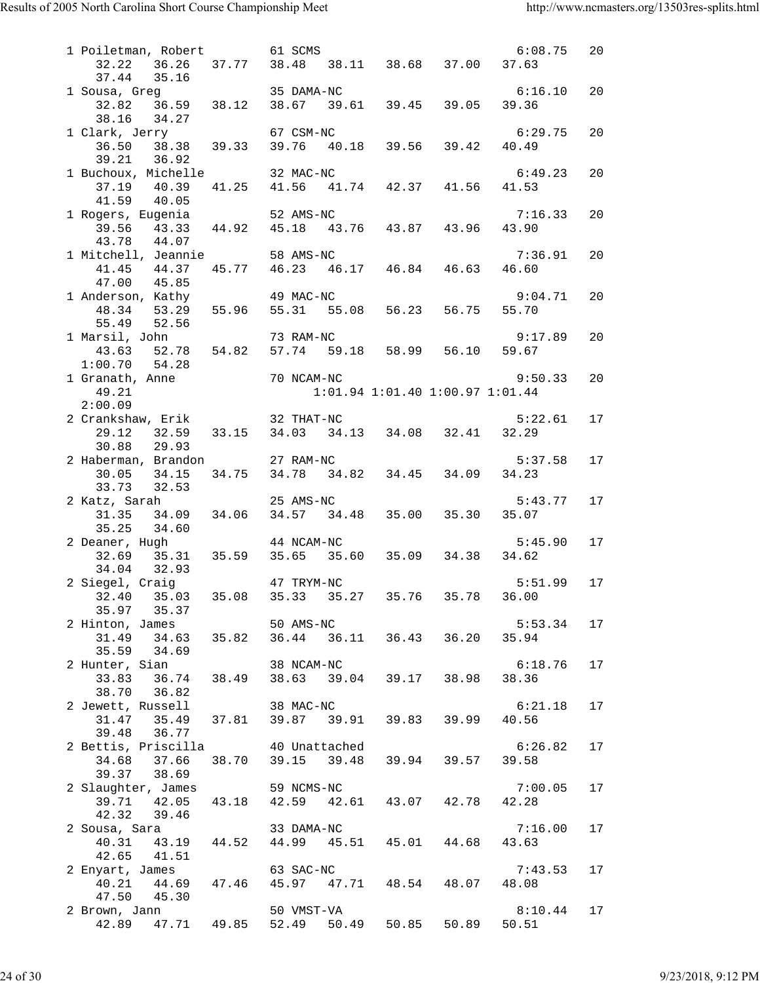| 1 Poiletman, Robert 61 SCMS                                                                                                                                                                     |            |            |                                     | 6:08.75 | 20 |
|-------------------------------------------------------------------------------------------------------------------------------------------------------------------------------------------------|------------|------------|-------------------------------------|---------|----|
| 32.22  36.26  37.77  38.48  38.11  38.68  37.00  37.63                                                                                                                                          |            |            |                                     |         |    |
| 37.44 35.16                                                                                                                                                                                     |            |            |                                     |         |    |
| 37.44 35.16<br>1 Sousa, Greg 35 DAMA-NC<br>32.82 36.59 38.12 38.67 39.61 39.45 39.05 39.36                                                                                                      |            |            |                                     | 6:16.10 | 20 |
|                                                                                                                                                                                                 |            |            |                                     |         |    |
| 38.16 34.27                                                                                                                                                                                     |            |            |                                     |         |    |
| 1 Clark, Jerry 67 CSM-NC 6:29<br>36.50 38.38 39.33 39.76 40.18 39.56 39.42 40.49                                                                                                                |            |            |                                     | 6:29.75 | 20 |
| 39.21 36.92                                                                                                                                                                                     |            |            |                                     |         |    |
| 1 Buchoux, Michelle 32 MAC-NC                                                                                                                                                                   |            |            |                                     | 6:49.23 | 20 |
| 37.19 40.39                                                                                                                                                                                     |            |            | 41.25 41.56 41.74 42.37 41.56 41.53 |         |    |
| 41.59 40.05                                                                                                                                                                                     |            |            |                                     |         |    |
| 41.59 40.05<br>1 Rogers, Eugenia 52 AMS-NC 7:10<br>39.56 43.33 44.92 45.18 43.76 43.87 43.96 43.90                                                                                              |            |            |                                     | 7:16.33 | 20 |
|                                                                                                                                                                                                 |            |            |                                     |         |    |
| 43.78 44.07                                                                                                                                                                                     |            |            |                                     |         |    |
| 1 Mitchell, Jeannie 58 AMS-NC                                                                                                                                                                   |            |            |                                     | 7:36.91 | 20 |
| 41.45 44.37                                                                                                                                                                                     |            |            | 45.77 46.23 46.17 46.84 46.63       | 46.60   |    |
| 47.00  45.85                                                                                                                                                                                    |            |            |                                     |         |    |
| 1 Anderson, Kathy $49$ MAC-NC $48.34$ 53.29 55.96 55.31 55.08 56.23 56.75 55.70                                                                                                                 |            |            |                                     | 9:04.71 | 20 |
|                                                                                                                                                                                                 |            |            |                                     |         |    |
| 55.49 52.56                                                                                                                                                                                     |            |            |                                     |         |    |
| 1 Marsil, John                                                                                                                                                                                  |            |            |                                     | 9:17.89 | 20 |
|                                                                                                                                                                                                 |            |            |                                     |         |    |
|                                                                                                                                                                                                 |            |            |                                     |         |    |
| 43.63 $\sim$ 43.63 $\sim$ 43.28<br>1:00.70 54.28<br>1 Granath, Anne 70 NCAM-NC<br>49.21 1:01                                                                                                    |            |            |                                     | 9:50.33 | 20 |
|                                                                                                                                                                                                 |            |            | 1:01.94 1:01.40 1:00.97 1:01.44     |         |    |
| 2 Crankshaw, Erik 32 THAT-NC                                                                                                                                                                    |            |            |                                     | 5:22.61 | 17 |
| 29.12 32.59 33.15 34.03 34.13 34.08 32.41 32.29                                                                                                                                                 |            |            |                                     |         |    |
| 30.88 29.93                                                                                                                                                                                     |            |            |                                     |         |    |
|                                                                                                                                                                                                 |            |            |                                     | 5:37.58 | 17 |
| 2 Haberman, Brandon 27 RAM-NC 5:3<br>30.05 34.15 34.75 34.78 34.82 34.45 34.09 34.23                                                                                                            |            |            |                                     |         |    |
| $33.73$ $32.53$                                                                                                                                                                                 |            |            |                                     |         |    |
| 2 Katz, Sarah 25 AMS-NC<br>31.35 34.09 34.06 34.57 34.48 35.00 35.30 35.07                                                                                                                      |            |            |                                     | 5:43.77 | 17 |
|                                                                                                                                                                                                 |            |            |                                     |         |    |
| 35.25<br>34.60                                                                                                                                                                                  |            |            |                                     |         |    |
| 2 Deaner, Hugh<br>aner, Hugh                                 44 NCAM-NC                                     5:4!<br>32.69     35.31     35.59     35.65     35.60     35.09     34.38     34.62 |            | 44 NCAM-NC |                                     | 5:45.90 | 17 |
|                                                                                                                                                                                                 |            |            |                                     |         |    |
| 32.93<br>34.04                                                                                                                                                                                  |            |            |                                     |         |    |
| 2 Siegel, Craig                                                                                                                                                                                 | 47 TRYM-NC |            |                                     | 5:51.99 | 17 |
| 32.40 35.03 35.08 35.33 35.27 35.76 35.78 36.00                                                                                                                                                 |            |            |                                     |         |    |
| 35.97 35.37                                                                                                                                                                                     |            |            |                                     |         |    |
| 2 Hinton, James 50 AMS-NC 5:53<br>31.49 34.63 35.82 36.44 36.11 36.43 36.20 35.94                                                                                                               |            |            |                                     | 5:53.34 | 17 |
| $35.59$ $34.69$                                                                                                                                                                                 |            |            |                                     |         |    |
|                                                                                                                                                                                                 |            |            |                                     | 6:18.76 | 17 |
| 2 Hunter, Sian 38 NCAM-NC 6:18<br>33.83 36.74 38.49 38.63 39.04 39.17 38.98 38.36                                                                                                               |            |            |                                     |         |    |
| 38.70 36.82                                                                                                                                                                                     |            |            |                                     |         |    |
|                                                                                                                                                                                                 |            |            |                                     | 6:21.18 | 17 |
| 2 Jewett, Russell 38 MAC-NC 6:21<br>31.47 35.49 37.81 39.87 39.91 39.83 39.99 40.56                                                                                                             |            |            |                                     |         |    |
| 39.48 36.77                                                                                                                                                                                     |            |            |                                     |         |    |
| 2 Bettis, Priscilla <a> 40 Unattached</a>                                                                                                                                                       |            |            |                                     | 6:26.82 | 17 |
| 34.68 37.66                                                                                                                                                                                     |            |            | 38.70 39.15 39.48 39.94 39.57 39.58 |         |    |
| 39.37 38.69                                                                                                                                                                                     |            |            |                                     |         |    |
| 2 Slaughter, James                                                                                                                                                                              |            | 59 NCMS-NC |                                     | 7:00.05 | 17 |
| 39.71 42.05 43.18 42.59 42.61 43.07 42.78 42.28                                                                                                                                                 |            |            |                                     |         |    |
| 42.32<br>39.46                                                                                                                                                                                  |            |            |                                     |         |    |
|                                                                                                                                                                                                 |            |            |                                     | 7:16.00 | 17 |
| 42.65 41.51                                                                                                                                                                                     |            |            |                                     | 43.63   |    |
|                                                                                                                                                                                                 |            |            |                                     | 7:43.53 | 17 |
| 2 Enyart, James 63 SAC-NC 7:43<br>40.21 44.69 47.46 45.97 47.71 48.54 48.07 48.08                                                                                                               |            |            |                                     |         |    |
| 47.50 45.30                                                                                                                                                                                     |            |            |                                     |         |    |
| 2 Brown, Jann                                                                                                                                                                                   |            | 50 VMST-VA |                                     | 8:10.44 | 17 |
| 42.89  47.71  49.85  52.49  50.49  50.85  50.89  50.51                                                                                                                                          |            |            |                                     |         |    |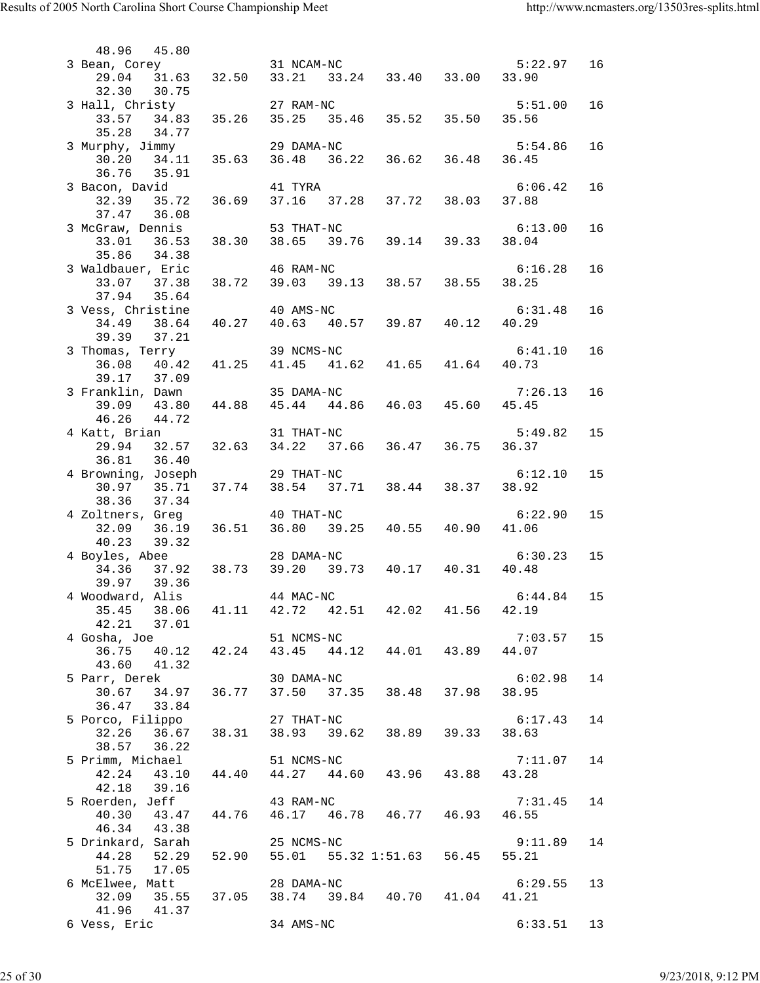| 48.96<br>45.80                                                                                   |                                                                 |  |                  |    |
|--------------------------------------------------------------------------------------------------|-----------------------------------------------------------------|--|------------------|----|
| 3 Bean, Corey 31 NCAM-NC 5:2<br>29.04 31.63 32.50 33.21 33.24 33.40 33.00 33.90                  |                                                                 |  | 5:22.97          | 16 |
| 32.30 30.75<br>3 Hall, Christy 27 RAM-NC 5:5.<br>33.57 34.83 35.26 35.25 35.46 35.52 35.50 35.56 |                                                                 |  | 5:51.00          | 16 |
| 35.28 34.77                                                                                      |                                                                 |  |                  |    |
| 3 Murphy, Jimmy<br>30.20 34.11 35.63 36.48 36.22 36.62 36.48 36.45                               | 29 DAMA-NC                                                      |  | 5:54.86          | 16 |
| 36.76<br>35.91<br>3 Bacon, David                                                                 | 41 TYRA                                                         |  | 6:06.42          | 16 |
| 32.39 35.72<br>37.47 36.08                                                                       | 36.69 37.16 37.28 37.72 38.03 37.88                             |  |                  |    |
| 3 McGraw, Dennis 53 THAT-NC<br>33.01 36.53<br>35.86 34.38                                        | 38.30 38.65 39.76 39.14 39.33                                   |  | 6:13.00<br>38.04 | 16 |
| 3 Waldbauer, Eric                                                                                | 46 RAM-NC                                                       |  | 6:16.28          | 16 |
| 37.94 35.64<br>3 Vess, Christine                                                                 | 40 AMS-NC                                                       |  | 6:31.48          | 16 |
| 34.49 38.64<br>39.39 37.21                                                                       | 40.27  40.63  40.57  39.87  40.12  40.29                        |  |                  |    |
| 3 Thomas, Terry<br>36.08 40.42 41.25 41.45 41.62 41.65 41.64 40.73                               | 39 NCMS-NC                                                      |  | 6:41.10          | 16 |
| 39.17 37.09<br>3 Franklin, Dawn 35 DAMA-NC                                                       |                                                                 |  | 7:26.13          | 16 |
| 39.09 43.80<br>46.26 44.72                                                                       | 44.88  45.44  44.86  46.03  45.60                               |  | 45.45            |    |
| 4 Katt, Brian 31 THAT-NC 5:49<br>29.94 32.57 32.63 34.22 37.66 36.47 36.75 36.37<br>36.81 36.40  |                                                                 |  | 5:49.82          | 15 |
| 4 Browning, Joseph<br>30.97 35.71 37.74 38.54 37.71 38.44 38.37 38.92<br>38.36<br>37.34          | 29 THAT-NC                                                      |  | 6:12.10          | 15 |
| 4 Zoltners, Greg<br>32.09  36.19  36.51  36.80  39.25  40.55  40.90  41.06                       | 40 THAT-NC                                                      |  | 6:22.90          | 15 |
| 39.32<br>40.23<br>4 Boyles, Abee                                                                 | 28 DAMA-NC                                                      |  | 6:30.23          | 15 |
| 34.36 37.92 38.73 39.20 39.73 40.17 40.31<br>39.97 39.36                                         |                                                                 |  | 40.48            |    |
| 4 Woodward, Alis 44 MAC-NC                                                                       |                                                                 |  | 6:44.84          | 15 |
| 38.06<br>35.45<br>42.21<br>37.01                                                                 | 41.11 42.72 42.51 42.02 41.56 42.19                             |  |                  |    |
| 4 Gosha, Joe 51 NCMS-NC<br>36.75 40.12 42.24 43.45 44.12 44.01 43.89<br>43.60<br>41.32           |                                                                 |  | 7:03.57<br>44.07 | 15 |
| 5 Parr, Derek                                                                                    | 30 DAMA-NC                                                      |  | 6:02.98          | 14 |
| 36.47 33.84                                                                                      |                                                                 |  |                  |    |
| 5 Porco, Filippo<br>32.26                                                                        | 27 THAT-NC<br>36.67 38.31 38.93 39.62 38.89 39.33 38.63         |  | 6:17.43          | 14 |
| 38.57<br>36.22<br>5 Primm, Michael                                                               | 51 NCMS-NC                                                      |  | 7:11.07          | 14 |
| 42.24 43.10 44.40 44.27 44.60 43.96 43.88 43.28<br>42.18 39.16                                   |                                                                 |  |                  |    |
| 5 Roerden, Jeff<br>40.30 43.47<br>46.34 43.38                                                    | 43 RAM-NC<br>44.76 46.17 46.78 46.77 46.93                      |  | 7:31.45<br>46.55 | 14 |
| 5 Drinkard, Sarah<br>44.28 52.29                                                                 | 25 NCMS-NC<br>$52.90$ $55.01$ $55.32$ $1:51.63$ $56.45$ $55.21$ |  | 9:11.89          | 14 |
| 51.75 17.05<br>6 McElwee, Matt                                                                   | 28 DAMA-NC                                                      |  | 6:29.55          | 13 |
| 32.09                                                                                            | 35.55 37.05 38.74 39.84 40.70 41.04 41.21                       |  |                  |    |
| 41.96<br>41.37<br>6 Vess, Eric                                                                   | 34 AMS-NC                                                       |  | 6:33.51          | 13 |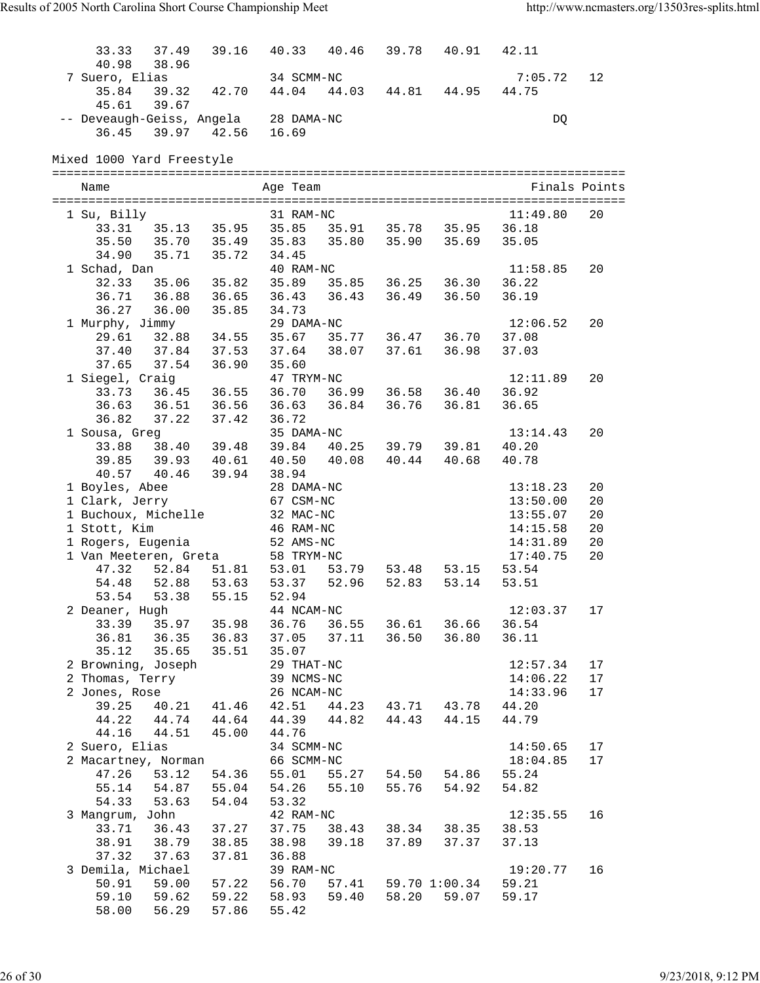| 33.33                     | 37.49             | 39.16             | 40.33      | 40.46 | 39.78 | 40.91                                     | 42.11    |               |
|---------------------------|-------------------|-------------------|------------|-------|-------|-------------------------------------------|----------|---------------|
| 40.98                     | 38.96             |                   |            |       |       |                                           |          |               |
| 7 Suero, Elias            |                   |                   | 34 SCMM-NC |       |       |                                           | 7:05.72  | 12            |
| 35.84                     | 39.32             | 42.70             | 44.04      |       |       | 44.03 44.81 44.95                         | 44.75    |               |
| 45.61                     | 39.67             |                   |            |       |       |                                           |          |               |
| -- Deveaugh-Geiss, Angela |                   |                   | 28 DAMA-NC |       |       |                                           | DQ       |               |
| 36.45                     |                   | 39.97 42.56       | 16.69      |       |       |                                           |          |               |
|                           |                   |                   |            |       |       |                                           |          |               |
| Mixed 1000 Yard Freestyle |                   |                   |            |       |       |                                           |          |               |
|                           |                   |                   |            |       |       |                                           |          |               |
| Name                      |                   |                   | Age Team   |       |       |                                           |          | Finals Points |
|                           |                   |                   |            |       |       |                                           |          |               |
| 1 Su, Billy               |                   |                   | 31 RAM-NC  |       |       |                                           | 11:49.80 | 20            |
|                           |                   |                   |            |       |       | 33.31 35.13 35.95 35.85 35.91 35.78 35.95 | 36.18    |               |
|                           |                   | 35.50 35.70 35.49 | 35.83      |       |       | 35.80 35.90 35.69                         | 35.05    |               |
| 34.90                     | 35.71             | 35.72             | 34.45      |       |       |                                           |          |               |
|                           |                   |                   | 40 RAM-NC  |       |       |                                           | 11:58.85 | 20            |
| 1 Schad, Dan              | 32.33 35.06 35.82 |                   |            |       |       | 35.89 35.85 36.25 36.30                   | 36.22    |               |
| 36.71 36.88               |                   | 36.65             | 36.43      |       |       | 36.43 36.49 36.50                         | 36.19    |               |
|                           |                   |                   |            |       |       |                                           |          |               |
| 36.27 36.00               |                   | 35.85             | 34.73      |       |       |                                           |          |               |
| 1 Murphy, Jimmy           |                   |                   | 29 DAMA-NC |       |       |                                           | 12:06.52 | 20            |
| 29.61 32.88               |                   | 34.55             | 35.67      |       |       | 35.77 36.47 36.70                         | 37.08    |               |
| 37.40 37.84               |                   | 37.53             | 37.64      |       |       | 38.07 37.61 36.98                         | 37.03    |               |
| 37.65 37.54               |                   | 36.90             | 35.60      |       |       |                                           |          |               |
| 1 Siegel, Craig           |                   |                   | 47 TRYM-NC |       |       |                                           | 12:11.89 | 20            |
|                           | 33.73 36.45 36.55 |                   | 36.70      |       |       | 36.99 36.58 36.40                         | 36.92    |               |
| 36.63 36.51               |                   | 36.56             | 36.63      |       |       | 36.84 36.76 36.81                         | 36.65    |               |
| 36.82 37.22               |                   | 37.42             | 36.72      |       |       |                                           |          |               |
| 1 Sousa, Greg             |                   |                   | 35 DAMA-NC |       |       |                                           | 13:14.43 | 20            |
|                           | 33.88 38.40 39.48 |                   |            |       |       | 39.84 40.25 39.79 39.81                   | 40.20    |               |
|                           |                   | 39.85 39.93 40.61 | 40.50      |       |       | 40.08 40.44 40.68                         | 40.78    |               |
|                           |                   | 40.57 40.46 39.94 | 38.94      |       |       |                                           |          |               |
| 1 Boyles, Abee            |                   |                   | 28 DAMA-NC |       |       |                                           | 13:18.23 | 20            |
| 1 Clark, Jerry            |                   |                   | 67 CSM-NC  |       |       |                                           | 13:50.00 | 20            |
| 1 Buchoux, Michelle       |                   |                   | 32 MAC-NC  |       |       |                                           | 13:55.07 | 20            |
| 1 Stott, Kim              |                   |                   | 46 RAM-NC  |       |       |                                           | 14:15.58 | 20            |
| 1 Rogers, Eugenia         |                   |                   | 52 AMS-NC  |       |       |                                           | 14:31.89 | 20            |
| 1 Van Meeteren, Greta     |                   |                   | 58 TRYM-NC |       |       |                                           | 17:40.75 | 20            |
| 47.32                     | 52.84             | 51.81             | 53.01      | 53.79 |       | 53.48 53.15                               | 53.54    |               |
| 54.48 52.88               |                   | 53.63             | 53.37      | 52.96 | 52.83 | 53.14                                     | 53.51    |               |
| 53.54                     | 53.38             | 55.15             | 52.94      |       |       |                                           |          |               |
| 2 Deaner, Hugh            |                   |                   | 44 NCAM-NC |       |       |                                           | 12:03.37 | 17            |
| 33.39                     | 35.97 35.98       |                   | 36.76      |       |       | 36.55 36.61 36.66                         | 36.54    |               |
|                           |                   | 36.81 36.35 36.83 | 37.05      | 37.11 | 36.50 | 36.80                                     | 36.11    |               |
| 35.12                     | 35.65             | 35.51             | 35.07      |       |       |                                           |          |               |
| 2 Browning, Joseph        |                   |                   | 29 THAT-NC |       |       |                                           | 12:57.34 | 17            |
| 2 Thomas, Terry           |                   |                   | 39 NCMS-NC |       |       |                                           | 14:06.22 | 17            |
| 2 Jones, Rose             |                   |                   | 26 NCAM-NC |       |       |                                           | 14:33.96 | 17            |
| 39.25                     |                   | 40.21 41.46       | 42.51      |       |       | 44.23 43.71 43.78                         | 44.20    |               |
|                           |                   | 44.22 44.74 44.64 | 44.39      | 44.82 | 44.43 | 44.15                                     | 44.79    |               |
| 44.16                     | 44.51             | 45.00             | 44.76      |       |       |                                           |          |               |
| 2 Suero, Elias            |                   |                   | 34 SCMM-NC |       |       |                                           | 14:50.65 | 17            |
| 2 Macartney, Norman       |                   |                   | 66 SCMM-NC |       |       |                                           | 18:04.85 | 17            |
| 47.26                     | 53.12             | 54.36             | 55.01      | 55.27 | 54.50 | 54.86                                     | 55.24    |               |
| 55.14                     | 54.87             | 55.04             | 54.26      | 55.10 | 55.76 | 54.92                                     | 54.82    |               |
| 54.33                     | 53.63             | 54.04             | 53.32      |       |       |                                           |          |               |
| 3 Mangrum, John           |                   |                   | 42 RAM-NC  |       |       |                                           | 12:35.55 | 16            |
| 33.71                     | 36.43             | 37.27             | 37.75      | 38.43 | 38.34 | 38.35                                     | 38.53    |               |
| 38.91                     | 38.79             | 38.85             | 38.98      | 39.18 | 37.89 | 37.37                                     | 37.13    |               |
| 37.32                     | 37.63             | 37.81             | 36.88      |       |       |                                           |          |               |
| 3 Demila, Michael         |                   |                   | 39 RAM-NC  |       |       |                                           | 19:20.77 | 16            |
| 50.91                     | 59.00             | 57.22             | 56.70      | 57.41 |       | 59.70 1:00.34                             | 59.21    |               |
| 59.10                     | 59.62             | 59.22             | 58.93      | 59.40 | 58.20 | 59.07                                     | 59.17    |               |
| 58.00                     | 56.29             | 57.86             | 55.42      |       |       |                                           |          |               |
|                           |                   |                   |            |       |       |                                           |          |               |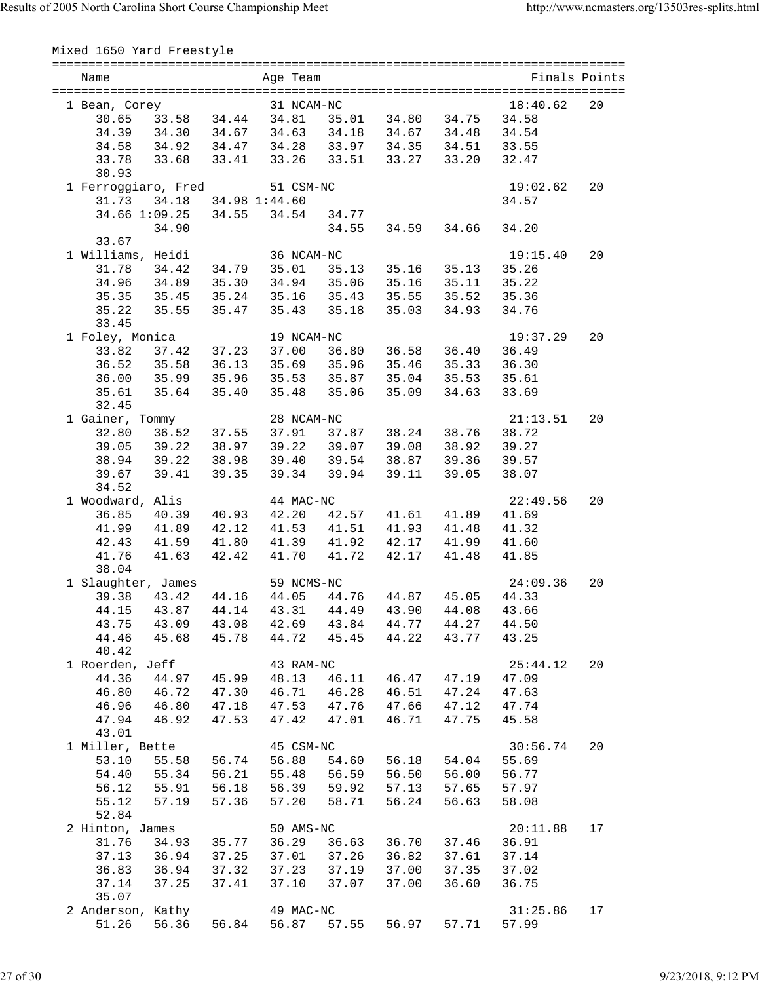Mixed 1650 Yard Freestyle

| Name                                                         |       | ===============<br>Age Team |                   |                   |                                                    |                   | Finals Points |
|--------------------------------------------------------------|-------|-----------------------------|-------------------|-------------------|----------------------------------------------------|-------------------|---------------|
|                                                              |       | 31 NCAM-NC                  |                   |                   |                                                    |                   |               |
| 1 Bean, Corey<br>$30.65$ 33.58 34.44 34.81 35.01 34.80 34.75 |       |                             |                   |                   |                                                    | 18:40.62<br>34.58 | 20            |
| 34.39  34.30  34.67  34.63  34.18  34.67  34.48              |       |                             |                   |                   |                                                    | 34.54             |               |
| 34.58 34.92 34.47 34.28 33.97 34.35 34.51                    |       |                             |                   |                   |                                                    | 33.55             |               |
| 33.78 33.68 33.41 33.26 33.51 33.27 33.20                    |       |                             |                   |                   |                                                    | 32.47             |               |
| 30.93                                                        |       |                             |                   |                   |                                                    |                   |               |
| 1 Ferroggiaro, Fred                                          |       | 51 CSM-NC                   |                   |                   |                                                    | 19:02.62          | 20            |
| 31.73 34.18 34.98 1:44.60                                    |       |                             |                   |                   |                                                    | 34.57             |               |
| 34.66 1:09.25 34.55 34.54 34.77                              |       |                             |                   |                   |                                                    |                   |               |
| 34.90                                                        |       |                             | 34.55             | 34.59             | 34.66                                              | 34.20             |               |
| 33.67                                                        |       |                             |                   |                   |                                                    |                   |               |
| 1 Williams, Heidi                                            |       | 36 NCAM-NC                  |                   |                   |                                                    | 19:15.40          | 20            |
| 31.78 34.42                                                  | 34.79 |                             |                   |                   | 35.01 35.13 35.16 35.13                            | 35.26             |               |
| 34.96 34.89 35.30                                            |       |                             |                   | 34.94 35.06 35.16 | 35.11                                              | 35.22             |               |
| 35.35 35.45 35.24 35.16 35.43 35.55 35.52                    |       |                             |                   |                   |                                                    | 35.36             |               |
| 35.22 35.55                                                  | 35.47 |                             |                   |                   | 35.43 35.18 35.03 34.93                            | 34.76             |               |
| 33.45                                                        |       |                             |                   |                   |                                                    |                   |               |
| 1 Foley, Monica                                              |       | 19 NCAM-NC                  |                   |                   |                                                    | 19:37.29          | 20            |
| 33.82 37.42 37.23                                            |       |                             |                   |                   | 37.00 36.80 36.58 36.40                            | 36.49             |               |
| 36.52<br>35.58                                               | 36.13 |                             |                   | 35.69 35.96 35.46 | 35.33                                              | 36.30             |               |
| 36.00 35.99 35.96                                            |       |                             |                   |                   | 35.53 35.87 35.04 35.53                            | 35.61             |               |
| 35.61 35.64                                                  | 35.40 | 35.48                       | 35.06             | 35.09             | 34.63                                              | 33.69             |               |
| 32.45                                                        |       |                             |                   |                   |                                                    |                   |               |
| 1 Gainer, Tommy                                              |       | 28 NCAM-NC                  |                   |                   |                                                    | 21:13.51          | 20            |
| 32.80 36.52                                                  | 37.55 |                             |                   |                   |                                                    | 38.72             |               |
| 39.05 39.22 38.97                                            |       |                             |                   |                   | 37.91 37.87 38.24 38.76<br>39.22 39.07 39.08 38.92 | 39.27             |               |
| 38.94 39.22                                                  | 38.98 |                             |                   |                   | 39.40 39.54 38.87 39.36                            | 39.57             |               |
| 39.67 39.41                                                  | 39.35 |                             | 39.34 39.94 39.11 |                   | 39.05                                              | 38.07             |               |
| 34.52                                                        |       |                             |                   |                   |                                                    |                   |               |
| 1 Woodward, Alis                                             |       | 44 MAC-NC                   |                   |                   |                                                    | 22:49.56          | 20            |
| 36.85 40.39                                                  | 40.93 |                             |                   |                   | 42.20  42.57  41.61  41.89                         | 41.69             |               |
| 41.99 41.89                                                  | 42.12 | 41.53                       |                   | 41.51 41.93       | 41.48                                              | 41.32             |               |
| 42.43 41.59                                                  | 41.80 | 41.39                       |                   |                   | 41.92  42.17  41.99                                | 41.60             |               |
| 41.76<br>41.63                                               | 42.42 | 41.70                       | 41.72 42.17       |                   | 41.48                                              | 41.85             |               |
| 38.04                                                        |       |                             |                   |                   |                                                    |                   |               |
| 1 Slaughter, James                                           |       | 59 NCMS-NC                  |                   |                   |                                                    | 24:09.36          | 20            |
| 39.38 43.42 44.16                                            |       | 44.05 44.76 44.87 45.05     |                   |                   |                                                    | 44.33             |               |
| 44.15<br>43.87                                               | 44.14 | 43.31                       | 44.49             | 43.90             | 44.08                                              | 43.66             |               |
| 43.75<br>43.09                                               | 43.08 | 42.69                       | 43.84             |                   | 44.77 44.27                                        | 44.50             |               |
| 44.46<br>45.68                                               | 45.78 | 44.72                       | 45.45             | 44.22             | 43.77                                              | 43.25             |               |
| 40.42                                                        |       |                             |                   |                   |                                                    |                   |               |
| 1 Roerden, Jeff                                              |       | 43 RAM-NC                   |                   |                   |                                                    | 25:44.12          | 20            |
| 44.36<br>44.97                                               | 45.99 | 48.13                       | 46.11             | 46.47             | 47.19                                              | 47.09             |               |
| 46.80<br>46.72                                               | 47.30 | 46.71                       | 46.28             | 46.51             | 47.24                                              | 47.63             |               |
| 46.96<br>46.80                                               | 47.18 | 47.53                       |                   | 47.76 47.66       | 47.12                                              | 47.74             |               |
| 47.94<br>46.92                                               | 47.53 | 47.42                       | 47.01             | 46.71             | 47.75                                              | 45.58             |               |
| 43.01                                                        |       |                             |                   |                   |                                                    |                   |               |
| 1 Miller, Bette                                              |       | 45 CSM-NC                   |                   |                   |                                                    | 30:56.74          | 20            |
| 53.10<br>55.58                                               | 56.74 | 56.88                       | 54.60             | 56.18             | 54.04                                              | 55.69             |               |
| 54.40<br>55.34                                               | 56.21 | 55.48                       | 56.59             | 56.50             | 56.00                                              | 56.77             |               |
| 55.91<br>56.12                                               | 56.18 | 56.39                       | 59.92             | 57.13             | 57.65                                              | 57.97             |               |
| 57.19<br>55.12                                               | 57.36 | 57.20                       | 58.71             | 56.24             | 56.63                                              | 58.08             |               |
| 52.84                                                        |       |                             |                   |                   |                                                    |                   |               |
| 2 Hinton, James                                              |       | 50 AMS-NC                   |                   |                   |                                                    | 20:11.88          | 17            |
| 31.76<br>34.93                                               | 35.77 | 36.29                       | 36.63             | 36.70             | 37.46                                              | 36.91             |               |
| 37.13<br>36.94                                               | 37.25 | 37.01                       | 37.26             | 36.82             | 37.61                                              | 37.14             |               |
| 36.83<br>36.94                                               | 37.32 | 37.23                       | 37.19             | 37.00             | 37.35                                              | 37.02             |               |
| 37.25<br>37.14                                               | 37.41 | 37.10                       | 37.07             | 37.00             | 36.60                                              | 36.75             |               |
| 35.07                                                        |       |                             |                   |                   |                                                    |                   |               |
| 2 Anderson, Kathy                                            |       | 49 MAC-NC                   |                   |                   |                                                    | 31:25.86          | 17            |
| 51.26<br>56.36                                               | 56.84 | 56.87                       | 57.55             | 56.97             | 57.71                                              | 57.99             |               |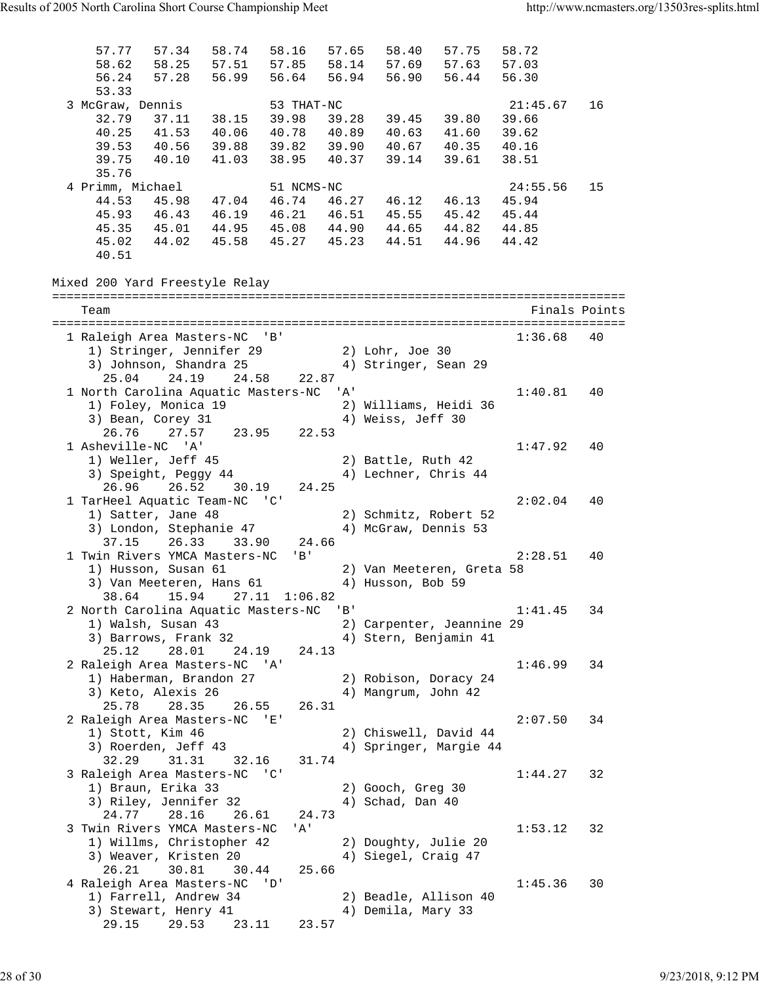57.77 57.34 58.74 58.16 57.65 58.40 57.75 58.72 58.62 58.25 57.51 57.85 58.14 57.69 57.63 57.03 56.24 57.28 56.99 56.64 56.94 56.90 56.44 56.30 53.33<br>3 McGraw, Dennis 3 McGraw, Dennis 53 THAT-NC 21:45.67 16 32.79 37.11 38.15 39.98 39.28 39.45 39.80 39.66 40.25 41.53 40.06 40.78 40.89 40.63 41.60 39.62 39.53 40.56 39.88 39.82 39.90 40.67 40.35 40.16 39.75 40.10 41.03 38.95 40.37 39.14 39.61 38.51 35.76<br>4 Primm, Michael 4 Primm, Michael 51 NCMS-NC 24:55.56 15 44.53 45.98 47.04 46.74 46.27 46.12 46.13 45.94 45.93 46.43 46.19 46.21 46.51 45.55 45.42 45.44 45.35 45.01 44.95 45.08 44.90 44.65 44.82 44.85 45.02 44.02 45.58 45.27 45.23 44.51 44.96 44.42 40.51 Mixed 200 Yard Freestyle Relay =============================================================================== Team Finals Points =============================================================================== 1 Raleigh Area Masters-NC 'B' 1:36.68 40 1) Stringer, Jennifer 29 2) Lohr, Joe 30 3) Johnson, Shandra 25 4) Stringer, Sean 29 25.04 24.19 24.58 22.87 1 North Carolina Aquatic Masters-NC 'A' 1:40.81 40 1) Foley, Monica 19 2) Williams, Heidi 36 3) Bean, Corey 31 4) Weiss, Jeff 30 26.76 27.57 23.95 22.53 1 Asheville-NC 'A' 1:47.92 40 1) Weller, Jeff 45 2) Battle, Ruth 42 3) Speight, Peggy 44  $\hskip 4cm 4$ ) Lechner, Chris 44 26.96 26.52 30.19 24.25 1 TarHeel Aquatic Team-NC 'C' 2:02.04 40<br>1) Satter, Jane 48 2) Schmitz, Robert 52 1) Satter, Jane 48 2) Schmitz, Robert 52 3) London, Stephanie 47 4) McGraw, Dennis 53 37.15 26.33 33.90 24.66 1 Twin Rivers YMCA Masters-NC 'B' 2:28.51 40 1) Husson, Susan 61 2) Van Meeteren, Greta 58 3) Van Meeteren, Hans 61  $\hspace{1cm}$  4) Husson, Bob 59 38.64 15.94 27.11 1:06.82 2 North Carolina Aquatic Masters-NC 'B' 1:41.45 34 1) Walsh, Susan 43 2) Carpenter, Jeannine 29 3) Barrows, Frank 32 4) Stern, Benjamin 41 25.12 28.01 24.19 24.13 2 Raleigh Area Masters-NC 'A' 1:46.99 34 1) Haberman, Brandon 27 2) Robison, Doracy 24 3) Keto, Alexis 26 (4) Mangrum, John 42 25.78 28.35 26.55 26.31 2 Raleigh Area Masters-NC 'E' 2:07.50 34 1) Stott, Kim 46 2) Chiswell, David 44 3) Roerden, Jeff 43 4) Springer, Margie 44 32.29 31.31 32.16 31.74 3 Raleigh Area Masters-NC 'C' 1:44.27 32 1) Braun, Erika 33 2) Gooch, Greg 30 3) Riley, Jennifer 32 4) Schad, Dan 40 24.77 28.16 26.61 24.73 3 Twin Rivers YMCA Masters-NC 'A' 1:53.12 32 1) Willms, Christopher 42 2) Doughty, Julie 20 3) Weaver, Kristen 20  $\hskip1cm$  4) Siegel, Craig 47 26.21 30.81 30.44 25.66 4 Raleigh Area Masters-NC 'D' 1:45.36 30 1) Farrell, Andrew 34 2) Beadle, Allison 40 3) Stewart, Henry 41 (4) Demila, Mary 33 29.15 29.53 23.11 23.57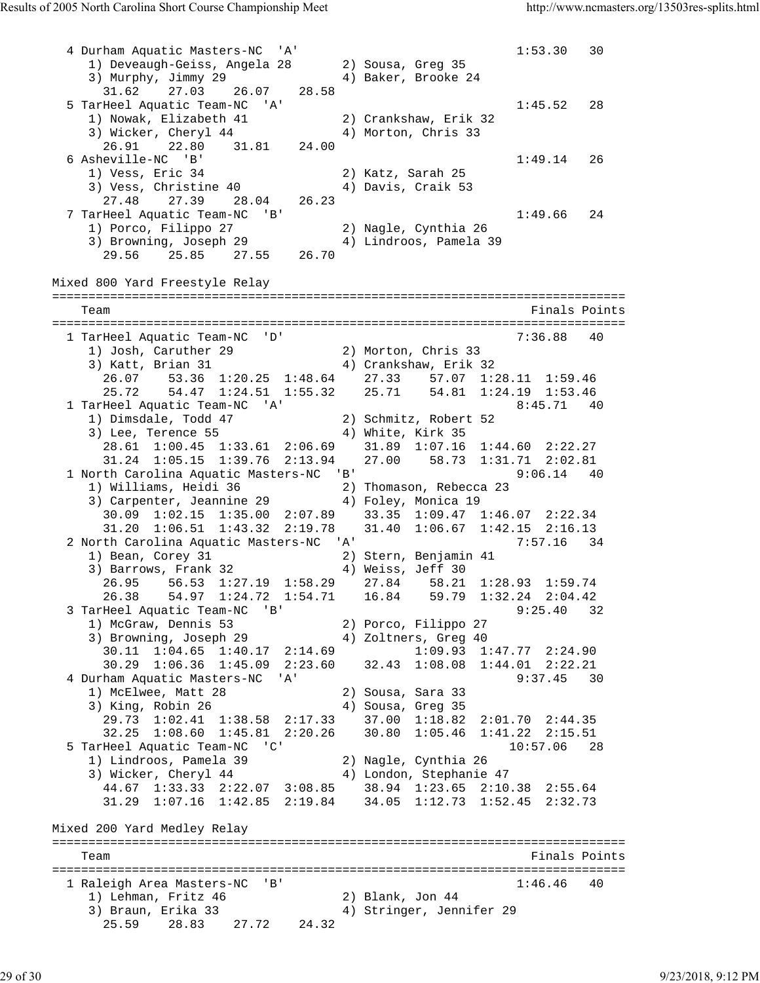4 Durham Aquatic Masters-NC 'A' 1:53.30 30 1) Deveaugh-Geiss, Angela 28 2) Sousa, Greg 35 3) Murphy, Jimmy 29  $\hskip1cm 4)$  Baker, Brooke 24 31.62 27.03 26.07 28.58 5 TarHeel Aquatic Team-NC 'A' 1:45.52 28 1) Nowak, Elizabeth 41 2) Crankshaw, Erik 32 3) Wicker, Cheryl 44 4 4) Morton, Chris 33 26.91 22.80 31.81 24.00 6 Asheville-NC 'B' 1:49.14 26 1) Vess, Eric 34 2) Katz, Sarah 25 3) Vess, Christine 40 (4) Davis, Craik 53 27.48 27.39 28.04 26.23 7 TarHeel Aquatic Team-NC 'B' 1:49.66 24 1) Porco, Filippo 27 2) Nagle, Cynthia 26 3) Browning, Joseph 29 4) Lindroos, Pamela 39 29.56 25.85 27.55 26.70 Mixed 800 Yard Freestyle Relay =============================================================================== Team Finals Points =============================================================================== 1 TarHeel Aquatic Team-NC 'D' 7:36.88 40 1) Josh, Caruther 29 2) Morton, Chris 33 3) Katt, Brian 31 4) Crankshaw, Erik 32 26.07 53.36 1:20.25 1:48.64 27.33 57.07 1:28.11 1:59.46 25.72 54.47 1:24.51 1:55.32 25.71 54.81 1:24.19 1:53.46 1 TarHeel Aquatic Team-NC 'A' 8:45.71 40 1) Dimsdale, Todd 47 2) Schmitz, Robert 52 3) Lee, Terence 55 4) White, Kirk 35 28.61 1:00.45 1:33.61 2:06.69 31.89 1:07.16 1:44.60 2:22.27 31.24 1:05.15 1:39.76 2:13.94 27.00 58.73 1:31.71 2:02.81 1 North Carolina Aquatic Masters-NC 'B' 9:06.14 40 1) Williams, Heidi 36 2) Thomason, Rebecca 23 3) Carpenter, Jeannine 29  $\hskip1cm 4$ ) Foley, Monica 19 30.09 1:02.15 1:35.00 2:07.89 33.35 1:09.47 1:46.07 2:22.34 31.20 1:06.51 1:43.32 2:19.78 31.40 1:06.67 1:42.15 2:16.13 2 North Carolina Aquatic Masters-NC 'A' 7:57.16 34 1) Bean, Corey 31 2) Stern, Benjamin 41 3) Barrows, Frank 32 4) Weiss, Jeff 30 26.95 56.53 1:27.19 1:58.29 27.84 58.21 1:28.93 1:59.74 26.38 54.97 1:24.72 1:54.71 16.84 59.79 1:32.24 2:04.42 3 TarHeel Aquatic Team-NC 'B' 9:25.40 32 1) McGraw, Dennis 53 2) Porco, Filippo 27 3) Browning, Joseph 29 4) Zoltners, Greg 40 30.11 1:04.65 1:40.17 2:14.69 1:09.93 1:47.77 2:24.90 30.29 1:06.36 1:45.09 2:23.60 32.43 1:08.08 1:44.01 2:22.21 4 Durham Aquatic Masters-NC 'A' 1) McElwee, Matt 28 2) Sousa, Sara 33 3) King, Robin 26 4) Sousa, Greg 35 29.73 1:02.41 1:38.58 2:17.33 37.00 1:18.82 2:01.70 2:44.35 32.25 1:08.60 1:45.81 2:20.26 30.80 1:05.46 1:41.22 2:15.51 5 TarHeel Aquatic Team-NC 'C' 10:57.06 28 1) Lindroos, Pamela 39 2) Nagle, Cynthia 26 3) Wicker, Cheryl 44 4) London, Stephanie 47 44.67 1:33.33 2:22.07 3:08.85 38.94 1:23.65 2:10.38 2:55.64 31.29 1:07.16 1:42.85 2:19.84 34.05 1:12.73 1:52.45 2:32.73 Mixed 200 Yard Medley Relay =============================================================================== Team Finals Points and the Community of the Community of the Points Points Points and the Community of the Community of the Community of the Community of the Community of the Community of the Community of the Community of =============================================================================== 1 Raleigh Area Masters-NC 'B' 1:46.46 40 1) Lehman, Fritz 46 2) Blank, Jon 44 3) Braun, Erika 33 4) Stringer, Jennifer 29 25.59 28.83 27.72 24.32